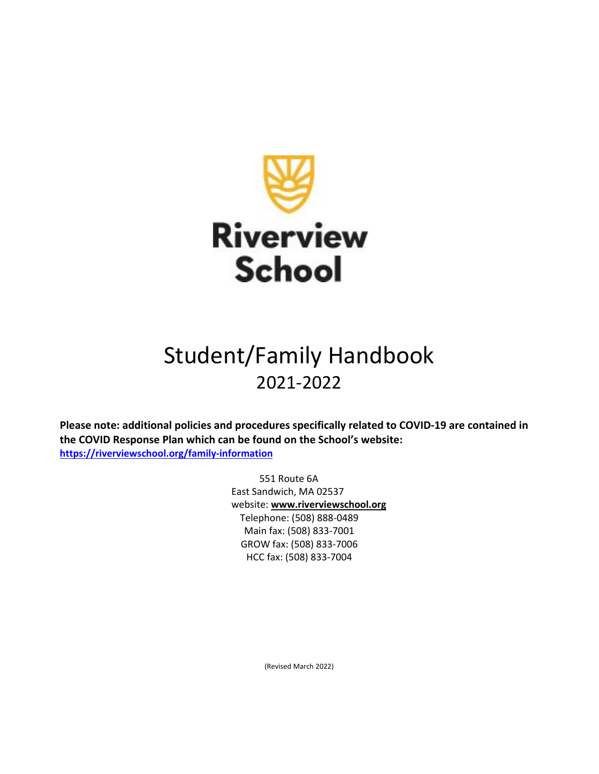

# Student/Family Handbook 2021‐2022

**Please note: additional policies and procedures specifically related to COVID‐19 are contained in the COVID Response Plan which can be found on the School's website: https://riverviewschool.org/family‐information**

> 551 Route 6A East Sandwich, MA 02537 website: **www.riverviewschool.org** Telephone: (508) 888‐0489 Main fax: (508) 833‐7001 GROW fax: (508) 833‐7006 HCC fax: (508) 833‐7004

> > (Revised March 2022)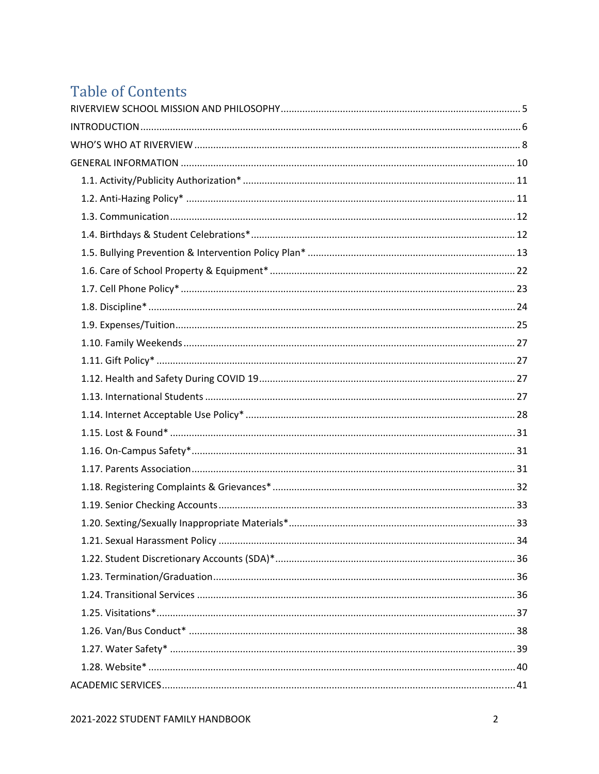## **Table of Contents**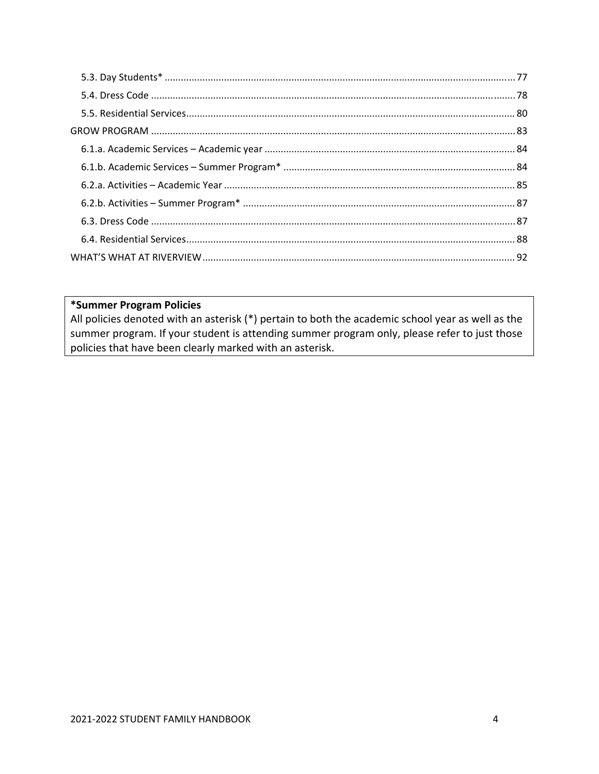#### \*Summer Program Policies

All policies denoted with an asterisk (\*) pertain to both the academic school year as well as the summer program. If your student is attending summer program only, please refer to just those policies that have been clearly marked with an asterisk.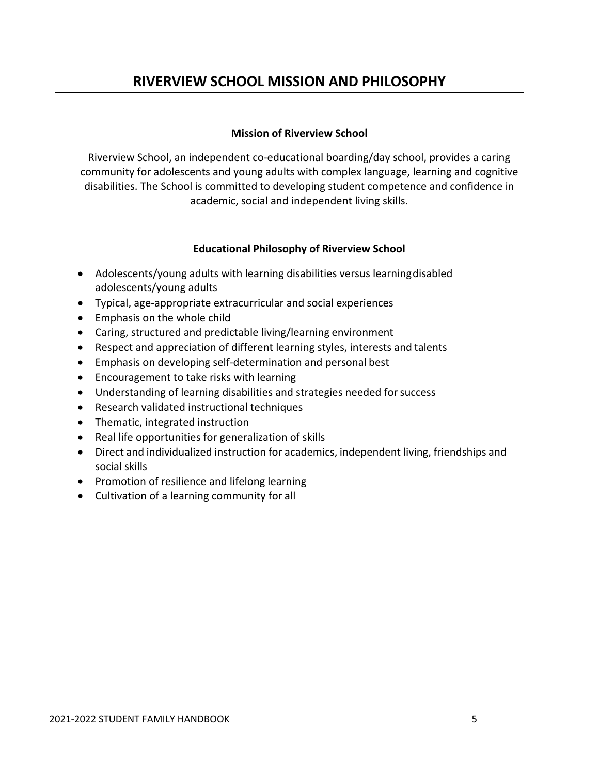## **RIVERVIEW SCHOOL MISSION AND PHILOSOPHY**

#### **Mission of Riverview School**

Riverview School, an independent co‐educational boarding/day school, provides a caring community for adolescents and young adults with complex language, learning and cognitive disabilities. The School is committed to developing student competence and confidence in academic, social and independent living skills.

#### **Educational Philosophy of Riverview School**

- Adolescents/young adults with learning disabilities versus learningdisabled adolescents/young adults
- Typical, age‐appropriate extracurricular and social experiences
- Emphasis on the whole child
- Caring, structured and predictable living/learning environment
- Respect and appreciation of different learning styles, interests and talents
- Emphasis on developing self-determination and personal best
- Encouragement to take risks with learning
- Understanding of learning disabilities and strategies needed for success
- Research validated instructional techniques
- Thematic, integrated instruction
- Real life opportunities for generalization of skills
- Direct and individualized instruction for academics, independent living, friendships and social skills
- Promotion of resilience and lifelong learning
- Cultivation of a learning community for all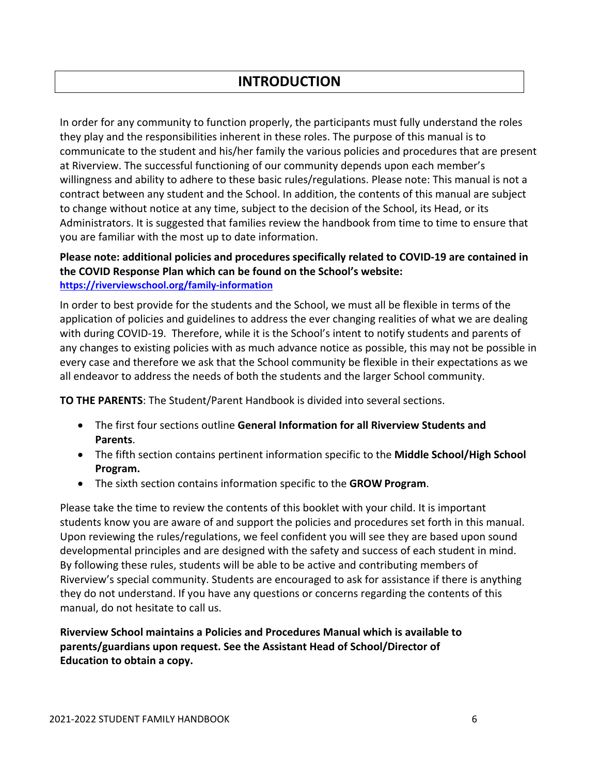## **INTRODUCTION**

In order for any community to function properly, the participants must fully understand the roles they play and the responsibilities inherent in these roles. The purpose of this manual is to communicate to the student and his/her family the various policies and procedures that are present at Riverview. The successful functioning of our community depends upon each member's willingness and ability to adhere to these basic rules/regulations. Please note: This manual is not a contract between any student and the School. In addition, the contents of this manual are subject to change without notice at any time, subject to the decision of the School, its Head, or its Administrators. It is suggested that families review the handbook from time to time to ensure that you are familiar with the most up to date information.

#### **Please note: additional policies and procedures specifically related to COVID‐19 are contained in the COVID Response Plan which can be found on the School's website: https://riverviewschool.org/family‐information**

In order to best provide for the students and the School, we must all be flexible in terms of the application of policies and guidelines to address the ever changing realities of what we are dealing with during COVID-19. Therefore, while it is the School's intent to notify students and parents of any changes to existing policies with as much advance notice as possible, this may not be possible in every case and therefore we ask that the School community be flexible in their expectations as we all endeavor to address the needs of both the students and the larger School community.

**TO THE PARENTS**: The Student/Parent Handbook is divided into several sections.

- The first four sections outline **General Information for all Riverview Students and Parents**.
- The fifth section contains pertinent information specific to the **Middle School/High School Program.**
- The sixth section contains information specific to the **GROW Program**.

Please take the time to review the contents of this booklet with your child. It is important students know you are aware of and support the policies and procedures set forth in this manual. Upon reviewing the rules/regulations, we feel confident you will see they are based upon sound developmental principles and are designed with the safety and success of each student in mind. By following these rules, students will be able to be active and contributing members of Riverview's special community. Students are encouraged to ask for assistance if there is anything they do not understand. If you have any questions or concerns regarding the contents of this manual, do not hesitate to call us.

**Riverview School maintains a Policies and Procedures Manual which is available to parents/guardians upon request. See the Assistant Head of School/Director of Education to obtain a copy.**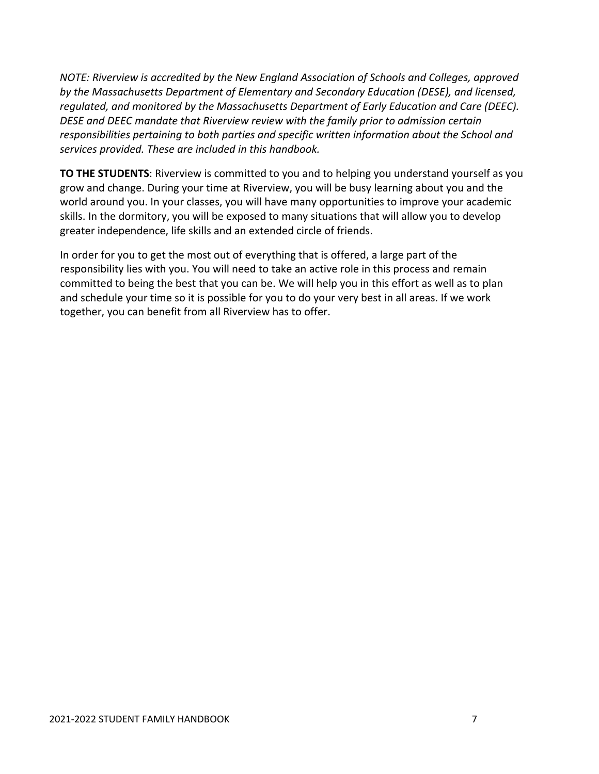*NOTE: Riverview is accredited by the New England Association of Schools and Colleges, approved by the Massachusetts Department of Elementary and Secondary Education (DESE), and licensed, regulated, and monitored by the Massachusetts Department of Early Education and Care (DEEC). DESE and DEEC mandate that Riverview review with the family prior to admission certain responsibilities pertaining to both parties and specific written information about the School and services provided. These are included in this handbook.*

**TO THE STUDENTS**: Riverview is committed to you and to helping you understand yourself as you grow and change. During your time at Riverview, you will be busy learning about you and the world around you. In your classes, you will have many opportunities to improve your academic skills. In the dormitory, you will be exposed to many situations that will allow you to develop greater independence, life skills and an extended circle of friends.

In order for you to get the most out of everything that is offered, a large part of the responsibility lies with you. You will need to take an active role in this process and remain committed to being the best that you can be. We will help you in this effort as well as to plan and schedule your time so it is possible for you to do your very best in all areas. If we work together, you can benefit from all Riverview has to offer.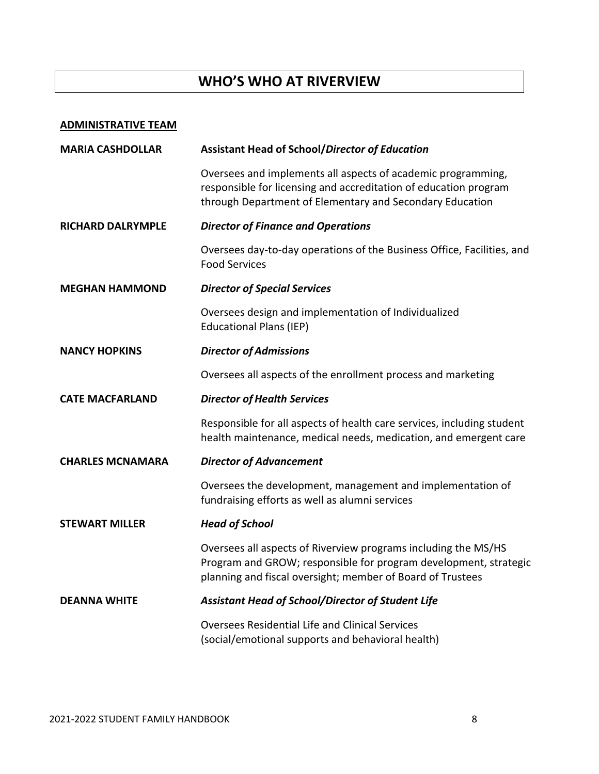## **WHO'S WHO AT RIVERVIEW**

#### **ADMINISTRATIVE TEAM**

| <b>MARIA CASHDOLLAR</b>  | <b>Assistant Head of School/Director of Education</b>                                                                                                                                            |
|--------------------------|--------------------------------------------------------------------------------------------------------------------------------------------------------------------------------------------------|
|                          | Oversees and implements all aspects of academic programming,<br>responsible for licensing and accreditation of education program<br>through Department of Elementary and Secondary Education     |
| <b>RICHARD DALRYMPLE</b> | <b>Director of Finance and Operations</b>                                                                                                                                                        |
|                          | Oversees day-to-day operations of the Business Office, Facilities, and<br><b>Food Services</b>                                                                                                   |
| <b>MEGHAN HAMMOND</b>    | <b>Director of Special Services</b>                                                                                                                                                              |
|                          | Oversees design and implementation of Individualized<br><b>Educational Plans (IEP)</b>                                                                                                           |
| <b>NANCY HOPKINS</b>     | <b>Director of Admissions</b>                                                                                                                                                                    |
|                          | Oversees all aspects of the enrollment process and marketing                                                                                                                                     |
| <b>CATE MACFARLAND</b>   | <b>Director of Health Services</b>                                                                                                                                                               |
|                          | Responsible for all aspects of health care services, including student<br>health maintenance, medical needs, medication, and emergent care                                                       |
| <b>CHARLES MCNAMARA</b>  | <b>Director of Advancement</b>                                                                                                                                                                   |
|                          | Oversees the development, management and implementation of<br>fundraising efforts as well as alumni services                                                                                     |
| <b>STEWART MILLER</b>    | <b>Head of School</b>                                                                                                                                                                            |
|                          | Oversees all aspects of Riverview programs including the MS/HS<br>Program and GROW; responsible for program development, strategic<br>planning and fiscal oversight; member of Board of Trustees |
| <b>DEANNA WHITE</b>      | Assistant Head of School/Director of Student Life                                                                                                                                                |
|                          | <b>Oversees Residential Life and Clinical Services</b><br>(social/emotional supports and behavioral health)                                                                                      |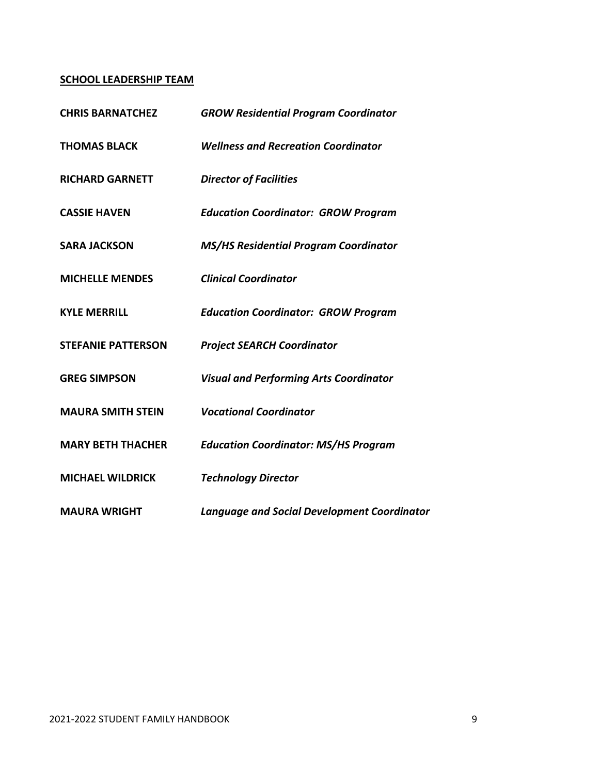#### **SCHOOL LEADERSHIP TEAM**

| <b>CHRIS BARNATCHEZ</b>   | <b>GROW Residential Program Coordinator</b>        |
|---------------------------|----------------------------------------------------|
| <b>THOMAS BLACK</b>       | <b>Wellness and Recreation Coordinator</b>         |
| <b>RICHARD GARNETT</b>    | <b>Director of Facilities</b>                      |
| <b>CASSIE HAVEN</b>       | <b>Education Coordinator: GROW Program</b>         |
| <b>SARA JACKSON</b>       | <b>MS/HS Residential Program Coordinator</b>       |
| <b>MICHELLE MENDES</b>    | <b>Clinical Coordinator</b>                        |
| <b>KYLE MERRILL</b>       | <b>Education Coordinator: GROW Program</b>         |
| <b>STEFANIE PATTERSON</b> | <b>Project SEARCH Coordinator</b>                  |
| <b>GREG SIMPSON</b>       | <b>Visual and Performing Arts Coordinator</b>      |
| <b>MAURA SMITH STEIN</b>  | <b>Vocational Coordinator</b>                      |
| <b>MARY BETH THACHER</b>  | <b>Education Coordinator: MS/HS Program</b>        |
| <b>MICHAEL WILDRICK</b>   | <b>Technology Director</b>                         |
| <b>MAURA WRIGHT</b>       | <b>Language and Social Development Coordinator</b> |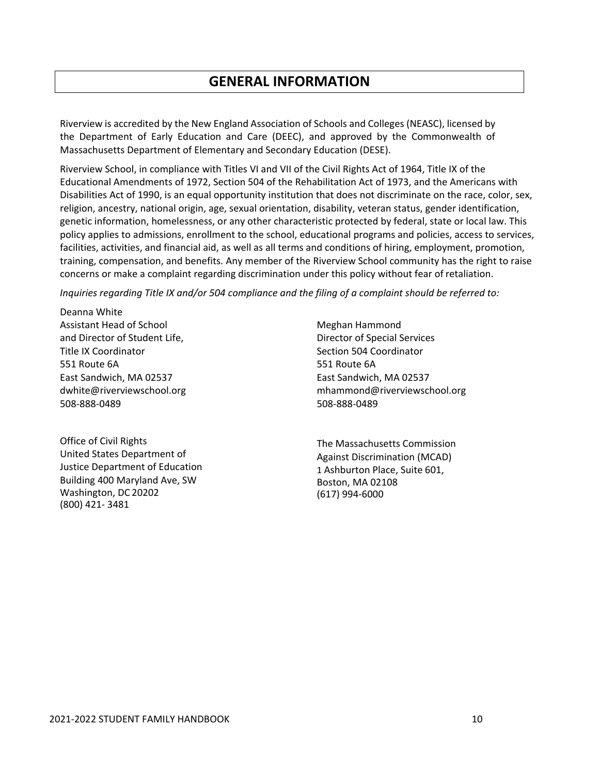### **GENERAL INFORMATION**

Riverview is accredited by the New England Association of Schools and Colleges (NEASC), licensed by the Department of Early Education and Care (DEEC), and approved by the Commonwealth of Massachusetts Department of Elementary and Secondary Education (DESE).

Riverview School, in compliance with Titles VI and VII of the Civil Rights Act of 1964, Title IX of the Educational Amendments of 1972, Section 504 of the Rehabilitation Act of 1973, and the Americans with Disabilities Act of 1990, is an equal opportunity institution that does not discriminate on the race, color, sex, religion, ancestry, national origin, age, sexual orientation, disability, veteran status, gender identification, genetic information, homelessness, or any other characteristic protected by federal, state or local law. This policy applies to admissions, enrollment to the school, educational programs and policies, access to services, facilities, activities, and financial aid, as well as all terms and conditions of hiring, employment, promotion, training, compensation, and benefits. Any member of the Riverview School community has the right to raise concerns or make a complaint regarding discrimination under this policy without fear of retaliation.

*Inquiries regarding Title IX and/or 504 compliance and the filing of a complaint should be referred to:*

Deanna White Assistant Head of School and Director of Student Life, Title IX Coordinator 551 Route 6A East Sandwich, MA 02537 dwhite@riverviewschool.org 508‐888‐0489

Office of Civil Rights United States Department of Justice Department of Education Building 400 Maryland Ave, SW Washington, DC 20202 (800) 421‐ 3481

Meghan Hammond Director of Special Services Section 504 Coordinator 551 Route 6A East Sandwich, MA 02537 mhammond@riverviewschool.org 508‐888‐0489

The Massachusetts Commission Against Discrimination (MCAD) 1 Ashburton Place, Suite 601, Boston, MA 02108 (617) 994‐6000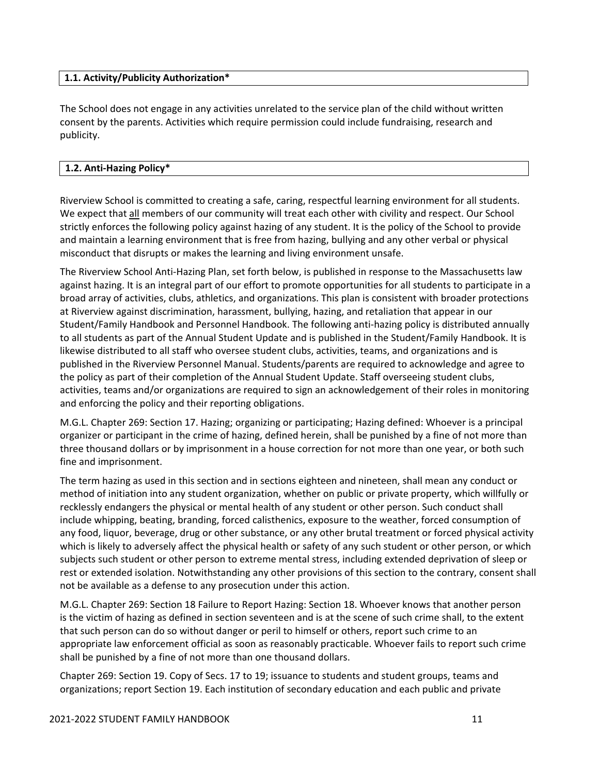#### **1.1. Activity/Publicity Authorization\***

The School does not engage in any activities unrelated to the service plan of the child without written consent by the parents. Activities which require permission could include fundraising, research and publicity.

#### **1.2. Anti‐Hazing Policy\***

Riverview School is committed to creating a safe, caring, respectful learning environment for all students. We expect that all members of our community will treat each other with civility and respect. Our School strictly enforces the following policy against hazing of any student. It is the policy of the School to provide and maintain a learning environment that is free from hazing, bullying and any other verbal or physical misconduct that disrupts or makes the learning and living environment unsafe.

The Riverview School Anti‐Hazing Plan, set forth below, is published in response to the Massachusetts law against hazing. It is an integral part of our effort to promote opportunities for all students to participate in a broad array of activities, clubs, athletics, and organizations. This plan is consistent with broader protections at Riverview against discrimination, harassment, bullying, hazing, and retaliation that appear in our Student/Family Handbook and Personnel Handbook. The following anti‐hazing policy is distributed annually to all students as part of the Annual Student Update and is published in the Student/Family Handbook. It is likewise distributed to all staff who oversee student clubs, activities, teams, and organizations and is published in the Riverview Personnel Manual. Students/parents are required to acknowledge and agree to the policy as part of their completion of the Annual Student Update. Staff overseeing student clubs, activities, teams and/or organizations are required to sign an acknowledgement of their roles in monitoring and enforcing the policy and their reporting obligations.

M.G.L. Chapter 269: Section 17. Hazing; organizing or participating; Hazing defined: Whoever is a principal organizer or participant in the crime of hazing, defined herein, shall be punished by a fine of not more than three thousand dollars or by imprisonment in a house correction for not more than one year, or both such fine and imprisonment.

The term hazing as used in this section and in sections eighteen and nineteen, shall mean any conduct or method of initiation into any student organization, whether on public or private property, which willfully or recklessly endangers the physical or mental health of any student or other person. Such conduct shall include whipping, beating, branding, forced calisthenics, exposure to the weather, forced consumption of any food, liquor, beverage, drug or other substance, or any other brutal treatment or forced physical activity which is likely to adversely affect the physical health or safety of any such student or other person, or which subjects such student or other person to extreme mental stress, including extended deprivation of sleep or rest or extended isolation. Notwithstanding any other provisions of this section to the contrary, consent shall not be available as a defense to any prosecution under this action.

M.G.L. Chapter 269: Section 18 Failure to Report Hazing: Section 18. Whoever knows that another person is the victim of hazing as defined in section seventeen and is at the scene of such crime shall, to the extent that such person can do so without danger or peril to himself or others, report such crime to an appropriate law enforcement official as soon as reasonably practicable. Whoever fails to report such crime shall be punished by a fine of not more than one thousand dollars.

Chapter 269: Section 19. Copy of Secs. 17 to 19; issuance to students and student groups, teams and organizations; report Section 19. Each institution of secondary education and each public and private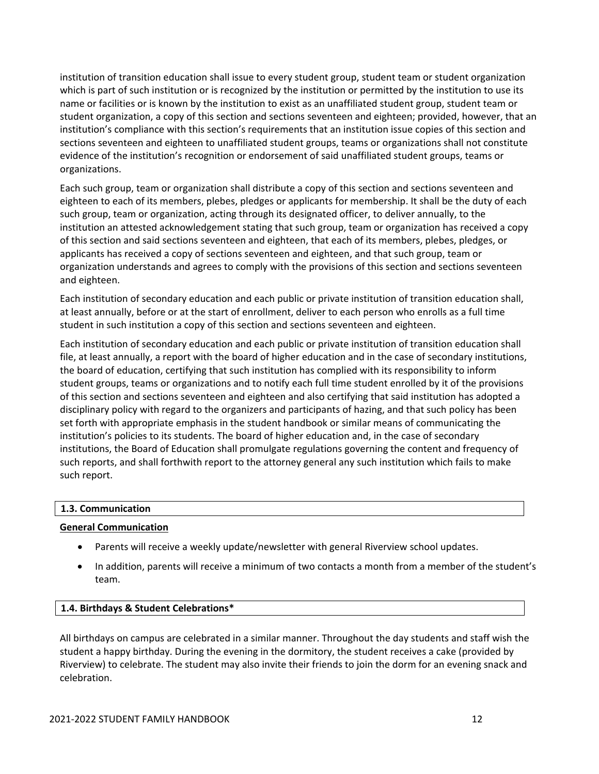institution of transition education shall issue to every student group, student team or student organization which is part of such institution or is recognized by the institution or permitted by the institution to use its name or facilities or is known by the institution to exist as an unaffiliated student group, student team or student organization, a copy of this section and sections seventeen and eighteen; provided, however, that an institution's compliance with this section's requirements that an institution issue copies of this section and sections seventeen and eighteen to unaffiliated student groups, teams or organizations shall not constitute evidence of the institution's recognition or endorsement of said unaffiliated student groups, teams or organizations.

Each such group, team or organization shall distribute a copy of this section and sections seventeen and eighteen to each of its members, plebes, pledges or applicants for membership. It shall be the duty of each such group, team or organization, acting through its designated officer, to deliver annually, to the institution an attested acknowledgement stating that such group, team or organization has received a copy of this section and said sections seventeen and eighteen, that each of its members, plebes, pledges, or applicants has received a copy of sections seventeen and eighteen, and that such group, team or organization understands and agrees to comply with the provisions of this section and sections seventeen and eighteen.

Each institution of secondary education and each public or private institution of transition education shall, at least annually, before or at the start of enrollment, deliver to each person who enrolls as a full time student in such institution a copy of this section and sections seventeen and eighteen.

Each institution of secondary education and each public or private institution of transition education shall file, at least annually, a report with the board of higher education and in the case of secondary institutions, the board of education, certifying that such institution has complied with its responsibility to inform student groups, teams or organizations and to notify each full time student enrolled by it of the provisions of this section and sections seventeen and eighteen and also certifying that said institution has adopted a disciplinary policy with regard to the organizers and participants of hazing, and that such policy has been set forth with appropriate emphasis in the student handbook or similar means of communicating the institution's policies to its students. The board of higher education and, in the case of secondary institutions, the Board of Education shall promulgate regulations governing the content and frequency of such reports, and shall forthwith report to the attorney general any such institution which fails to make such report.

#### **1.3. Communication**

#### **General Communication**

- Parents will receive a weekly update/newsletter with general Riverview school updates.
- In addition, parents will receive a minimum of two contacts a month from a member of the student's team.

#### **1.4. Birthdays & Student Celebrations\***

All birthdays on campus are celebrated in a similar manner. Throughout the day students and staff wish the student a happy birthday. During the evening in the dormitory, the student receives a cake (provided by Riverview) to celebrate. The student may also invite their friends to join the dorm for an evening snack and celebration.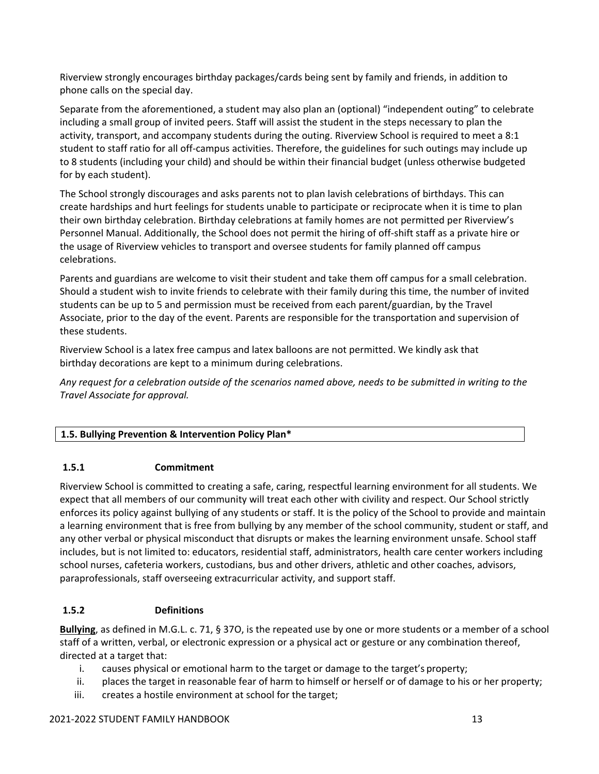Riverview strongly encourages birthday packages/cards being sent by family and friends, in addition to phone calls on the special day.

Separate from the aforementioned, a student may also plan an (optional) "independent outing" to celebrate including a small group of invited peers. Staff will assist the student in the steps necessary to plan the activity, transport, and accompany students during the outing. Riverview School is required to meet a 8:1 student to staff ratio for all off‐campus activities. Therefore, the guidelines for such outings may include up to 8 students (including your child) and should be within their financial budget (unless otherwise budgeted for by each student).

The School strongly discourages and asks parents not to plan lavish celebrations of birthdays. This can create hardships and hurt feelings for students unable to participate or reciprocate when it is time to plan their own birthday celebration. Birthday celebrations at family homes are not permitted per Riverview's Personnel Manual. Additionally, the School does not permit the hiring of off‐shift staff as a private hire or the usage of Riverview vehicles to transport and oversee students for family planned off campus celebrations.

Parents and guardians are welcome to visit their student and take them off campus for a small celebration. Should a student wish to invite friends to celebrate with their family during this time, the number of invited students can be up to 5 and permission must be received from each parent/guardian, by the Travel Associate, prior to the day of the event. Parents are responsible for the transportation and supervision of these students.

Riverview School is a latex free campus and latex balloons are not permitted. We kindly ask that birthday decorations are kept to a minimum during celebrations.

Any request for a celebration outside of the scenarios named above, needs to be submitted in writing to the *Travel Associate for approval.*

#### **1.5. Bullying Prevention & Intervention Policy Plan\***

#### **1.5.1 Commitment**

Riverview School is committed to creating a safe, caring, respectful learning environment for all students. We expect that all members of our community will treat each other with civility and respect. Our School strictly enforces its policy against bullying of any students or staff. It is the policy of the School to provide and maintain a learning environment that is free from bullying by any member of the school community, student or staff, and any other verbal or physical misconduct that disrupts or makes the learning environment unsafe. School staff includes, but is not limited to: educators, residential staff, administrators, health care center workers including school nurses, cafeteria workers, custodians, bus and other drivers, athletic and other coaches, advisors, paraprofessionals, staff overseeing extracurricular activity, and support staff.

#### **1.5.2 Definitions**

**Bullying**, as defined in M.G.L. c. 71, § 37O, is the repeated use by one or more students or a member of a school staff of a written, verbal, or electronic expression or a physical act or gesture or any combination thereof, directed at a target that:

- i. causes physical or emotional harm to the target or damage to the target's property;
- ii. places the target in reasonable fear of harm to himself or herself or of damage to his or her property;
- iii. creates a hostile environment at school for the target;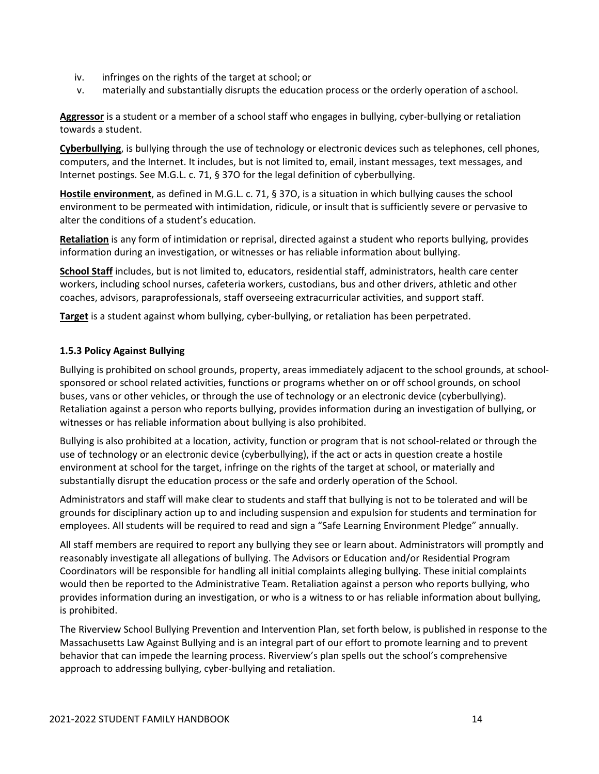- iv. infringes on the rights of the target at school; or
- v. materially and substantially disrupts the education process or the orderly operation of aschool.

**Aggressor** is a student or a member of a school staff who engages in bullying, cyber‐bullying or retaliation towards a student.

**Cyberbullying**, is bullying through the use of technology or electronic devices such as telephones, cell phones, computers, and the Internet. It includes, but is not limited to, email, instant messages, text messages, and Internet postings. See M.G.L. c. 71, § 37O for the legal definition of cyberbullying.

**Hostile environment**, as defined in M.G.L. c. 71, § 37O, is a situation in which bullying causes the school environment to be permeated with intimidation, ridicule, or insult that is sufficiently severe or pervasive to alter the conditions of a student's education.

**Retaliation** is any form of intimidation or reprisal, directed against a student who reports bullying, provides information during an investigation, or witnesses or has reliable information about bullying.

**School Staff** includes, but is not limited to, educators, residential staff, administrators, health care center workers, including school nurses, cafeteria workers, custodians, bus and other drivers, athletic and other coaches, advisors, paraprofessionals, staff overseeing extracurricular activities, and support staff.

**Target** is a student against whom bullying, cyber‐bullying, or retaliation has been perpetrated.

#### **1.5.3 Policy Against Bullying**

Bullying is prohibited on school grounds, property, areas immediately adjacent to the school grounds, at school‐ sponsored or school related activities, functions or programs whether on or off school grounds, on school buses, vans or other vehicles, or through the use of technology or an electronic device (cyberbullying). Retaliation against a person who reports bullying, provides information during an investigation of bullying, or witnesses or has reliable information about bullying is also prohibited.

Bullying is also prohibited at a location, activity, function or program that is not school‐related or through the use of technology or an electronic device (cyberbullying), if the act or acts in question create a hostile environment at school for the target, infringe on the rights of the target at school, or materially and substantially disrupt the education process or the safe and orderly operation of the School.

Administrators and staff will make clear to students and staff that bullying is not to be tolerated and will be grounds for disciplinary action up to and including suspension and expulsion for students and termination for employees. All students will be required to read and sign a "Safe Learning Environment Pledge" annually.

All staff members are required to report any bullying they see or learn about. Administrators will promptly and reasonably investigate all allegations of bullying. The Advisors or Education and/or Residential Program Coordinators will be responsible for handling all initial complaints alleging bullying. These initial complaints would then be reported to the Administrative Team. Retaliation against a person who reports bullying, who provides information during an investigation, or who is a witness to or has reliable information about bullying, is prohibited.

The Riverview School Bullying Prevention and Intervention Plan, set forth below, is published in response to the Massachusetts Law Against Bullying and is an integral part of our effort to promote learning and to prevent behavior that can impede the learning process. Riverview's plan spells out the school's comprehensive approach to addressing bullying, cyber‐bullying and retaliation.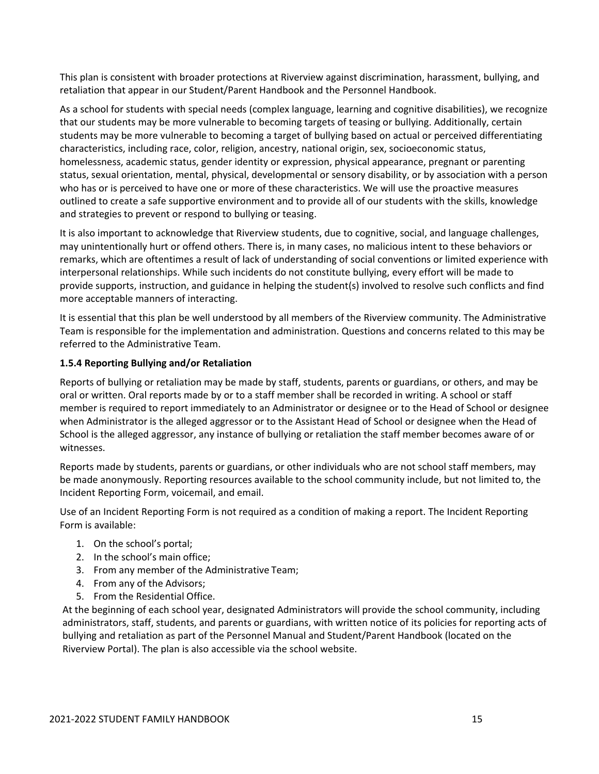This plan is consistent with broader protections at Riverview against discrimination, harassment, bullying, and retaliation that appear in our Student/Parent Handbook and the Personnel Handbook.

As a school for students with special needs (complex language, learning and cognitive disabilities), we recognize that our students may be more vulnerable to becoming targets of teasing or bullying. Additionally, certain students may be more vulnerable to becoming a target of bullying based on actual or perceived differentiating characteristics, including race, color, religion, ancestry, national origin, sex, socioeconomic status, homelessness, academic status, gender identity or expression, physical appearance, pregnant or parenting status, sexual orientation, mental, physical, developmental or sensory disability, or by association with a person who has or is perceived to have one or more of these characteristics. We will use the proactive measures outlined to create a safe supportive environment and to provide all of our students with the skills, knowledge and strategies to prevent or respond to bullying or teasing.

It is also important to acknowledge that Riverview students, due to cognitive, social, and language challenges, may unintentionally hurt or offend others. There is, in many cases, no malicious intent to these behaviors or remarks, which are oftentimes a result of lack of understanding of social conventions or limited experience with interpersonal relationships. While such incidents do not constitute bullying, every effort will be made to provide supports, instruction, and guidance in helping the student(s) involved to resolve such conflicts and find more acceptable manners of interacting.

It is essential that this plan be well understood by all members of the Riverview community. The Administrative Team is responsible for the implementation and administration. Questions and concerns related to this may be referred to the Administrative Team.

#### **1.5.4 Reporting Bullying and/or Retaliation**

Reports of bullying or retaliation may be made by staff, students, parents or guardians, or others, and may be oral or written. Oral reports made by or to a staff member shall be recorded in writing. A school or staff member is required to report immediately to an Administrator or designee or to the Head of School or designee when Administrator is the alleged aggressor or to the Assistant Head of School or designee when the Head of School is the alleged aggressor, any instance of bullying or retaliation the staff member becomes aware of or witnesses.

Reports made by students, parents or guardians, or other individuals who are not school staff members, may be made anonymously. Reporting resources available to the school community include, but not limited to, the Incident Reporting Form, voicemail, and email.

Use of an Incident Reporting Form is not required as a condition of making a report. The Incident Reporting Form is available:

- 1. On the school's portal;
- 2. In the school's main office;
- 3. From any member of the Administrative Team;
- 4. From any of the Advisors;
- 5. From the Residential Office.

At the beginning of each school year, designated Administrators will provide the school community, including administrators, staff, students, and parents or guardians, with written notice of its policies for reporting acts of bullying and retaliation as part of the Personnel Manual and Student/Parent Handbook (located on the Riverview Portal). The plan is also accessible via the school website.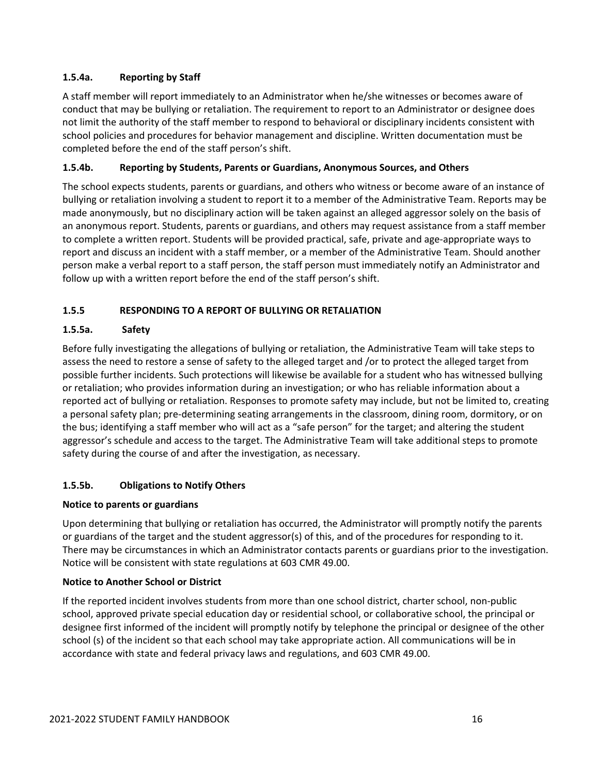#### **1.5.4a. Reporting by Staff**

A staff member will report immediately to an Administrator when he/she witnesses or becomes aware of conduct that may be bullying or retaliation. The requirement to report to an Administrator or designee does not limit the authority of the staff member to respond to behavioral or disciplinary incidents consistent with school policies and procedures for behavior management and discipline. Written documentation must be completed before the end of the staff person's shift.

#### **1.5.4b. Reporting by Students, Parents or Guardians, Anonymous Sources, and Others**

The school expects students, parents or guardians, and others who witness or become aware of an instance of bullying or retaliation involving a student to report it to a member of the Administrative Team. Reports may be made anonymously, but no disciplinary action will be taken against an alleged aggressor solely on the basis of an anonymous report. Students, parents or guardians, and others may request assistance from a staff member to complete a written report. Students will be provided practical, safe, private and age‐appropriate ways to report and discuss an incident with a staff member, or a member of the Administrative Team. Should another person make a verbal report to a staff person, the staff person must immediately notify an Administrator and follow up with a written report before the end of the staff person's shift.

#### **1.5.5 RESPONDING TO A REPORT OF BULLYING OR RETALIATION**

#### **1.5.5a. Safety**

Before fully investigating the allegations of bullying or retaliation, the Administrative Team will take steps to assess the need to restore a sense of safety to the alleged target and /or to protect the alleged target from possible further incidents. Such protections will likewise be available for a student who has witnessed bullying or retaliation; who provides information during an investigation; or who has reliable information about a reported act of bullying or retaliation. Responses to promote safety may include, but not be limited to, creating a personal safety plan; pre‐determining seating arrangements in the classroom, dining room, dormitory, or on the bus; identifying a staff member who will act as a "safe person" for the target; and altering the student aggressor's schedule and access to the target. The Administrative Team will take additional steps to promote safety during the course of and after the investigation, as necessary.

#### **1.5.5b. Obligations to Notify Others**

#### **Notice to parents or guardians**

Upon determining that bullying or retaliation has occurred, the Administrator will promptly notify the parents or guardians of the target and the student aggressor(s) of this, and of the procedures for responding to it. There may be circumstances in which an Administrator contacts parents or guardians prior to the investigation. Notice will be consistent with state regulations at 603 CMR 49.00.

#### **Notice to Another School or District**

If the reported incident involves students from more than one school district, charter school, non‐public school, approved private special education day or residential school, or collaborative school, the principal or designee first informed of the incident will promptly notify by telephone the principal or designee of the other school (s) of the incident so that each school may take appropriate action. All communications will be in accordance with state and federal privacy laws and regulations, and 603 CMR 49.00.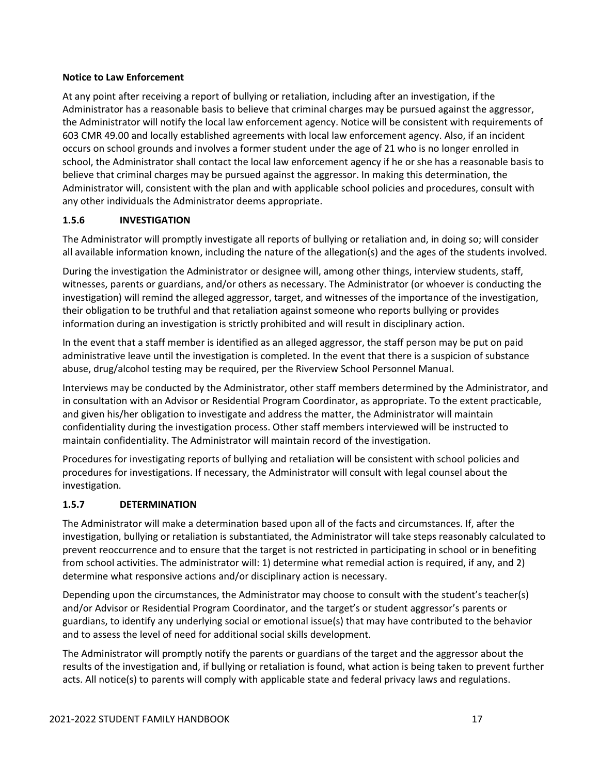#### **Notice to Law Enforcement**

At any point after receiving a report of bullying or retaliation, including after an investigation, if the Administrator has a reasonable basis to believe that criminal charges may be pursued against the aggressor, the Administrator will notify the local law enforcement agency. Notice will be consistent with requirements of 603 CMR 49.00 and locally established agreements with local law enforcement agency. Also, if an incident occurs on school grounds and involves a former student under the age of 21 who is no longer enrolled in school, the Administrator shall contact the local law enforcement agency if he or she has a reasonable basis to believe that criminal charges may be pursued against the aggressor. In making this determination, the Administrator will, consistent with the plan and with applicable school policies and procedures, consult with any other individuals the Administrator deems appropriate.

#### **1.5.6 INVESTIGATION**

The Administrator will promptly investigate all reports of bullying or retaliation and, in doing so; will consider all available information known, including the nature of the allegation(s) and the ages of the students involved.

During the investigation the Administrator or designee will, among other things, interview students, staff, witnesses, parents or guardians, and/or others as necessary. The Administrator (or whoever is conducting the investigation) will remind the alleged aggressor, target, and witnesses of the importance of the investigation, their obligation to be truthful and that retaliation against someone who reports bullying or provides information during an investigation is strictly prohibited and will result in disciplinary action.

In the event that a staff member is identified as an alleged aggressor, the staff person may be put on paid administrative leave until the investigation is completed. In the event that there is a suspicion of substance abuse, drug/alcohol testing may be required, per the Riverview School Personnel Manual.

Interviews may be conducted by the Administrator, other staff members determined by the Administrator, and in consultation with an Advisor or Residential Program Coordinator, as appropriate. To the extent practicable, and given his/her obligation to investigate and address the matter, the Administrator will maintain confidentiality during the investigation process. Other staff members interviewed will be instructed to maintain confidentiality. The Administrator will maintain record of the investigation.

Procedures for investigating reports of bullying and retaliation will be consistent with school policies and procedures for investigations. If necessary, the Administrator will consult with legal counsel about the investigation.

#### **1.5.7 DETERMINATION**

The Administrator will make a determination based upon all of the facts and circumstances. If, after the investigation, bullying or retaliation is substantiated, the Administrator will take steps reasonably calculated to prevent reoccurrence and to ensure that the target is not restricted in participating in school or in benefiting from school activities. The administrator will: 1) determine what remedial action is required, if any, and 2) determine what responsive actions and/or disciplinary action is necessary.

Depending upon the circumstances, the Administrator may choose to consult with the student's teacher(s) and/or Advisor or Residential Program Coordinator, and the target's or student aggressor's parents or guardians, to identify any underlying social or emotional issue(s) that may have contributed to the behavior and to assess the level of need for additional social skills development.

The Administrator will promptly notify the parents or guardians of the target and the aggressor about the results of the investigation and, if bullying or retaliation is found, what action is being taken to prevent further acts. All notice(s) to parents will comply with applicable state and federal privacy laws and regulations.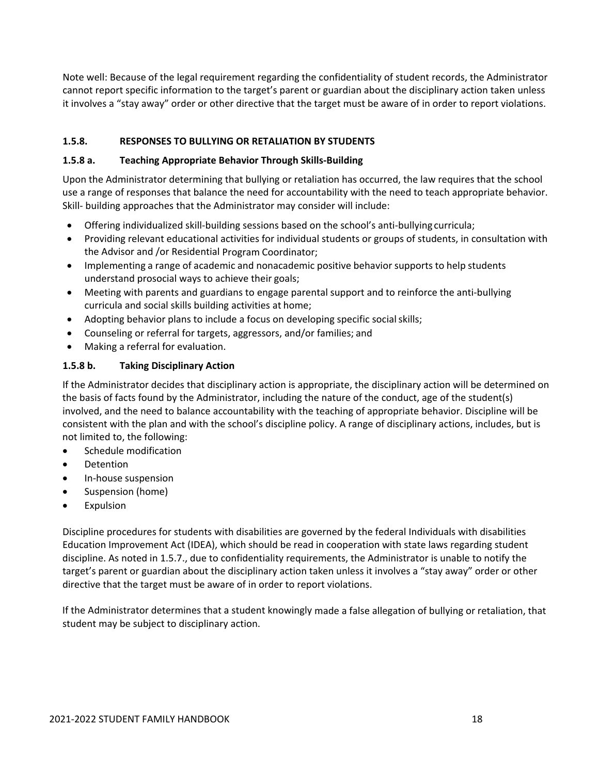Note well: Because of the legal requirement regarding the confidentiality of student records, the Administrator cannot report specific information to the target's parent or guardian about the disciplinary action taken unless it involves a "stay away" order or other directive that the target must be aware of in order to report violations.

#### **1.5.8. RESPONSES TO BULLYING OR RETALIATION BY STUDENTS**

#### **1.5.8 a. Teaching Appropriate Behavior Through Skills‐Building**

Upon the Administrator determining that bullying or retaliation has occurred, the law requires that the school use a range of responses that balance the need for accountability with the need to teach appropriate behavior. Skill‐ building approaches that the Administrator may consider will include:

- Offering individualized skill-building sessions based on the school's anti-bullying curricula;
- Providing relevant educational activities for individual students or groups of students, in consultation with the Advisor and /or Residential Program Coordinator;
- Implementing a range of academic and nonacademic positive behavior supports to help students understand prosocial ways to achieve their goals;
- Meeting with parents and guardians to engage parental support and to reinforce the anti-bullying curricula and social skills building activities at home;
- Adopting behavior plans to include a focus on developing specific social skills;
- Counseling or referral for targets, aggressors, and/or families; and
- Making a referral for evaluation.

#### **1.5.8 b. Taking Disciplinary Action**

If the Administrator decides that disciplinary action is appropriate, the disciplinary action will be determined on the basis of facts found by the Administrator, including the nature of the conduct, age of the student(s) involved, and the need to balance accountability with the teaching of appropriate behavior. Discipline will be consistent with the plan and with the school's discipline policy. A range of disciplinary actions, includes, but is not limited to, the following:

- Schedule modification
- Detention
- In-house suspension
- Suspension (home)
- Expulsion

Discipline procedures for students with disabilities are governed by the federal Individuals with disabilities Education Improvement Act (IDEA), which should be read in cooperation with state laws regarding student discipline. As noted in 1.5.7., due to confidentiality requirements, the Administrator is unable to notify the target's parent or guardian about the disciplinary action taken unless it involves a "stay away" order or other directive that the target must be aware of in order to report violations.

If the Administrator determines that a student knowingly made a false allegation of bullying or retaliation, that student may be subject to disciplinary action.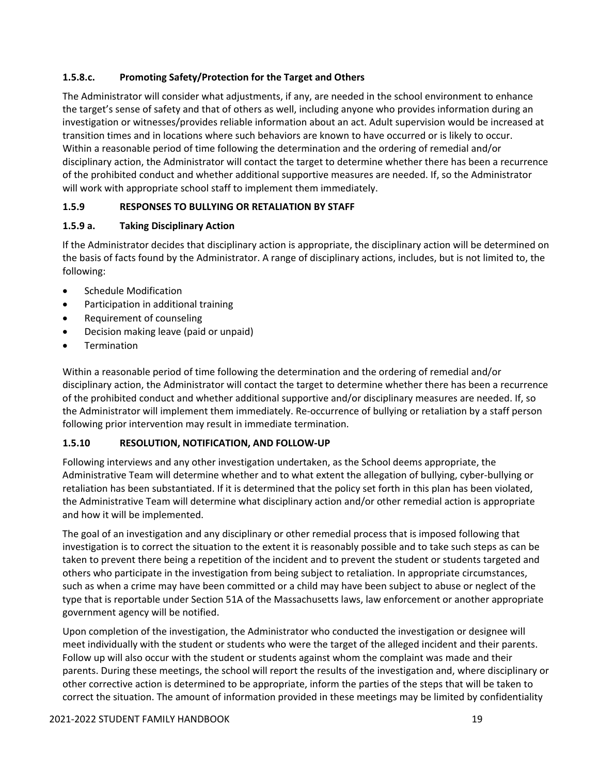#### **1.5.8.c. Promoting Safety/Protection for the Target and Others**

The Administrator will consider what adjustments, if any, are needed in the school environment to enhance the target's sense of safety and that of others as well, including anyone who provides information during an investigation or witnesses/provides reliable information about an act. Adult supervision would be increased at transition times and in locations where such behaviors are known to have occurred or is likely to occur. Within a reasonable period of time following the determination and the ordering of remedial and/or disciplinary action, the Administrator will contact the target to determine whether there has been a recurrence of the prohibited conduct and whether additional supportive measures are needed. If, so the Administrator will work with appropriate school staff to implement them immediately.

#### **1.5.9 RESPONSES TO BULLYING OR RETALIATION BY STAFF**

#### **1.5.9 a. Taking Disciplinary Action**

If the Administrator decides that disciplinary action is appropriate, the disciplinary action will be determined on the basis of facts found by the Administrator. A range of disciplinary actions, includes, but is not limited to, the following:

- Schedule Modification
- Participation in additional training
- Requirement of counseling
- Decision making leave (paid or unpaid)
- **Termination**

Within a reasonable period of time following the determination and the ordering of remedial and/or disciplinary action, the Administrator will contact the target to determine whether there has been a recurrence of the prohibited conduct and whether additional supportive and/or disciplinary measures are needed. If, so the Administrator will implement them immediately. Re‐occurrence of bullying or retaliation by a staff person following prior intervention may result in immediate termination.

#### **1.5.10 RESOLUTION, NOTIFICATION, AND FOLLOW‐UP**

Following interviews and any other investigation undertaken, as the School deems appropriate, the Administrative Team will determine whether and to what extent the allegation of bullying, cyber‐bullying or retaliation has been substantiated. If it is determined that the policy set forth in this plan has been violated, the Administrative Team will determine what disciplinary action and/or other remedial action is appropriate and how it will be implemented.

The goal of an investigation and any disciplinary or other remedial process that is imposed following that investigation is to correct the situation to the extent it is reasonably possible and to take such steps as can be taken to prevent there being a repetition of the incident and to prevent the student or students targeted and others who participate in the investigation from being subject to retaliation. In appropriate circumstances, such as when a crime may have been committed or a child may have been subject to abuse or neglect of the type that is reportable under Section 51A of the Massachusetts laws, law enforcement or another appropriate government agency will be notified.

Upon completion of the investigation, the Administrator who conducted the investigation or designee will meet individually with the student or students who were the target of the alleged incident and their parents. Follow up will also occur with the student or students against whom the complaint was made and their parents. During these meetings, the school will report the results of the investigation and, where disciplinary or other corrective action is determined to be appropriate, inform the parties of the steps that will be taken to correct the situation. The amount of information provided in these meetings may be limited by confidentiality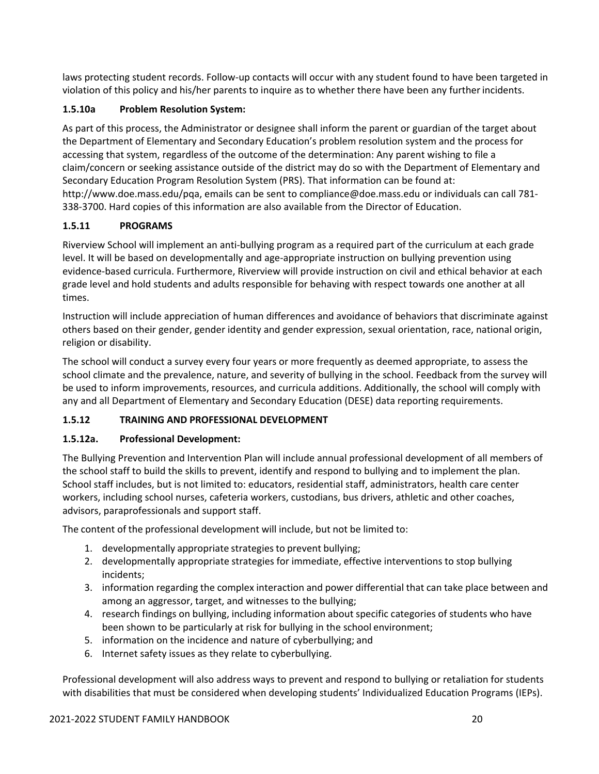laws protecting student records. Follow‐up contacts will occur with any student found to have been targeted in violation of this policy and his/her parents to inquire as to whether there have been any further incidents.

#### **1.5.10a Problem Resolution System:**

As part of this process, the Administrator or designee shall inform the parent or guardian of the target about the Department of Elementary and Secondary Education's problem resolution system and the process for accessing that system, regardless of the outcome of the determination: Any parent wishing to file a claim/concern or seeking assistance outside of the district may do so with the Department of Elementary and Secondary Education Program Resolution System (PRS). That information can be found at: http://www.doe.mass.edu/pqa, emails can be sent to compliance@doe.mass.edu or individuals can call 781‐ 338‐3700. Hard copies of this information are also available from the Director of Education.

#### **1.5.11 PROGRAMS**

Riverview School will implement an anti‐bullying program as a required part of the curriculum at each grade level. It will be based on developmentally and age‐appropriate instruction on bullying prevention using evidence‐based curricula. Furthermore, Riverview will provide instruction on civil and ethical behavior at each grade level and hold students and adults responsible for behaving with respect towards one another at all times.

Instruction will include appreciation of human differences and avoidance of behaviors that discriminate against others based on their gender, gender identity and gender expression, sexual orientation, race, national origin, religion or disability.

The school will conduct a survey every four years or more frequently as deemed appropriate, to assess the school climate and the prevalence, nature, and severity of bullying in the school. Feedback from the survey will be used to inform improvements, resources, and curricula additions. Additionally, the school will comply with any and all Department of Elementary and Secondary Education (DESE) data reporting requirements.

#### **1.5.12 TRAINING AND PROFESSIONAL DEVELOPMENT**

#### **1.5.12a. Professional Development:**

The Bullying Prevention and Intervention Plan will include annual professional development of all members of the school staff to build the skills to prevent, identify and respond to bullying and to implement the plan. School staff includes, but is not limited to: educators, residential staff, administrators, health care center workers, including school nurses, cafeteria workers, custodians, bus drivers, athletic and other coaches, advisors, paraprofessionals and support staff.

The content of the professional development will include, but not be limited to:

- 1. developmentally appropriate strategiesto prevent bullying;
- 2. developmentally appropriate strategies for immediate, effective interventions to stop bullying incidents;
- 3. information regarding the complex interaction and power differential that can take place between and among an aggressor, target, and witnesses to the bullying;
- 4. research findings on bullying, including information about specific categories of students who have been shown to be particularly at risk for bullying in the school environment;
- 5. information on the incidence and nature of cyberbullying; and
- 6. Internet safety issues as they relate to cyberbullying.

Professional development will also address ways to prevent and respond to bullying or retaliation for students with disabilities that must be considered when developing students' Individualized Education Programs (IEPs).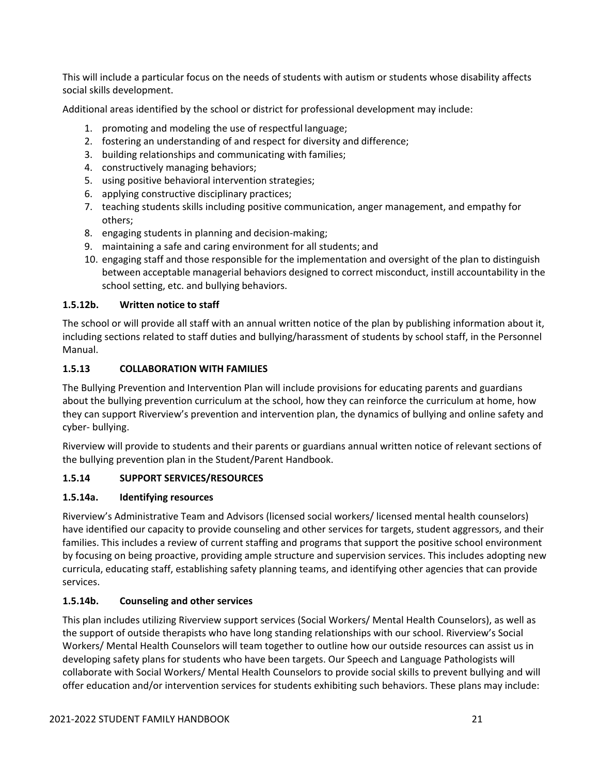This will include a particular focus on the needs of students with autism or students whose disability affects social skills development.

Additional areas identified by the school or district for professional development may include:

- 1. promoting and modeling the use of respectful language;
- 2. fostering an understanding of and respect for diversity and difference;
- 3. building relationships and communicating with families;
- 4. constructively managing behaviors;
- 5. using positive behavioral intervention strategies;
- 6. applying constructive disciplinary practices;
- 7. teaching students skills including positive communication, anger management, and empathy for others;
- 8. engaging students in planning and decision‐making;
- 9. maintaining a safe and caring environment for all students; and
- 10. engaging staff and those responsible for the implementation and oversight of the plan to distinguish between acceptable managerial behaviors designed to correct misconduct, instill accountability in the school setting, etc. and bullying behaviors.

#### **1.5.12b. Written notice to staff**

The school or will provide all staff with an annual written notice of the plan by publishing information about it, including sections related to staff duties and bullying/harassment of students by school staff, in the Personnel Manual.

#### **1.5.13 COLLABORATION WITH FAMILIES**

The Bullying Prevention and Intervention Plan will include provisions for educating parents and guardians about the bullying prevention curriculum at the school, how they can reinforce the curriculum at home, how they can support Riverview's prevention and intervention plan, the dynamics of bullying and online safety and cyber‐ bullying.

Riverview will provide to students and their parents or guardians annual written notice of relevant sections of the bullying prevention plan in the Student/Parent Handbook.

#### **1.5.14 SUPPORT SERVICES/RESOURCES**

#### **1.5.14a. Identifying resources**

Riverview's Administrative Team and Advisors (licensed social workers/ licensed mental health counselors) have identified our capacity to provide counseling and other services for targets, student aggressors, and their families. This includes a review of current staffing and programs that support the positive school environment by focusing on being proactive, providing ample structure and supervision services. This includes adopting new curricula, educating staff, establishing safety planning teams, and identifying other agencies that can provide services.

#### **1.5.14b. Counseling and other services**

This plan includes utilizing Riverview support services (Social Workers/ Mental Health Counselors), as well as the support of outside therapists who have long standing relationships with our school. Riverview's Social Workers/ Mental Health Counselors will team together to outline how our outside resources can assist us in developing safety plans for students who have been targets. Our Speech and Language Pathologists will collaborate with Social Workers/ Mental Health Counselors to provide social skills to prevent bullying and will offer education and/or intervention services for students exhibiting such behaviors. These plans may include: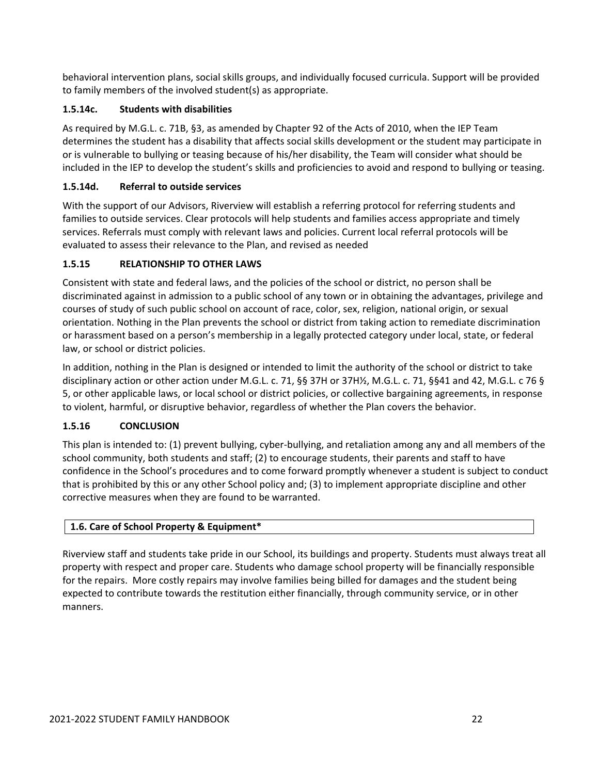behavioral intervention plans, social skills groups, and individually focused curricula. Support will be provided to family members of the involved student(s) as appropriate.

#### **1.5.14c. Students with disabilities**

As required by M.G.L. c. 71B, §3, as amended by Chapter 92 of the Acts of 2010, when the IEP Team determines the student has a disability that affects social skills development or the student may participate in or is vulnerable to bullying or teasing because of his/her disability, the Team will consider what should be included in the IEP to develop the student's skills and proficiencies to avoid and respond to bullying or teasing.

#### **1.5.14d. Referral to outside services**

With the support of our Advisors, Riverview will establish a referring protocol for referring students and families to outside services. Clear protocols will help students and families access appropriate and timely services. Referrals must comply with relevant laws and policies. Current local referral protocols will be evaluated to assess their relevance to the Plan, and revised as needed

#### **1.5.15 RELATIONSHIP TO OTHER LAWS**

Consistent with state and federal laws, and the policies of the school or district, no person shall be discriminated against in admission to a public school of any town or in obtaining the advantages, privilege and courses of study of such public school on account of race, color, sex, religion, national origin, or sexual orientation. Nothing in the Plan prevents the school or district from taking action to remediate discrimination or harassment based on a person's membership in a legally protected category under local, state, or federal law, or school or district policies.

In addition, nothing in the Plan is designed or intended to limit the authority of the school or district to take disciplinary action or other action under M.G.L. c. 71, §§ 37H or 37H½, M.G.L. c. 71, §§41 and 42, M.G.L. c 76 § 5, or other applicable laws, or local school or district policies, or collective bargaining agreements, in response to violent, harmful, or disruptive behavior, regardless of whether the Plan covers the behavior.

#### **1.5.16 CONCLUSION**

This plan is intended to: (1) prevent bullying, cyber‐bullying, and retaliation among any and all members of the school community, both students and staff; (2) to encourage students, their parents and staff to have confidence in the School's procedures and to come forward promptly whenever a student is subject to conduct that is prohibited by this or any other School policy and; (3) to implement appropriate discipline and other corrective measures when they are found to be warranted.

#### **1.6. Care of School Property & Equipment\***

Riverview staff and students take pride in our School, its buildings and property. Students must always treat all property with respect and proper care. Students who damage school property will be financially responsible for the repairs. More costly repairs may involve families being billed for damages and the student being expected to contribute towards the restitution either financially, through community service, or in other manners.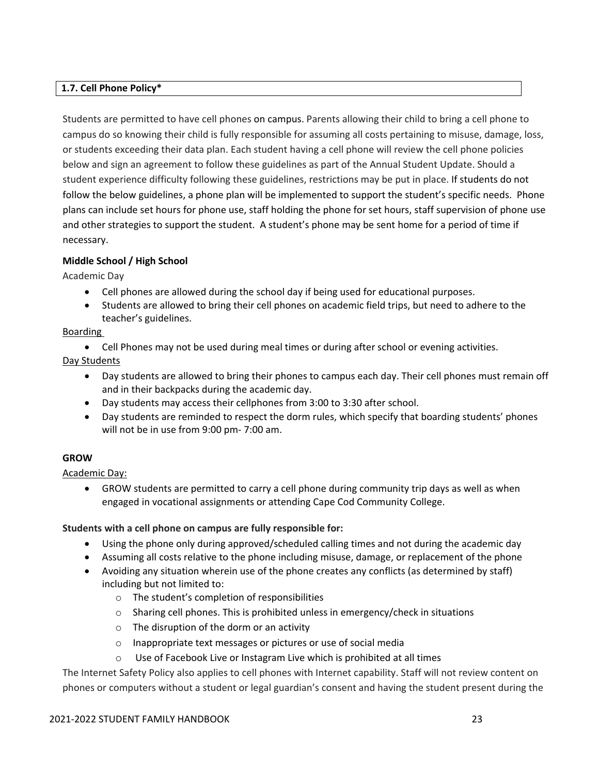#### **1.7. Cell Phone Policy\***

Students are permitted to have cell phones on campus. Parents allowing their child to bring a cell phone to campus do so knowing their child is fully responsible for assuming all costs pertaining to misuse, damage, loss, or students exceeding their data plan. Each student having a cell phone will review the cell phone policies below and sign an agreement to follow these guidelines as part of the Annual Student Update. Should a student experience difficulty following these guidelines, restrictions may be put in place. If students do not follow the below guidelines, a phone plan will be implemented to support the student's specific needs. Phone plans can include set hours for phone use, staff holding the phone for set hours, staff supervision of phone use and other strategies to support the student. A student's phone may be sent home for a period of time if necessary.

#### **Middle School / High School**

Academic Day

- Cell phones are allowed during the school day if being used for educational purposes.
- Students are allowed to bring their cell phones on academic field trips, but need to adhere to the teacher's guidelines.

#### Boarding

Cell Phones may not be used during meal times or during after school or evening activities.

Day Students

- Day students are allowed to bring their phones to campus each day. Their cell phones must remain off and in their backpacks during the academic day.
- Day students may access their cellphones from 3:00 to 3:30 after school.
- Day students are reminded to respect the dorm rules, which specify that boarding students' phones will not be in use from 9:00 pm‐ 7:00 am.

#### **GROW**

Academic Day:

 GROW students are permitted to carry a cell phone during community trip days as well as when engaged in vocational assignments or attending Cape Cod Community College.

#### **Students with a cell phone on campus are fully responsible for:**

- Using the phone only during approved/scheduled calling times and not during the academic day
- Assuming all costs relative to the phone including misuse, damage, or replacement of the phone
- Avoiding any situation wherein use of the phone creates any conflicts (as determined by staff) including but not limited to:
	- o The student's completion of responsibilities
	- o Sharing cell phones. This is prohibited unless in emergency/check in situations
	- o The disruption of the dorm or an activity
	- o Inappropriate text messages or pictures or use of social media
	- $\circ$  Use of Facebook Live or Instagram Live which is prohibited at all times

The Internet Safety Policy also applies to cell phones with Internet capability. Staff will not review content on phones or computers without a student or legal guardian's consent and having the student present during the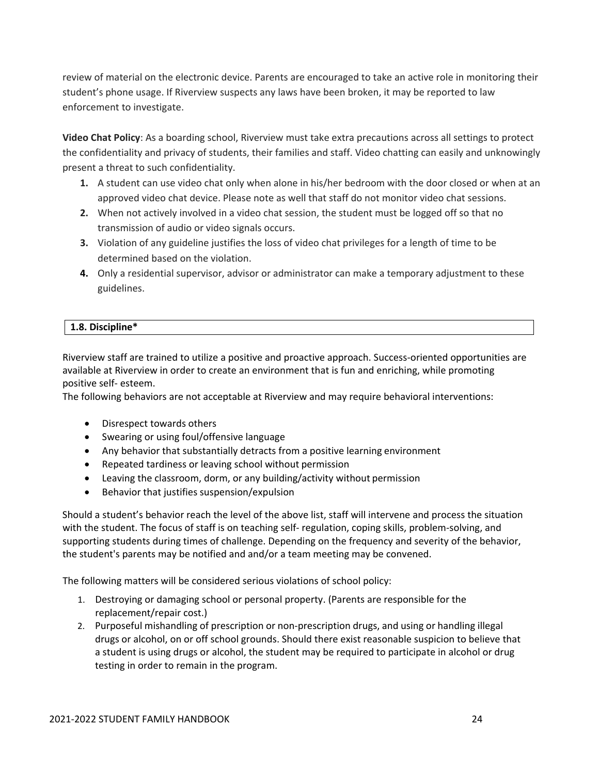review of material on the electronic device. Parents are encouraged to take an active role in monitoring their student's phone usage. If Riverview suspects any laws have been broken, it may be reported to law enforcement to investigate.

**Video Chat Policy**: As a boarding school, Riverview must take extra precautions across all settings to protect the confidentiality and privacy of students, their families and staff. Video chatting can easily and unknowingly present a threat to such confidentiality.

- **1.** A student can use video chat only when alone in his/her bedroom with the door closed or when at an approved video chat device. Please note as well that staff do not monitor video chat sessions.
- **2.** When not actively involved in a video chat session, the student must be logged off so that no transmission of audio or video signals occurs.
- **3.** Violation of any guideline justifies the loss of video chat privileges for a length of time to be determined based on the violation.
- **4.** Only a residential supervisor, advisor or administrator can make a temporary adjustment to these guidelines.

#### **1.8. Discipline\***

Riverview staff are trained to utilize a positive and proactive approach. Success-oriented opportunities are available at Riverview in order to create an environment that is fun and enriching, while promoting positive self‐ esteem.

The following behaviors are not acceptable at Riverview and may require behavioral interventions:

- Disrespect towards others
- Swearing or using foul/offensive language
- Any behavior that substantially detracts from a positive learning environment
- Repeated tardiness or leaving school without permission
- Leaving the classroom, dorm, or any building/activity without permission
- Behavior that justifies suspension/expulsion

Should a student's behavior reach the level of the above list, staff will intervene and process the situation with the student. The focus of staff is on teaching self- regulation, coping skills, problem-solving, and supporting students during times of challenge. Depending on the frequency and severity of the behavior, the student's parents may be notified and and/or a team meeting may be convened.

The following matters will be considered serious violations of school policy:

- 1. Destroying or damaging school or personal property. (Parents are responsible for the replacement/repair cost.)
- 2. Purposeful mishandling of prescription or non‐prescription drugs, and using or handling illegal drugs or alcohol, on or off school grounds. Should there exist reasonable suspicion to believe that a student is using drugs or alcohol, the student may be required to participate in alcohol or drug testing in order to remain in the program.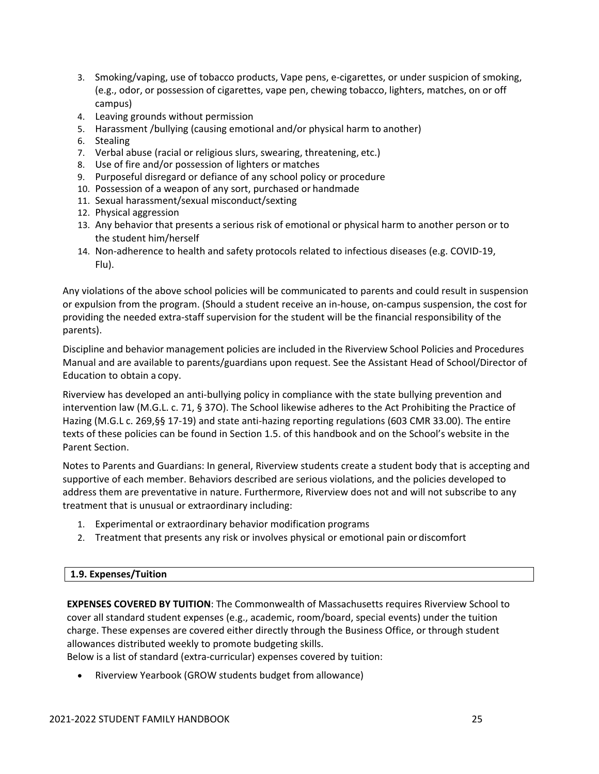- 3. Smoking/vaping, use of tobacco products, Vape pens, e‐cigarettes, or under suspicion of smoking, (e.g., odor, or possession of cigarettes, vape pen, chewing tobacco, lighters, matches, on or off campus)
- 4. Leaving grounds without permission
- 5. Harassment /bullying (causing emotional and/or physical harm to another)
- 6. Stealing
- 7. Verbal abuse (racial or religious slurs, swearing, threatening, etc.)
- 8. Use of fire and/or possession of lighters or matches
- 9. Purposeful disregard or defiance of any school policy or procedure
- 10. Possession of a weapon of any sort, purchased or handmade
- 11. Sexual harassment/sexual misconduct/sexting
- 12. Physical aggression
- 13. Any behavior that presents a serious risk of emotional or physical harm to another person or to the student him/herself
- 14. Non‐adherence to health and safety protocols related to infectious diseases (e.g. COVID‐19, Flu).

Any violations of the above school policies will be communicated to parents and could result in suspension or expulsion from the program. (Should a student receive an in‐house, on‐campus suspension, the cost for providing the needed extra‐staff supervision for the student will be the financial responsibility of the parents).

Discipline and behavior management policies are included in the Riverview School Policies and Procedures Manual and are available to parents/guardians upon request. See the Assistant Head of School/Director of Education to obtain a copy.

Riverview has developed an anti‐bullying policy in compliance with the state bullying prevention and intervention law (M.G.L. c. 71, § 37O). The School likewise adheres to the Act Prohibiting the Practice of Hazing (M.G.L c. 269,§§ 17-19) and state anti-hazing reporting regulations (603 CMR 33.00). The entire texts of these policies can be found in Section 1.5. of this handbook and on the School's website in the Parent Section.

Notes to Parents and Guardians: In general, Riverview students create a student body that is accepting and supportive of each member. Behaviors described are serious violations, and the policies developed to address them are preventative in nature. Furthermore, Riverview does not and will not subscribe to any treatment that is unusual or extraordinary including:

- 1. Experimental or extraordinary behavior modification programs
- 2. Treatment that presents any risk or involves physical or emotional pain or discomfort

#### **1.9. Expenses/Tuition**

**EXPENSES COVERED BY TUITION**: The Commonwealth of Massachusetts requires Riverview School to cover all standard student expenses (e.g., academic, room/board, special events) under the tuition charge. These expenses are covered either directly through the Business Office, or through student allowances distributed weekly to promote budgeting skills.

Below is a list of standard (extra‐curricular) expenses covered by tuition:

Riverview Yearbook (GROW students budget from allowance)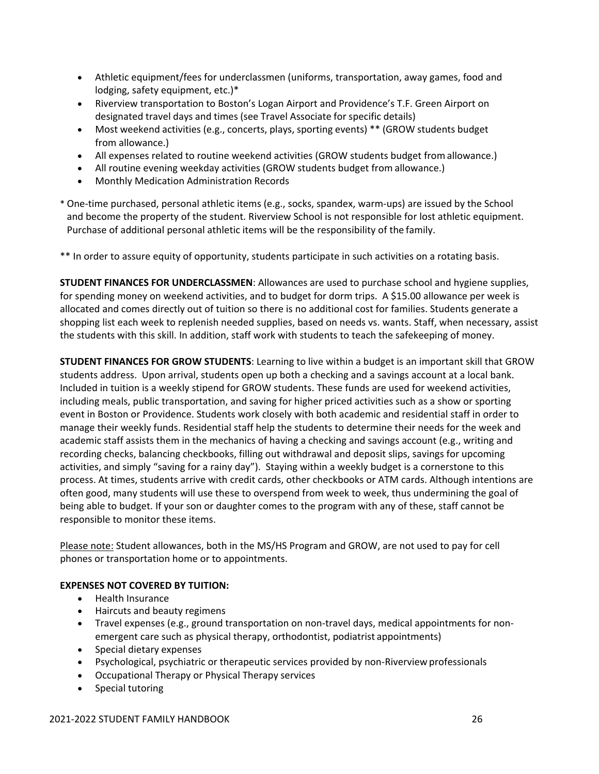- Athletic equipment/fees for underclassmen (uniforms, transportation, away games, food and lodging, safety equipment, etc.)\*
- Riverview transportation to Boston's Logan Airport and Providence's T.F. Green Airport on designated travel days and times (see Travel Associate for specific details)
- Most weekend activities (e.g., concerts, plays, sporting events) \*\* (GROW students budget from allowance.)
- All expenses related to routine weekend activities (GROW students budget fromallowance.)
- All routine evening weekday activities (GROW students budget from allowance.)
- Monthly Medication Administration Records
- \* One‐time purchased, personal athletic items (e.g., socks, spandex, warm‐ups) are issued by the School and become the property of the student. Riverview School is not responsible for lost athletic equipment. Purchase of additional personal athletic items will be the responsibility of the family.

\*\* In order to assure equity of opportunity, students participate in such activities on a rotating basis.

**STUDENT FINANCES FOR UNDERCLASSMEN**: Allowances are used to purchase school and hygiene supplies, for spending money on weekend activities, and to budget for dorm trips. A \$15.00 allowance per week is allocated and comes directly out of tuition so there is no additional cost for families. Students generate a shopping list each week to replenish needed supplies, based on needs vs. wants. Staff, when necessary, assist the students with this skill. In addition, staff work with students to teach the safekeeping of money.

**STUDENT FINANCES FOR GROW STUDENTS**: Learning to live within a budget is an important skill that GROW students address. Upon arrival, students open up both a checking and a savings account at a local bank. Included in tuition is a weekly stipend for GROW students. These funds are used for weekend activities, including meals, public transportation, and saving for higher priced activities such as a show or sporting event in Boston or Providence. Students work closely with both academic and residential staff in order to manage their weekly funds. Residential staff help the students to determine their needs for the week and academic staff assists them in the mechanics of having a checking and savings account (e.g., writing and recording checks, balancing checkbooks, filling out withdrawal and deposit slips, savings for upcoming activities, and simply "saving for a rainy day"). Staying within a weekly budget is a cornerstone to this process. At times, students arrive with credit cards, other checkbooks or ATM cards. Although intentions are often good, many students will use these to overspend from week to week, thus undermining the goal of being able to budget. If your son or daughter comes to the program with any of these, staff cannot be responsible to monitor these items.

Please note: Student allowances, both in the MS/HS Program and GROW, are not used to pay for cell phones or transportation home or to appointments.

#### **EXPENSES NOT COVERED BY TUITION:**

- Health Insurance
- Haircuts and beauty regimens
- Travel expenses (e.g., ground transportation on non-travel days, medical appointments for nonemergent care such as physical therapy, orthodontist, podiatrist appointments)
- Special dietary expenses
- Psychological, psychiatric or therapeutic services provided by non‐Riverview professionals
- Occupational Therapy or Physical Therapy services
- Special tutoring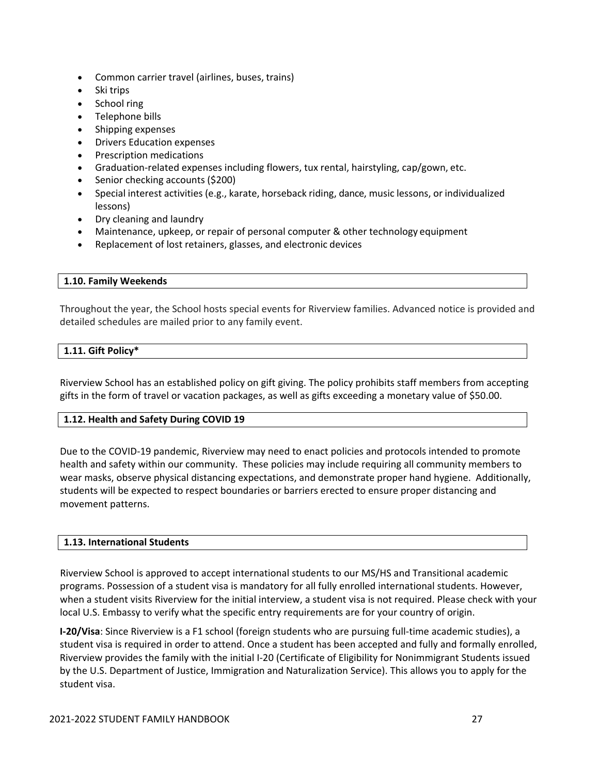- Common carrier travel (airlines, buses, trains)
- Ski trips
- School ring
- Telephone bills
- Shipping expenses
- Drivers Education expenses
- Prescription medications
- Graduation‐related expenses including flowers, tux rental, hairstyling, cap/gown, etc.
- Senior checking accounts (\$200)
- Special interest activities (e.g., karate, horseback riding, dance, music lessons, or individualized lessons)
- Dry cleaning and laundry
- Maintenance, upkeep, or repair of personal computer & other technology equipment
- Replacement of lost retainers, glasses, and electronic devices

#### **1.10. Family Weekends**

Throughout the year, the School hosts special events for Riverview families. Advanced notice is provided and detailed schedules are mailed prior to any family event.

#### **1.11. Gift Policy\***

Riverview School has an established policy on gift giving. The policy prohibits staff members from accepting gifts in the form of travel or vacation packages, as well as gifts exceeding a monetary value of \$50.00.

#### **1.12. Health and Safety During COVID 19**

Due to the COVID‐19 pandemic, Riverview may need to enact policies and protocols intended to promote health and safety within our community. These policies may include requiring all community members to wear masks, observe physical distancing expectations, and demonstrate proper hand hygiene. Additionally, students will be expected to respect boundaries or barriers erected to ensure proper distancing and movement patterns.

#### **1.13. International Students**

Riverview School is approved to accept international students to our MS/HS and Transitional academic programs. Possession of a student visa is mandatory for all fully enrolled international students. However, when a student visits Riverview for the initial interview, a student visa is not required. Please check with your local U.S. Embassy to verify what the specific entry requirements are for your country of origin.

**I‐20/Visa**: Since Riverview is a F1 school (foreign students who are pursuing full‐time academic studies), a student visa is required in order to attend. Once a student has been accepted and fully and formally enrolled, Riverview provides the family with the initial I‐20 (Certificate of Eligibility for Nonimmigrant Students issued by the U.S. Department of Justice, Immigration and Naturalization Service). This allows you to apply for the student visa.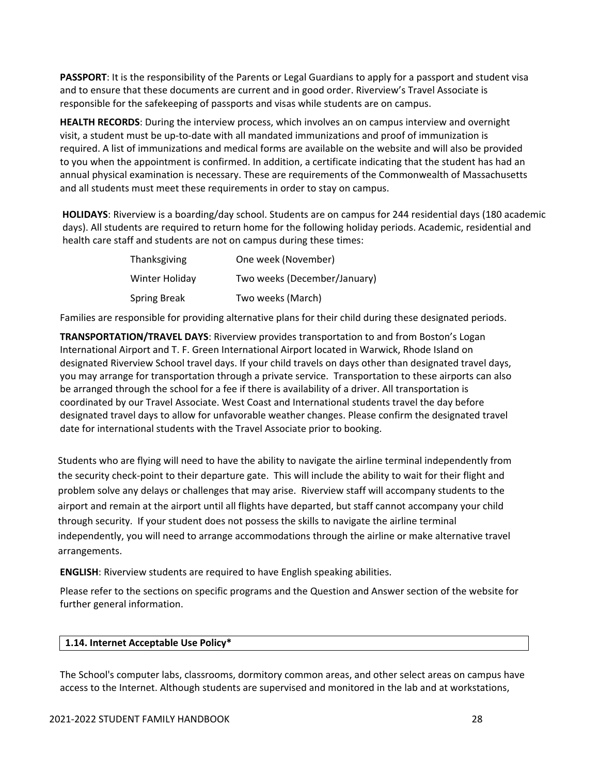**PASSPORT**: It is the responsibility of the Parents or Legal Guardians to apply for a passport and student visa and to ensure that these documents are current and in good order. Riverview's Travel Associate is responsible for the safekeeping of passports and visas while students are on campus.

**HEALTH RECORDS**: During the interview process, which involves an on campus interview and overnight visit, a student must be up‐to‐date with all mandated immunizations and proof of immunization is required. A list of immunizations and medical forms are available on the website and will also be provided to you when the appointment is confirmed. In addition, a certificate indicating that the student has had an annual physical examination is necessary. These are requirements of the Commonwealth of Massachusetts and all students must meet these requirements in order to stay on campus.

**HOLIDAYS**: Riverview is a boarding/day school. Students are on campus for 244 residential days (180 academic days). All students are required to return home for the following holiday periods. Academic, residential and health care staff and students are not on campus during these times:

| Thanksgiving        | One week (November)          |
|---------------------|------------------------------|
| Winter Holiday      | Two weeks (December/January) |
| <b>Spring Break</b> | Two weeks (March)            |

Families are responsible for providing alternative plans for their child during these designated periods.

**TRANSPORTATION/TRAVEL DAYS**: Riverview provides transportation to and from Boston's Logan International Airport and T. F. Green International Airport located in Warwick, Rhode Island on designated Riverview School travel days. If your child travels on days other than designated travel days, you may arrange for transportation through a private service. Transportation to these airports can also be arranged through the school for a fee if there is availability of a driver. All transportation is coordinated by our Travel Associate. West Coast and International students travel the day before designated travel days to allow for unfavorable weather changes. Please confirm the designated travel date for international students with the Travel Associate prior to booking.

Students who are flying will need to have the ability to navigate the airline terminal independently from the security check‐point to their departure gate. This will include the ability to wait for their flight and problem solve any delays or challenges that may arise. Riverview staff will accompany students to the airport and remain at the airport until all flights have departed, but staff cannot accompany your child through security. If your student does not possess the skills to navigate the airline terminal independently, you will need to arrange accommodations through the airline or make alternative travel arrangements.

**ENGLISH**: Riverview students are required to have English speaking abilities.

Please refer to the sections on specific programs and the Question and Answer section of the website for further general information.

#### **1.14. Internet Acceptable Use Policy\***

The School's computer labs, classrooms, dormitory common areas, and other select areas on campus have access to the Internet. Although students are supervised and monitored in the lab and at workstations,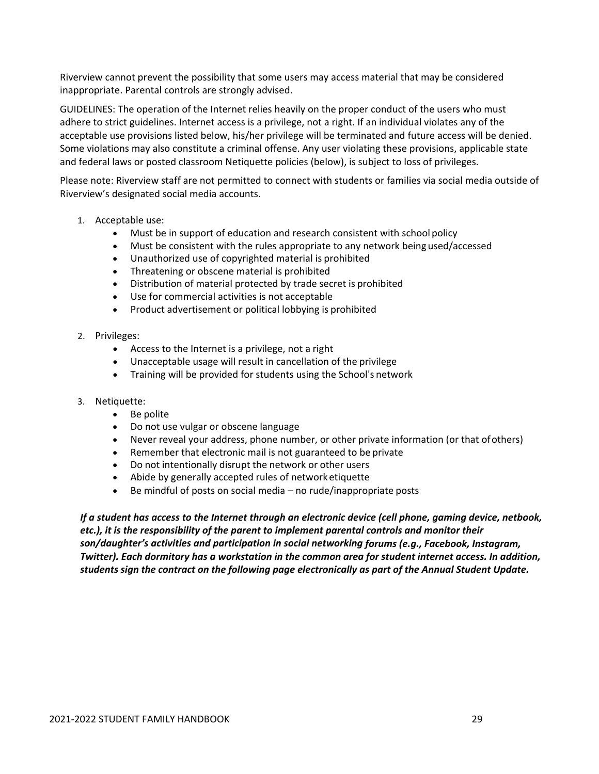Riverview cannot prevent the possibility that some users may access material that may be considered inappropriate. Parental controls are strongly advised.

GUIDELINES: The operation of the Internet relies heavily on the proper conduct of the users who must adhere to strict guidelines. Internet access is a privilege, not a right. If an individual violates any of the acceptable use provisions listed below, his/her privilege will be terminated and future access will be denied. Some violations may also constitute a criminal offense. Any user violating these provisions, applicable state and federal laws or posted classroom Netiquette policies (below), is subject to loss of privileges.

Please note: Riverview staff are not permitted to connect with students or families via social media outside of Riverview's designated social media accounts.

- 1. Acceptable use:
	- Must be in support of education and research consistent with school policy
	- Must be consistent with the rules appropriate to any network being used/accessed
	- Unauthorized use of copyrighted material is prohibited
	- Threatening or obscene material is prohibited
	- Distribution of material protected by trade secret is prohibited
	- Use for commercial activities is not acceptable
	- Product advertisement or political lobbying is prohibited
- 2. Privileges:
	- Access to the Internet is a privilege, not a right
	- Unacceptable usage will result in cancellation of the privilege
	- Training will be provided for students using the School's network
- 3. Netiquette:
	- Be polite
	- Do not use vulgar or obscene language
	- Never reveal your address, phone number, or other private information (or that ofothers)
	- Remember that electronic mail is not guaranteed to be private
	- Do not intentionally disrupt the network or other users
	- Abide by generally accepted rules of network etiquette
	- $\bullet$  Be mindful of posts on social media no rude/inappropriate posts

*If a student has access to the Internet through an electronic device (cell phone, gaming device, netbook, etc.), it is the responsibility of the parent to implement parental controls and monitor their son/daughter's activities and participation in social networking forums (e.g., Facebook, Instagram, Twitter). Each dormitory has a workstation in the common area for student internet access. In addition, students sign the contract on the following page electronically as part of the Annual Student Update.*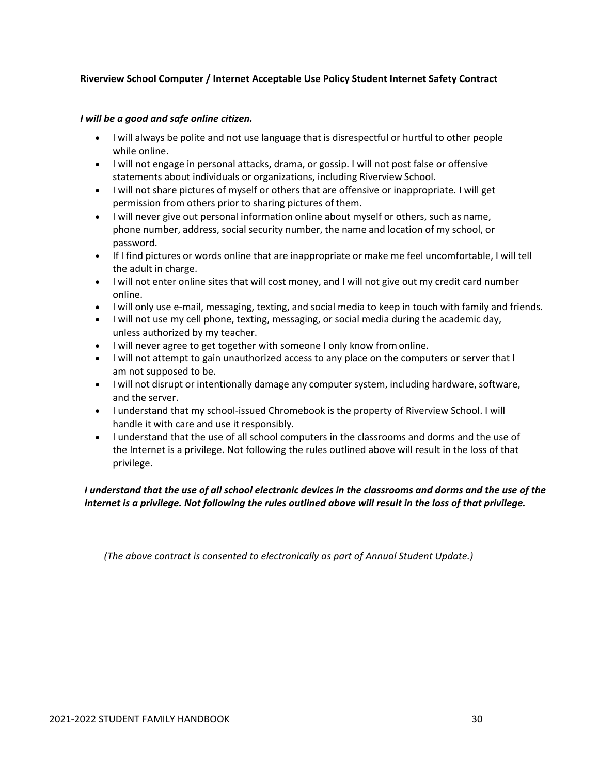#### **Riverview School Computer / Internet Acceptable Use Policy Student Internet Safety Contract**

#### *I will be a good and safe online citizen.*

- I will always be polite and not use language that is disrespectful or hurtful to other people while online.
- I will not engage in personal attacks, drama, or gossip. I will not post false or offensive statements about individuals or organizations, including Riverview School.
- I will not share pictures of myself or others that are offensive or inappropriate. I will get permission from others prior to sharing pictures of them.
- I will never give out personal information online about myself or others, such as name, phone number, address, social security number, the name and location of my school, or password.
- If I find pictures or words online that are inappropriate or make me feel uncomfortable, I will tell the adult in charge.
- I will not enter online sites that will cost money, and I will not give out my credit card number online.
- I will only use e‐mail, messaging, texting, and social media to keep in touch with family and friends.
- I will not use my cell phone, texting, messaging, or social media during the academic day, unless authorized by my teacher.
- I will never agree to get together with someone I only know fromonline.
- I will not attempt to gain unauthorized access to any place on the computers or server that I am not supposed to be.
- I will not disrupt or intentionally damage any computer system, including hardware, software, and the server.
- I understand that my school‐issued Chromebook is the property of Riverview School. I will handle it with care and use it responsibly.
- I understand that the use of all school computers in the classrooms and dorms and the use of the Internet is a privilege. Not following the rules outlined above will result in the loss of that privilege.

#### I understand that the use of all school electronic devices in the classrooms and dorms and the use of the Internet is a privilege. Not following the rules outlined above will result in the loss of that privilege.

*(The above contract is consented to electronically as part of Annual Student Update.)*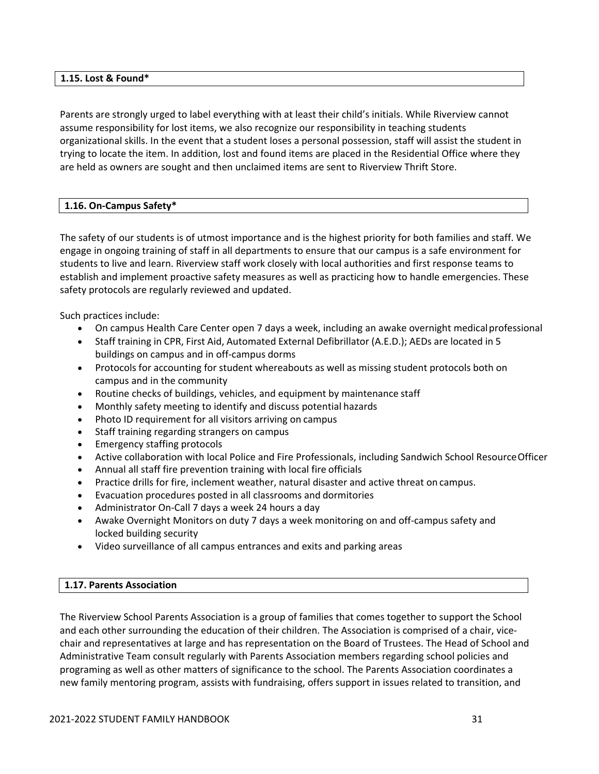#### **1.15. Lost & Found\***

Parents are strongly urged to label everything with at least their child's initials. While Riverview cannot assume responsibility for lost items, we also recognize our responsibility in teaching students organizational skills. In the event that a student loses a personal possession, staff will assist the student in trying to locate the item. In addition, lost and found items are placed in the Residential Office where they are held as owners are sought and then unclaimed items are sent to Riverview Thrift Store.

#### **1.16. On‐Campus Safety\***

The safety of our students is of utmost importance and is the highest priority for both families and staff. We engage in ongoing training of staff in all departments to ensure that our campus is a safe environment for students to live and learn. Riverview staff work closely with local authorities and first response teams to establish and implement proactive safety measures as well as practicing how to handle emergencies. These safety protocols are regularly reviewed and updated.

Such practices include:

- On campus Health Care Center open 7 days a week, including an awake overnight medicalprofessional
- Staff training in CPR, First Aid, Automated External Defibrillator (A.E.D.); AEDs are located in 5 buildings on campus and in off‐campus dorms
- Protocols for accounting for student whereabouts as well as missing student protocols both on campus and in the community
- Routine checks of buildings, vehicles, and equipment by maintenance staff
- Monthly safety meeting to identify and discuss potential hazards
- Photo ID requirement for all visitors arriving on campus
- Staff training regarding strangers on campus
- Emergency staffing protocols
- Active collaboration with local Police and Fire Professionals, including Sandwich School ResourceOfficer
- Annual all staff fire prevention training with local fire officials
- Practice drills for fire, inclement weather, natural disaster and active threat on campus.
- Evacuation procedures posted in all classrooms and dormitories
- Administrator On‐Call 7 days a week 24 hours a day
- Awake Overnight Monitors on duty 7 days a week monitoring on and off‐campus safety and locked building security
- Video surveillance of all campus entrances and exits and parking areas

#### **1.17. Parents Association**

The Riverview School Parents Association is a group of families that comes together to support the School and each other surrounding the education of their children. The Association is comprised of a chair, vicechair and representatives at large and has representation on the Board of Trustees. The Head of School and Administrative Team consult regularly with Parents Association members regarding school policies and programing as well as other matters of significance to the school. The Parents Association coordinates a new family mentoring program, assists with fundraising, offers support in issues related to transition, and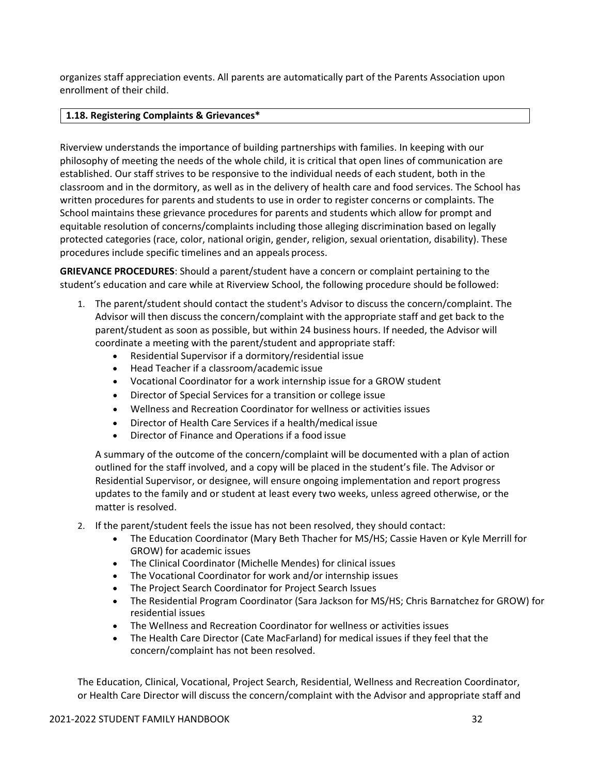organizes staff appreciation events. All parents are automatically part of the Parents Association upon enrollment of their child.

#### **1.18. Registering Complaints & Grievances\***

Riverview understands the importance of building partnerships with families. In keeping with our philosophy of meeting the needs of the whole child, it is critical that open lines of communication are established. Our staff strives to be responsive to the individual needs of each student, both in the classroom and in the dormitory, as well as in the delivery of health care and food services. The School has written procedures for parents and students to use in order to register concerns or complaints. The School maintains these grievance procedures for parents and students which allow for prompt and equitable resolution of concerns/complaints including those alleging discrimination based on legally protected categories (race, color, national origin, gender, religion, sexual orientation, disability). These procedures include specific timelines and an appeals process.

**GRIEVANCE PROCEDURES**: Should a parent/student have a concern or complaint pertaining to the student's education and care while at Riverview School, the following procedure should be followed:

- 1. The parent/student should contact the student's Advisor to discuss the concern/complaint. The Advisor will then discuss the concern/complaint with the appropriate staff and get back to the parent/student as soon as possible, but within 24 business hours. If needed, the Advisor will coordinate a meeting with the parent/student and appropriate staff:
	- Residential Supervisor if a dormitory/residential issue
	- Head Teacher if a classroom/academic issue
	- Vocational Coordinator for a work internship issue for a GROW student
	- Director of Special Services for a transition or college issue
	- Wellness and Recreation Coordinator for wellness or activities issues
	- Director of Health Care Services if a health/medical issue
	- Director of Finance and Operations if a food issue

A summary of the outcome of the concern/complaint will be documented with a plan of action outlined for the staff involved, and a copy will be placed in the student's file. The Advisor or Residential Supervisor, or designee, will ensure ongoing implementation and report progress updates to the family and or student at least every two weeks, unless agreed otherwise, or the matter is resolved.

- 2. If the parent/student feels the issue has not been resolved, they should contact:
	- The Education Coordinator (Mary Beth Thacher for MS/HS; Cassie Haven or Kyle Merrill for GROW) for academic issues
	- The Clinical Coordinator (Michelle Mendes) for clinical issues
	- The Vocational Coordinator for work and/or internship issues
	- The Project Search Coordinator for Project Search Issues
	- The Residential Program Coordinator (Sara Jackson for MS/HS; Chris Barnatchez for GROW) for residential issues
	- The Wellness and Recreation Coordinator for wellness or activities issues
	- The Health Care Director (Cate MacFarland) for medical issues if they feel that the concern/complaint has not been resolved.

The Education, Clinical, Vocational, Project Search, Residential, Wellness and Recreation Coordinator, or Health Care Director will discuss the concern/complaint with the Advisor and appropriate staff and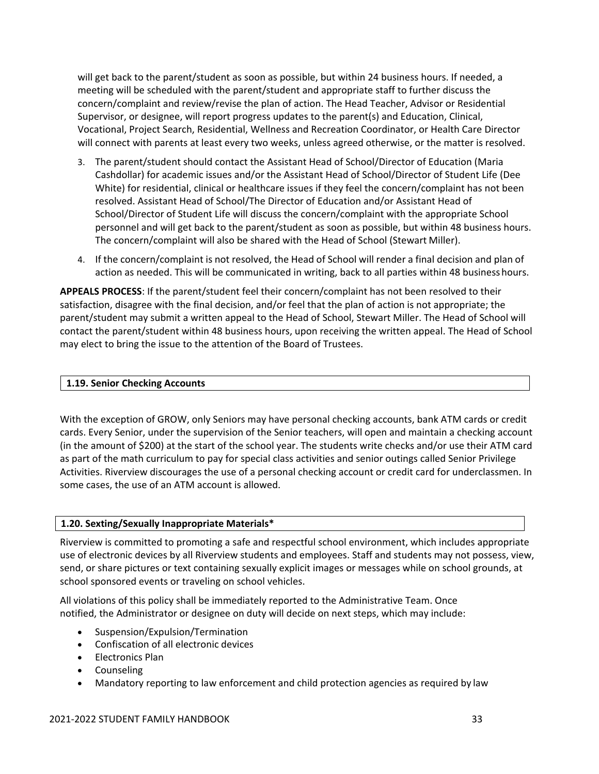will get back to the parent/student as soon as possible, but within 24 business hours. If needed, a meeting will be scheduled with the parent/student and appropriate staff to further discuss the concern/complaint and review/revise the plan of action. The Head Teacher, Advisor or Residential Supervisor, or designee, will report progress updates to the parent(s) and Education, Clinical, Vocational, Project Search, Residential, Wellness and Recreation Coordinator, or Health Care Director will connect with parents at least every two weeks, unless agreed otherwise, or the matter is resolved.

- 3. The parent/student should contact the Assistant Head of School/Director of Education (Maria Cashdollar) for academic issues and/or the Assistant Head of School/Director of Student Life (Dee White) for residential, clinical or healthcare issues if they feel the concern/complaint has not been resolved. Assistant Head of School/The Director of Education and/or Assistant Head of School/Director of Student Life will discuss the concern/complaint with the appropriate School personnel and will get back to the parent/student as soon as possible, but within 48 business hours. The concern/complaint will also be shared with the Head of School (Stewart Miller).
- 4. If the concern/complaint is not resolved, the Head of School will render a final decision and plan of action as needed. This will be communicated in writing, back to all parties within 48 business hours.

**APPEALS PROCESS**: If the parent/student feel their concern/complaint has not been resolved to their satisfaction, disagree with the final decision, and/or feel that the plan of action is not appropriate; the parent/student may submit a written appeal to the Head of School, Stewart Miller. The Head of School will contact the parent/student within 48 business hours, upon receiving the written appeal. The Head of School may elect to bring the issue to the attention of the Board of Trustees.

#### **1.19. Senior Checking Accounts**

With the exception of GROW, only Seniors may have personal checking accounts, bank ATM cards or credit cards. Every Senior, under the supervision of the Senior teachers, will open and maintain a checking account (in the amount of \$200) at the start of the school year. The students write checks and/or use their ATM card as part of the math curriculum to pay for special class activities and senior outings called Senior Privilege Activities. Riverview discourages the use of a personal checking account or credit card for underclassmen. In some cases, the use of an ATM account is allowed.

#### **1.20. Sexting/Sexually Inappropriate Materials\***

Riverview is committed to promoting a safe and respectful school environment, which includes appropriate use of electronic devices by all Riverview students and employees. Staff and students may not possess, view, send, or share pictures or text containing sexually explicit images or messages while on school grounds, at school sponsored events or traveling on school vehicles.

All violations of this policy shall be immediately reported to the Administrative Team. Once notified, the Administrator or designee on duty will decide on next steps, which may include:

- Suspension/Expulsion/Termination
- Confiscation of all electronic devices
- Electronics Plan
- Counseling
- Mandatory reporting to law enforcement and child protection agencies as required by law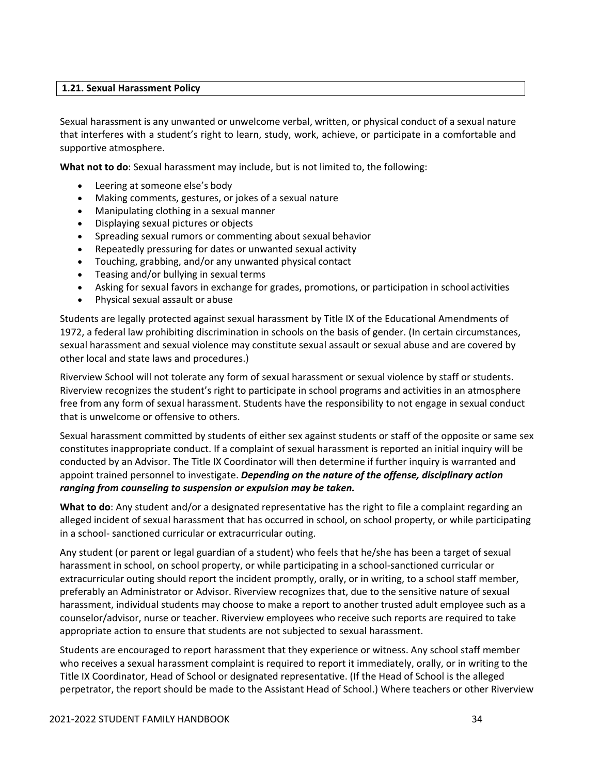#### **1.21. Sexual Harassment Policy**

Sexual harassment is any unwanted or unwelcome verbal, written, or physical conduct of a sexual nature that interferes with a student's right to learn, study, work, achieve, or participate in a comfortable and supportive atmosphere.

**What not to do**: Sexual harassment may include, but is not limited to, the following:

- Leering at someone else's body
- Making comments, gestures, or jokes of a sexual nature
- Manipulating clothing in a sexual manner
- Displaying sexual pictures or objects
- Spreading sexual rumors or commenting about sexual behavior
- Repeatedly pressuring for dates or unwanted sexual activity
- Touching, grabbing, and/or any unwanted physical contact
- Teasing and/or bullying in sexual terms
- Asking for sexual favors in exchange for grades, promotions, or participation in school activities
- Physical sexual assault or abuse

Students are legally protected against sexual harassment by Title IX of the Educational Amendments of 1972, a federal law prohibiting discrimination in schools on the basis of gender. (In certain circumstances, sexual harassment and sexual violence may constitute sexual assault or sexual abuse and are covered by other local and state laws and procedures.)

Riverview School will not tolerate any form of sexual harassment or sexual violence by staff or students. Riverview recognizes the student's right to participate in school programs and activities in an atmosphere free from any form of sexual harassment. Students have the responsibility to not engage in sexual conduct that is unwelcome or offensive to others.

Sexual harassment committed by students of either sex against students or staff of the opposite or same sex constitutes inappropriate conduct. If a complaint of sexual harassment is reported an initial inquiry will be conducted by an Advisor. The Title IX Coordinator will then determine if further inquiry is warranted and appoint trained personnel to investigate. *Depending on the nature of the offense, disciplinary action ranging from counseling to suspension or expulsion may be taken.*

**What to do**: Any student and/or a designated representative has the right to file a complaint regarding an alleged incident of sexual harassment that has occurred in school, on school property, or while participating in a school‐ sanctioned curricular or extracurricular outing.

Any student (or parent or legal guardian of a student) who feels that he/she has been a target of sexual harassment in school, on school property, or while participating in a school‐sanctioned curricular or extracurricular outing should report the incident promptly, orally, or in writing, to a school staff member, preferably an Administrator or Advisor. Riverview recognizes that, due to the sensitive nature of sexual harassment, individual students may choose to make a report to another trusted adult employee such as a counselor/advisor, nurse or teacher. Riverview employees who receive such reports are required to take appropriate action to ensure that students are not subjected to sexual harassment.

Students are encouraged to report harassment that they experience or witness. Any school staff member who receives a sexual harassment complaint is required to report it immediately, orally, or in writing to the Title IX Coordinator, Head of School or designated representative. (If the Head of School is the alleged perpetrator, the report should be made to the Assistant Head of School.) Where teachers or other Riverview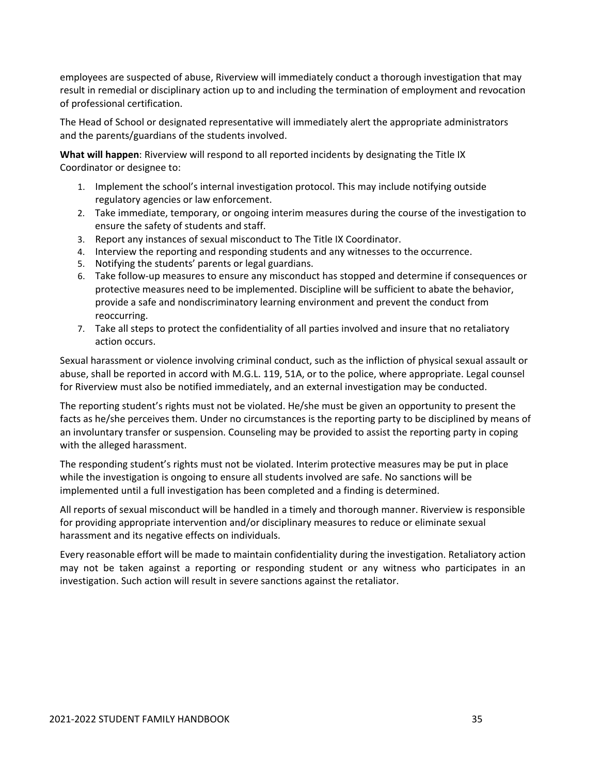employees are suspected of abuse, Riverview will immediately conduct a thorough investigation that may result in remedial or disciplinary action up to and including the termination of employment and revocation of professional certification.

The Head of School or designated representative will immediately alert the appropriate administrators and the parents/guardians of the students involved.

**What will happen**: Riverview will respond to all reported incidents by designating the Title IX Coordinator or designee to:

- 1. Implement the school's internal investigation protocol. This may include notifying outside regulatory agencies or law enforcement.
- 2. Take immediate, temporary, or ongoing interim measures during the course of the investigation to ensure the safety of students and staff.
- 3. Report any instances of sexual misconduct to The Title IX Coordinator.
- 4. Interview the reporting and responding students and any witnesses to the occurrence.
- 5. Notifying the students' parents or legal guardians.
- 6. Take follow‐up measures to ensure any misconduct has stopped and determine if consequences or protective measures need to be implemented. Discipline will be sufficient to abate the behavior, provide a safe and nondiscriminatory learning environment and prevent the conduct from reoccurring.
- 7. Take all steps to protect the confidentiality of all parties involved and insure that no retaliatory action occurs.

Sexual harassment or violence involving criminal conduct, such as the infliction of physical sexual assault or abuse, shall be reported in accord with M.G.L. 119, 51A, or to the police, where appropriate. Legal counsel for Riverview must also be notified immediately, and an external investigation may be conducted.

The reporting student's rights must not be violated. He/she must be given an opportunity to present the facts as he/she perceives them. Under no circumstances is the reporting party to be disciplined by means of an involuntary transfer or suspension. Counseling may be provided to assist the reporting party in coping with the alleged harassment.

The responding student's rights must not be violated. Interim protective measures may be put in place while the investigation is ongoing to ensure all students involved are safe. No sanctions will be implemented until a full investigation has been completed and a finding is determined.

All reports of sexual misconduct will be handled in a timely and thorough manner. Riverview is responsible for providing appropriate intervention and/or disciplinary measures to reduce or eliminate sexual harassment and its negative effects on individuals.

Every reasonable effort will be made to maintain confidentiality during the investigation. Retaliatory action may not be taken against a reporting or responding student or any witness who participates in an investigation. Such action will result in severe sanctions against the retaliator.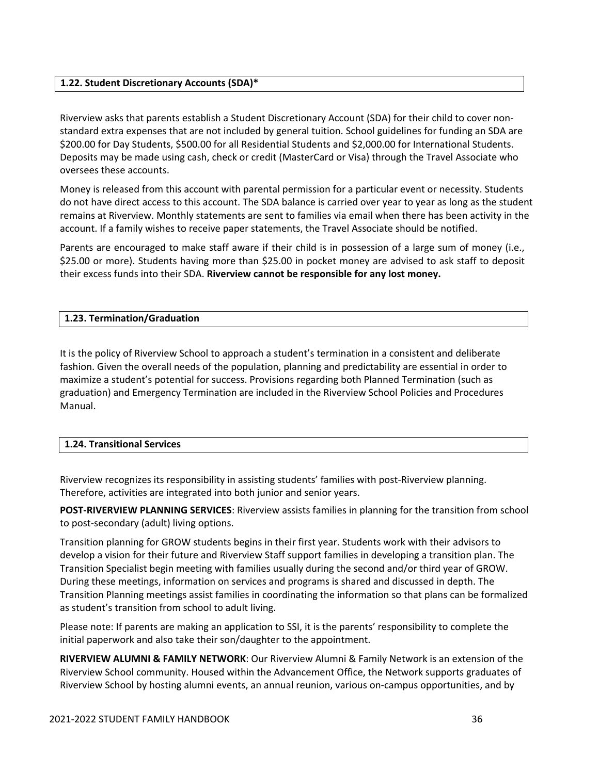#### **1.22. Student Discretionary Accounts (SDA)\***

Riverview asks that parents establish a Student Discretionary Account (SDA) for their child to cover non‐ standard extra expenses that are not included by general tuition. School guidelines for funding an SDA are \$200.00 for Day Students, \$500.00 for all Residential Students and \$2,000.00 for International Students. Deposits may be made using cash, check or credit (MasterCard or Visa) through the Travel Associate who oversees these accounts.

Money is released from this account with parental permission for a particular event or necessity. Students do not have direct access to this account. The SDA balance is carried over year to year as long as the student remains at Riverview. Monthly statements are sent to families via email when there has been activity in the account. If a family wishes to receive paper statements, the Travel Associate should be notified.

Parents are encouraged to make staff aware if their child is in possession of a large sum of money (i.e., \$25.00 or more). Students having more than \$25.00 in pocket money are advised to ask staff to deposit their excess funds into their SDA. **Riverview cannot be responsible for any lost money.**

#### **1.23. Termination/Graduation**

It is the policy of Riverview School to approach a student's termination in a consistent and deliberate fashion. Given the overall needs of the population, planning and predictability are essential in order to maximize a student's potential for success. Provisions regarding both Planned Termination (such as graduation) and Emergency Termination are included in the Riverview School Policies and Procedures Manual.

#### **1.24. Transitional Services**

Riverview recognizes its responsibility in assisting students' families with post‐Riverview planning. Therefore, activities are integrated into both junior and senior years.

**POST‐RIVERVIEW PLANNING SERVICES**: Riverview assists families in planning for the transition from school to post‐secondary (adult) living options.

Transition planning for GROW students begins in their first year. Students work with their advisors to develop a vision for their future and Riverview Staff support families in developing a transition plan. The Transition Specialist begin meeting with families usually during the second and/or third year of GROW. During these meetings, information on services and programs is shared and discussed in depth. The Transition Planning meetings assist families in coordinating the information so that plans can be formalized as student's transition from school to adult living.

Please note: If parents are making an application to SSI, it is the parents' responsibility to complete the initial paperwork and also take their son/daughter to the appointment.

**RIVERVIEW ALUMNI & FAMILY NETWORK**: Our Riverview Alumni & Family Network is an extension of the Riverview School community. Housed within the Advancement Office, the Network supports graduates of Riverview School by hosting alumni events, an annual reunion, various on‐campus opportunities, and by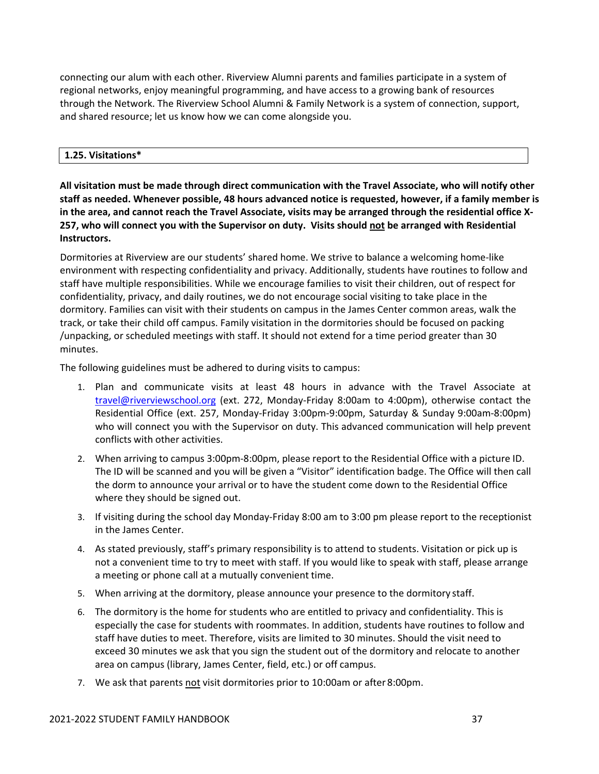connecting our alum with each other. Riverview Alumni parents and families participate in a system of regional networks, enjoy meaningful programming, and have access to a growing bank of resources through the Network. The Riverview School Alumni & Family Network is a system of connection, support, and shared resource; let us know how we can come alongside you.

## **1.25. Visitations\***

**All visitation must be made through direct communication with the Travel Associate, who will notify other staff as needed. Whenever possible, 48 hours advanced notice is requested, however, if a family member is** in the area, and cannot reach the Travel Associate, visits may be arranged through the residential office X-257, who will connect you with the Supervisor on duty. Visits should not be arranged with Residential **Instructors.**

Dormitories at Riverview are our students' shared home. We strive to balance a welcoming home-like environment with respecting confidentiality and privacy. Additionally, students have routines to follow and staff have multiple responsibilities. While we encourage families to visit their children, out of respect for confidentiality, privacy, and daily routines, we do not encourage social visiting to take place in the dormitory. Families can visit with their students on campus in the James Center common areas, walk the track, or take their child off campus. Family visitation in the dormitories should be focused on packing /unpacking, or scheduled meetings with staff. It should not extend for a time period greater than 30 minutes.

The following guidelines must be adhered to during visits to campus:

- 1. Plan and communicate visits at least 48 hours in advance with the Travel Associate at travel@riverviewschool.org (ext. 272, Monday‐Friday 8:00am to 4:00pm), otherwise contact the Residential Office (ext. 257, Monday‐Friday 3:00pm‐9:00pm, Saturday & Sunday 9:00am‐8:00pm) who will connect you with the Supervisor on duty. This advanced communication will help prevent conflicts with other activities.
- 2. When arriving to campus 3:00pm‐8:00pm, please report to the Residential Office with a picture ID. The ID will be scanned and you will be given a "Visitor" identification badge. The Office will then call the dorm to announce your arrival or to have the student come down to the Residential Office where they should be signed out.
- 3. If visiting during the school day Monday‐Friday 8:00 am to 3:00 pm please report to the receptionist in the James Center.
- 4. As stated previously, staff's primary responsibility is to attend to students. Visitation or pick up is not a convenient time to try to meet with staff. If you would like to speak with staff, please arrange a meeting or phone call at a mutually convenient time.
- 5. When arriving at the dormitory, please announce your presence to the dormitory staff.
- 6. The dormitory is the home for students who are entitled to privacy and confidentiality. This is especially the case for students with roommates. In addition, students have routines to follow and staff have duties to meet. Therefore, visits are limited to 30 minutes. Should the visit need to exceed 30 minutes we ask that you sign the student out of the dormitory and relocate to another area on campus (library, James Center, field, etc.) or off campus.
- 7. We ask that parents not visit dormitories prior to 10:00am or after 8:00pm.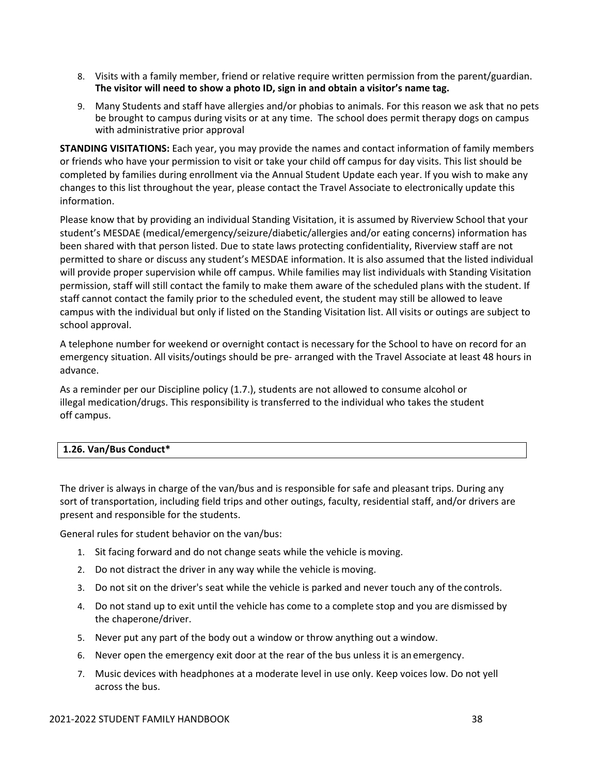- 8. Visits with a family member, friend or relative require written permission from the parent/guardian. **The visitor will need to show a photo ID, sign in and obtain a visitor's name tag.**
- 9. Many Students and staff have allergies and/or phobias to animals. For this reason we ask that no pets be brought to campus during visits or at any time. The school does permit therapy dogs on campus with administrative prior approval

**STANDING VISITATIONS:** Each year, you may provide the names and contact information of family members or friends who have your permission to visit or take your child off campus for day visits. This list should be completed by families during enrollment via the Annual Student Update each year. If you wish to make any changes to this list throughout the year, please contact the Travel Associate to electronically update this information.

Please know that by providing an individual Standing Visitation, it is assumed by Riverview School that your student's MESDAE (medical/emergency/seizure/diabetic/allergies and/or eating concerns) information has been shared with that person listed. Due to state laws protecting confidentiality, Riverview staff are not permitted to share or discuss any student's MESDAE information. It is also assumed that the listed individual will provide proper supervision while off campus. While families may list individuals with Standing Visitation permission, staff will still contact the family to make them aware of the scheduled plans with the student. If staff cannot contact the family prior to the scheduled event, the student may still be allowed to leave campus with the individual but only if listed on the Standing Visitation list. All visits or outings are subject to school approval.

A telephone number for weekend or overnight contact is necessary for the School to have on record for an emergency situation. All visits/outings should be pre‐ arranged with the Travel Associate at least 48 hours in advance.

As a reminder per our Discipline policy (1.7.), students are not allowed to consume alcohol or illegal medication/drugs. This responsibility is transferred to the individual who takes the student off campus.

## **1.26. Van/Bus Conduct\***

The driver is always in charge of the van/bus and is responsible for safe and pleasant trips. During any sort of transportation, including field trips and other outings, faculty, residential staff, and/or drivers are present and responsible for the students.

General rules for student behavior on the van/bus:

- 1. Sit facing forward and do not change seats while the vehicle is moving.
- 2. Do not distract the driver in any way while the vehicle is moving.
- 3. Do not sit on the driver's seat while the vehicle is parked and never touch any of the controls.
- 4. Do not stand up to exit until the vehicle has come to a complete stop and you are dismissed by the chaperone/driver.
- 5. Never put any part of the body out a window or throw anything out a window.
- 6. Never open the emergency exit door at the rear of the bus unless it is an emergency.
- 7. Music devices with headphones at a moderate level in use only. Keep voices low. Do not yell across the bus.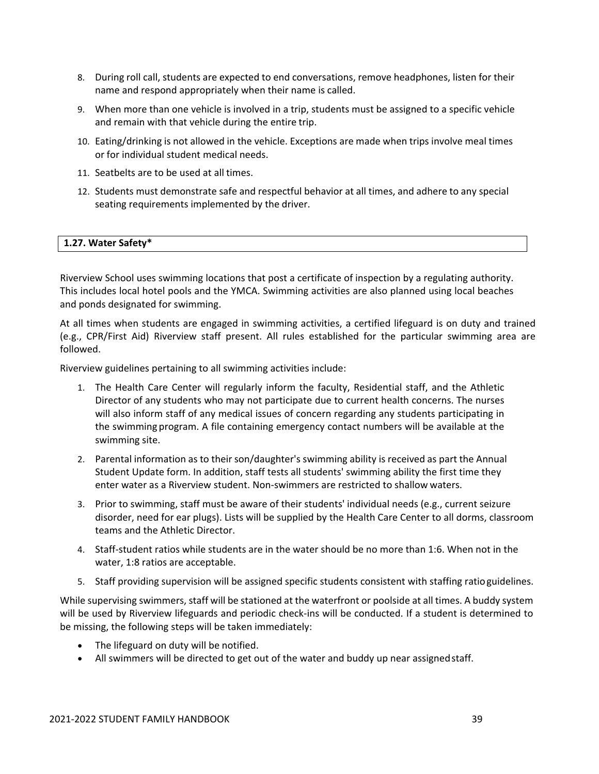- 8. During roll call, students are expected to end conversations, remove headphones, listen for their name and respond appropriately when their name is called.
- 9. When more than one vehicle is involved in a trip, students must be assigned to a specific vehicle and remain with that vehicle during the entire trip.
- 10. Eating/drinking is not allowed in the vehicle. Exceptions are made when trips involve meal times or for individual student medical needs.
- 11. Seatbelts are to be used at all times.
- 12. Students must demonstrate safe and respectful behavior at all times, and adhere to any special seating requirements implemented by the driver.

### **1.27. Water Safety\***

Riverview School uses swimming locations that post a certificate of inspection by a regulating authority. This includes local hotel pools and the YMCA. Swimming activities are also planned using local beaches and ponds designated for swimming.

At all times when students are engaged in swimming activities, a certified lifeguard is on duty and trained (e.g., CPR/First Aid) Riverview staff present. All rules established for the particular swimming area are followed.

Riverview guidelines pertaining to all swimming activities include:

- 1. The Health Care Center will regularly inform the faculty, Residential staff, and the Athletic Director of any students who may not participate due to current health concerns. The nurses will also inform staff of any medical issues of concern regarding any students participating in the swimming program. A file containing emergency contact numbers will be available at the swimming site.
- 2. Parental information as to their son/daughter's swimming ability is received as part the Annual Student Update form. In addition, staff tests all students' swimming ability the first time they enter water as a Riverview student. Non‐swimmers are restricted to shallow waters.
- 3. Prior to swimming, staff must be aware of their students' individual needs (e.g., current seizure disorder, need for ear plugs). Lists will be supplied by the Health Care Center to all dorms, classroom teams and the Athletic Director.
- 4. Staff‐student ratios while students are in the water should be no more than 1:6. When not in the water, 1:8 ratios are acceptable.
- 5. Staff providing supervision will be assigned specific students consistent with staffing ratioguidelines.

While supervising swimmers, staff will be stationed at the waterfront or poolside at all times. A buddy system will be used by Riverview lifeguards and periodic check-ins will be conducted. If a student is determined to be missing, the following steps will be taken immediately:

- The lifeguard on duty will be notified.
- All swimmers will be directed to get out of the water and buddy up near assignedstaff.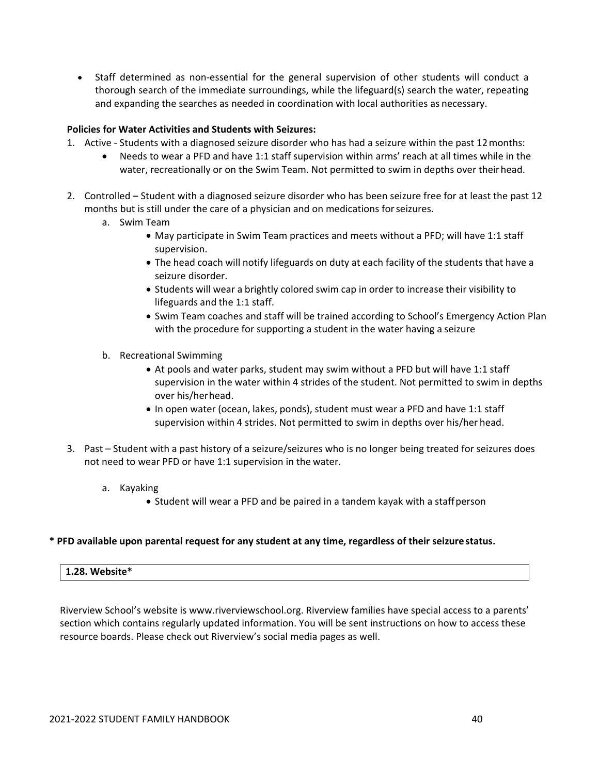■ Staff determined as non-essential for the general supervision of other students will conduct a thorough search of the immediate surroundings, while the lifeguard(s) search the water, repeating and expanding the searches as needed in coordination with local authorities as necessary.

## **Policies for Water Activities and Students with Seizures:**

- 1. Active ‐ Students with a diagnosed seizure disorder who has had a seizure within the past 12months:
	- Needs to wear a PFD and have 1:1 staff supervision within arms' reach at all times while in the water, recreationally or on the Swim Team. Not permitted to swim in depths over theirhead.
- 2. Controlled Student with a diagnosed seizure disorder who has been seizure free for at least the past 12 months but is still under the care of a physician and on medications forseizures.
	- a. Swim Team
		- May participate in Swim Team practices and meets without a PFD; will have 1:1 staff supervision.
		- The head coach will notify lifeguards on duty at each facility of the students that have a seizure disorder.
		- Students will wear a brightly colored swim cap in order to increase their visibility to lifeguards and the 1:1 staff.
		- Swim Team coaches and staff will be trained according to School's Emergency Action Plan with the procedure for supporting a student in the water having a seizure
	- b. Recreational Swimming
		- At pools and water parks, student may swim without a PFD but will have 1:1 staff supervision in the water within 4 strides of the student. Not permitted to swim in depths over his/herhead.
		- In open water (ocean, lakes, ponds), student must wear a PFD and have 1:1 staff supervision within 4 strides. Not permitted to swim in depths over his/her head.
- 3. Past Student with a past history of a seizure/seizures who is no longer being treated for seizures does not need to wear PFD or have 1:1 supervision in the water.
	- a. Kayaking
		- Student will wear a PFD and be paired in a tandem kayak with a staffperson

#### **\* PFD available upon parental request for any student at any time, regardless of their seizure status.**

#### **1.28. Website\***

Riverview School's website is www.riverviewschool.org. Riverview families have special access to a parents' section which contains regularly updated information. You will be sent instructions on how to access these resource boards. Please check out Riverview's social media pages as well.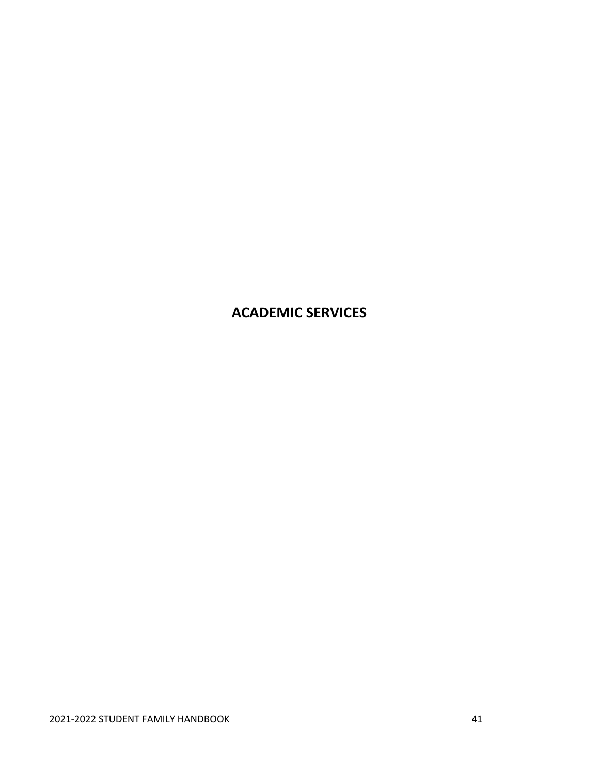# **ACADEMIC SERVICES**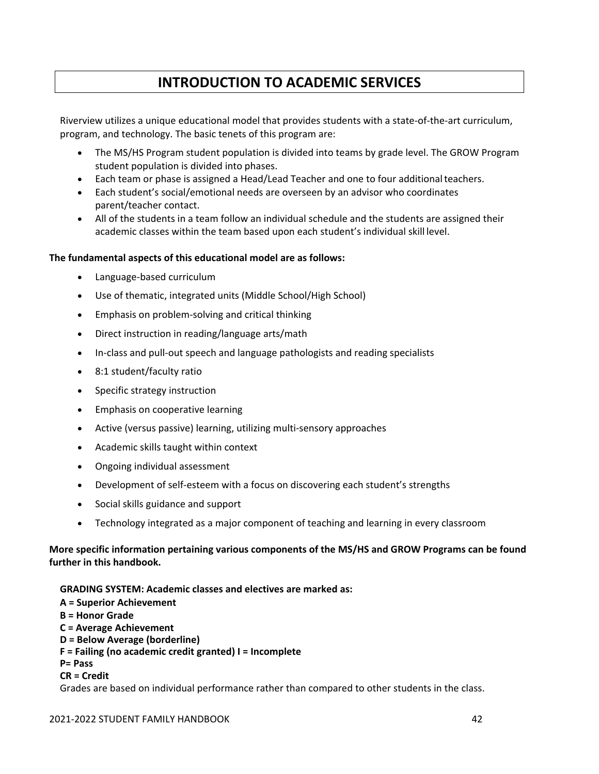# **INTRODUCTION TO ACADEMIC SERVICES**

Riverview utilizes a unique educational model that provides students with a state‐of‐the‐art curriculum, program, and technology. The basic tenets of this program are:

- The MS/HS Program student population is divided into teams by grade level. The GROW Program student population is divided into phases.
- Each team or phase is assigned a Head/Lead Teacher and one to four additionalteachers.
- Each student's social/emotional needs are overseen by an advisor who coordinates parent/teacher contact.
- All of the students in a team follow an individual schedule and the students are assigned their academic classes within the team based upon each student's individual skill level.

### **The fundamental aspects of this educational model are as follows:**

- Language‐based curriculum
- Use of thematic, integrated units (Middle School/High School)
- Emphasis on problem‐solving and critical thinking
- Direct instruction in reading/language arts/math
- In‐class and pull‐out speech and language pathologists and reading specialists
- 8:1 student/faculty ratio
- Specific strategy instruction
- **Emphasis on cooperative learning**
- Active (versus passive) learning, utilizing multi‐sensory approaches
- Academic skills taught within context
- Ongoing individual assessment
- Development of self‐esteem with a focus on discovering each student's strengths
- Social skills guidance and support
- Technology integrated as a major component of teaching and learning in every classroom

# **More specific information pertaining various components of the MS/HS and GROW Programs can be found further in this handbook.**

## **GRADING SYSTEM: Academic classes and electives are marked as:**

**A = Superior Achievement B = Honor Grade C = Average Achievement D = Below Average (borderline) F = Failing (no academic credit granted) I = Incomplete P= Pass CR = Credit**

Grades are based on individual performance rather than compared to other students in the class.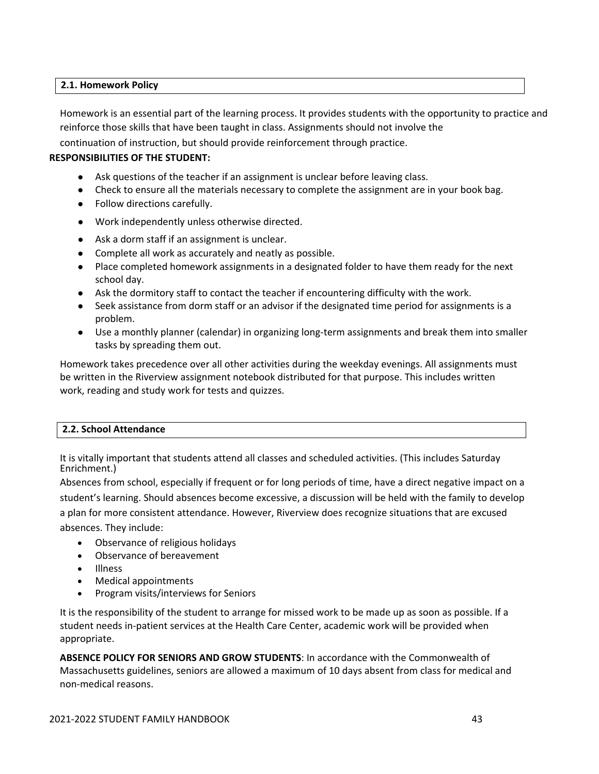## **2.1. Homework Policy**

Homework is an essential part of the learning process. It provides students with the opportunity to practice and reinforce those skills that have been taught in class. Assignments should not involve the

continuation of instruction, but should provide reinforcement through practice.

## **RESPONSIBILITIES OF THE STUDENT:**

- Ask questions of the teacher if an assignment is unclear before leaving class.
- Check to ensure all the materials necessary to complete the assignment are in your book bag.
- Follow directions carefully.
- Work independently unless otherwise directed.
- Ask a dorm staff if an assignment is unclear.
- Complete all work as accurately and neatly as possible.
- Place completed homework assignments in a designated folder to have them ready for the next school day.
- Ask the dormitory staff to contact the teacher if encountering difficulty with the work.
- Seek assistance from dorm staff or an advisor if the designated time period for assignments is a problem.
- Use a monthly planner (calendar) in organizing long-term assignments and break them into smaller tasks by spreading them out.

Homework takes precedence over all other activities during the weekday evenings. All assignments must be written in the Riverview assignment notebook distributed for that purpose. This includes written work, reading and study work for tests and quizzes.

#### **2.2. School Attendance**

It is vitally important that students attend all classes and scheduled activities. (This includes Saturday Enrichment.)

Absences from school, especially if frequent or for long periods of time, have a direct negative impact on a student's learning. Should absences become excessive, a discussion will be held with the family to develop a plan for more consistent attendance. However, Riverview does recognize situations that are excused absences. They include:

- Observance of religious holidays
- Observance of bereavement
- Illness
- Medical appointments
- Program visits/interviews for Seniors

It is the responsibility of the student to arrange for missed work to be made up as soon as possible. If a student needs in‐patient services at the Health Care Center, academic work will be provided when appropriate.

**ABSENCE POLICY FOR SENIORS AND GROW STUDENTS**: In accordance with the Commonwealth of Massachusetts guidelines, seniors are allowed a maximum of 10 days absent from class for medical and non‐medical reasons.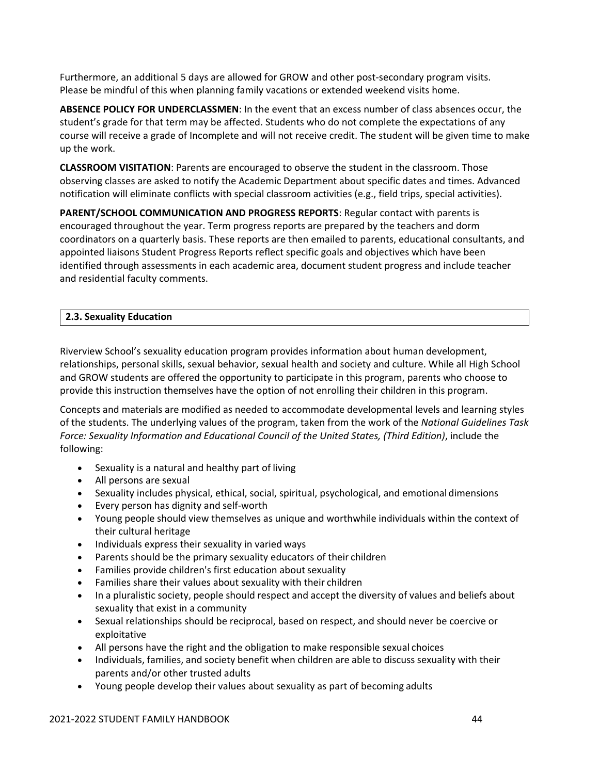Furthermore, an additional 5 days are allowed for GROW and other post‐secondary program visits. Please be mindful of this when planning family vacations or extended weekend visits home.

**ABSENCE POLICY FOR UNDERCLASSMEN**: In the event that an excess number of class absences occur, the student's grade for that term may be affected. Students who do not complete the expectations of any course will receive a grade of Incomplete and will not receive credit. The student will be given time to make up the work.

**CLASSROOM VISITATION**: Parents are encouraged to observe the student in the classroom. Those observing classes are asked to notify the Academic Department about specific dates and times. Advanced notification will eliminate conflicts with special classroom activities (e.g., field trips, special activities).

**PARENT/SCHOOL COMMUNICATION AND PROGRESS REPORTS**: Regular contact with parents is encouraged throughout the year. Term progress reports are prepared by the teachers and dorm coordinators on a quarterly basis. These reports are then emailed to parents, educational consultants, and appointed liaisons Student Progress Reports reflect specific goals and objectives which have been identified through assessments in each academic area, document student progress and include teacher and residential faculty comments.

# **2.3. Sexuality Education**

Riverview School's sexuality education program provides information about human development, relationships, personal skills, sexual behavior, sexual health and society and culture. While all High School and GROW students are offered the opportunity to participate in this program, parents who choose to provide this instruction themselves have the option of not enrolling their children in this program.

Concepts and materials are modified as needed to accommodate developmental levels and learning styles of the students. The underlying values of the program, taken from the work of the *National Guidelines Task Force: Sexuality Information and Educational Council of the United States, (Third Edition)*, include the following:

- Sexuality is a natural and healthy part of living
- All persons are sexual
- Sexuality includes physical, ethical, social, spiritual, psychological, and emotional dimensions
- Every person has dignity and self-worth
- Young people should view themselves as unique and worthwhile individuals within the context of their cultural heritage
- Individuals express their sexuality in varied ways
- Parents should be the primary sexuality educators of their children
- Families provide children's first education about sexuality
- Families share their values about sexuality with their children
- In a pluralistic society, people should respect and accept the diversity of values and beliefs about sexuality that exist in a community
- Sexual relationships should be reciprocal, based on respect, and should never be coercive or exploitative
- All persons have the right and the obligation to make responsible sexual choices
- Individuals, families, and society benefit when children are able to discuss sexuality with their parents and/or other trusted adults
- Young people develop their values about sexuality as part of becoming adults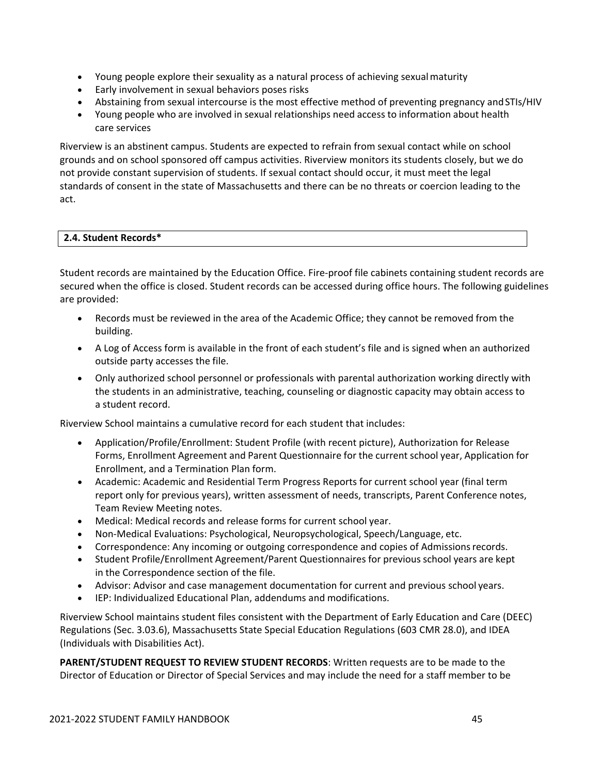- Young people explore their sexuality as a natural process of achieving sexualmaturity
- Early involvement in sexual behaviors poses risks
- Abstaining from sexual intercourse is the most effective method of preventing pregnancy and STIs/HIV
- Young people who are involved in sexual relationships need access to information about health care services

Riverview is an abstinent campus. Students are expected to refrain from sexual contact while on school grounds and on school sponsored off campus activities. Riverview monitors its students closely, but we do not provide constant supervision of students. If sexual contact should occur, it must meet the legal standards of consent in the state of Massachusetts and there can be no threats or coercion leading to the act.

### **2.4. Student Records\***

Student records are maintained by the Education Office. Fire‐proof file cabinets containing student records are secured when the office is closed. Student records can be accessed during office hours. The following guidelines are provided:

- Records must be reviewed in the area of the Academic Office; they cannot be removed from the building.
- A Log of Access form is available in the front of each student's file and is signed when an authorized outside party accesses the file.
- Only authorized school personnel or professionals with parental authorization working directly with the students in an administrative, teaching, counseling or diagnostic capacity may obtain access to a student record.

Riverview School maintains a cumulative record for each student that includes:

- Application/Profile/Enrollment: Student Profile (with recent picture), Authorization for Release Forms, Enrollment Agreement and Parent Questionnaire for the current school year, Application for Enrollment, and a Termination Plan form.
- Academic: Academic and Residential Term Progress Reports for current school year (final term report only for previous years), written assessment of needs, transcripts, Parent Conference notes, Team Review Meeting notes.
- Medical: Medical records and release forms for current school year.
- Non‐Medical Evaluations: Psychological, Neuropsychological, Speech/Language, etc.
- Correspondence: Any incoming or outgoing correspondence and copies of Admissions records.
- Student Profile/Enrollment Agreement/Parent Questionnaires for previous school years are kept in the Correspondence section of the file.
- Advisor: Advisor and case management documentation for current and previous school years.
- IEP: Individualized Educational Plan, addendums and modifications.

Riverview School maintains student files consistent with the Department of Early Education and Care (DEEC) Regulations (Sec. 3.03.6), Massachusetts State Special Education Regulations (603 CMR 28.0), and IDEA (Individuals with Disabilities Act).

**PARENT/STUDENT REQUEST TO REVIEW STUDENT RECORDS**: Written requests are to be made to the Director of Education or Director of Special Services and may include the need for a staff member to be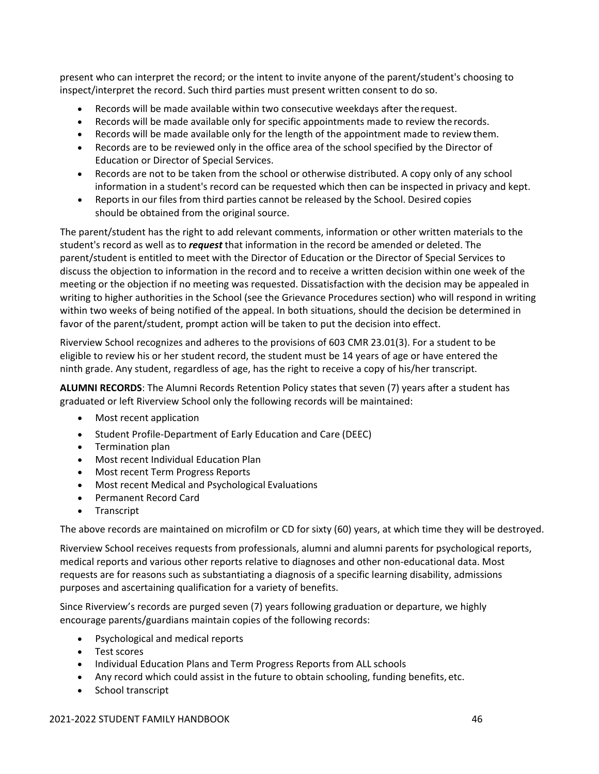present who can interpret the record; or the intent to invite anyone of the parent/student's choosing to inspect/interpret the record. Such third parties must present written consent to do so.

- Records will be made available within two consecutive weekdays after the request.
- Records will be made available only for specific appointments made to review the records.
- Records will be made available only for the length of the appointment made to reviewthem.
- Records are to be reviewed only in the office area of the school specified by the Director of Education or Director of Special Services.
- Records are not to be taken from the school or otherwise distributed. A copy only of any school information in a student's record can be requested which then can be inspected in privacy and kept.
- Reports in our files from third parties cannot be released by the School. Desired copies should be obtained from the original source.

The parent/student has the right to add relevant comments, information or other written materials to the student's record as well as to *request* that information in the record be amended or deleted. The parent/student is entitled to meet with the Director of Education or the Director of Special Services to discuss the objection to information in the record and to receive a written decision within one week of the meeting or the objection if no meeting was requested. Dissatisfaction with the decision may be appealed in writing to higher authorities in the School (see the Grievance Procedures section) who will respond in writing within two weeks of being notified of the appeal. In both situations, should the decision be determined in favor of the parent/student, prompt action will be taken to put the decision into effect.

Riverview School recognizes and adheres to the provisions of 603 CMR 23.01(3). For a student to be eligible to review his or her student record, the student must be 14 years of age or have entered the ninth grade. Any student, regardless of age, has the right to receive a copy of his/her transcript.

**ALUMNI RECORDS**: The Alumni Records Retention Policy states that seven (7) years after a student has graduated or left Riverview School only the following records will be maintained:

- Most recent application
- Student Profile‐Department of Early Education and Care (DEEC)
- Termination plan
- Most recent Individual Education Plan
- Most recent Term Progress Reports
- Most recent Medical and Psychological Evaluations
- Permanent Record Card
- Transcript

The above records are maintained on microfilm or CD for sixty (60) years, at which time they will be destroyed.

Riverview School receives requests from professionals, alumni and alumni parents for psychological reports, medical reports and various other reports relative to diagnoses and other non‐educational data. Most requests are for reasons such as substantiating a diagnosis of a specific learning disability, admissions purposes and ascertaining qualification for a variety of benefits.

Since Riverview's records are purged seven (7) years following graduation or departure, we highly encourage parents/guardians maintain copies of the following records:

- Psychological and medical reports
- Test scores
- Individual Education Plans and Term Progress Reports from ALL schools
- Any record which could assist in the future to obtain schooling, funding benefits, etc.
- School transcript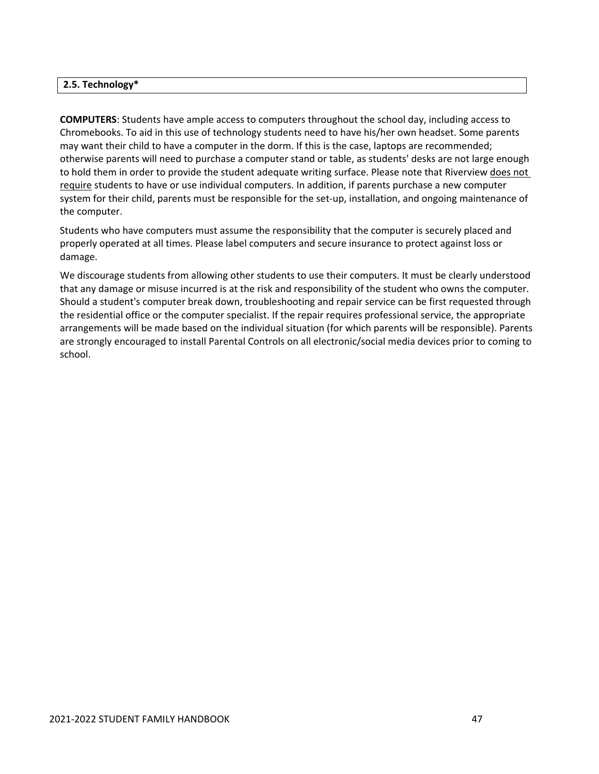### **2.5. Technology\***

**COMPUTERS**: Students have ample access to computers throughout the school day, including access to Chromebooks. To aid in this use of technology students need to have his/her own headset. Some parents may want their child to have a computer in the dorm. If this is the case, laptops are recommended; otherwise parents will need to purchase a computer stand or table, as students' desks are not large enough to hold them in order to provide the student adequate writing surface. Please note that Riverview does not require students to have or use individual computers. In addition, if parents purchase a new computer system for their child, parents must be responsible for the set-up, installation, and ongoing maintenance of the computer.

Students who have computers must assume the responsibility that the computer is securely placed and properly operated at all times. Please label computers and secure insurance to protect against loss or damage.

We discourage students from allowing other students to use their computers. It must be clearly understood that any damage or misuse incurred is at the risk and responsibility of the student who owns the computer. Should a student's computer break down, troubleshooting and repair service can be first requested through the residential office or the computer specialist. If the repair requires professional service, the appropriate arrangements will be made based on the individual situation (for which parents will be responsible). Parents are strongly encouraged to install Parental Controls on all electronic/social media devices prior to coming to school.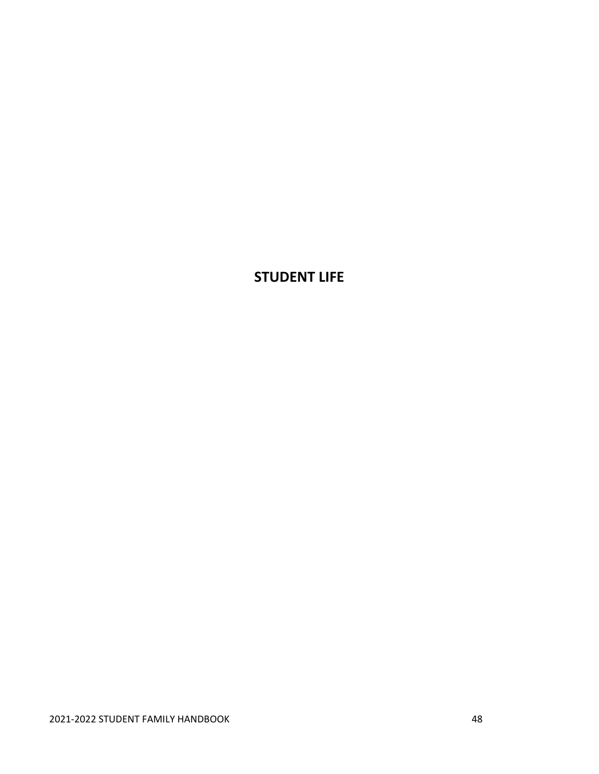# **STUDENT LIFE**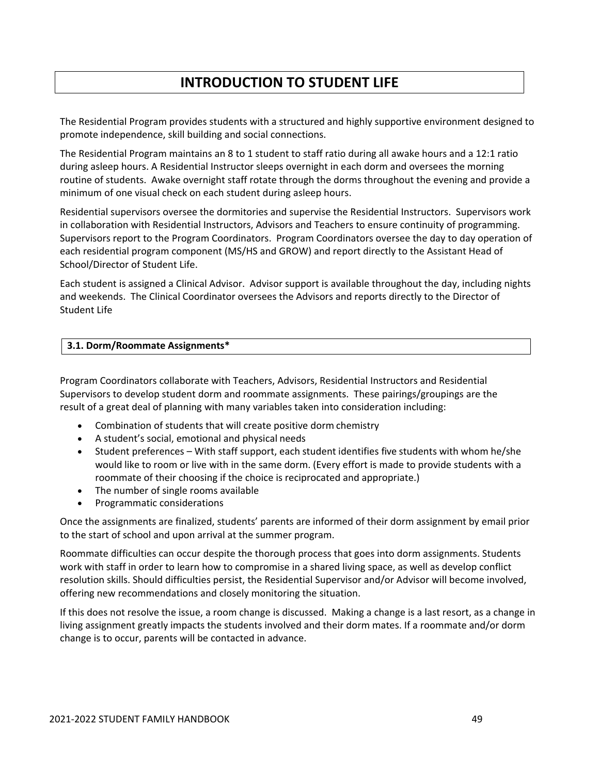# **INTRODUCTION TO STUDENT LIFE**

The Residential Program provides students with a structured and highly supportive environment designed to promote independence, skill building and social connections.

The Residential Program maintains an 8 to 1 student to staff ratio during all awake hours and a 12:1 ratio during asleep hours. A Residential Instructor sleeps overnight in each dorm and oversees the morning routine of students. Awake overnight staff rotate through the dorms throughout the evening and provide a minimum of one visual check on each student during asleep hours.

Residential supervisors oversee the dormitories and supervise the Residential Instructors. Supervisors work in collaboration with Residential Instructors, Advisors and Teachers to ensure continuity of programming. Supervisors report to the Program Coordinators. Program Coordinators oversee the day to day operation of each residential program component (MS/HS and GROW) and report directly to the Assistant Head of School/Director of Student Life.

Each student is assigned a Clinical Advisor. Advisor support is available throughout the day, including nights and weekends. The Clinical Coordinator oversees the Advisors and reports directly to the Director of Student Life

### **3.1. Dorm/Roommate Assignments\***

Program Coordinators collaborate with Teachers, Advisors, Residential Instructors and Residential Supervisors to develop student dorm and roommate assignments. These pairings/groupings are the result of a great deal of planning with many variables taken into consideration including:

- Combination of students that will create positive dorm chemistry
- A student's social, emotional and physical needs
- Student preferences With staff support, each student identifies five students with whom he/she would like to room or live with in the same dorm. (Every effort is made to provide students with a roommate of their choosing if the choice is reciprocated and appropriate.)
- The number of single rooms available
- Programmatic considerations

Once the assignments are finalized, students' parents are informed of their dorm assignment by email prior to the start of school and upon arrival at the summer program.

Roommate difficulties can occur despite the thorough process that goes into dorm assignments. Students work with staff in order to learn how to compromise in a shared living space, as well as develop conflict resolution skills. Should difficulties persist, the Residential Supervisor and/or Advisor will become involved, offering new recommendations and closely monitoring the situation.

If this does not resolve the issue, a room change is discussed. Making a change is a last resort, as a change in living assignment greatly impacts the students involved and their dorm mates. If a roommate and/or dorm change is to occur, parents will be contacted in advance.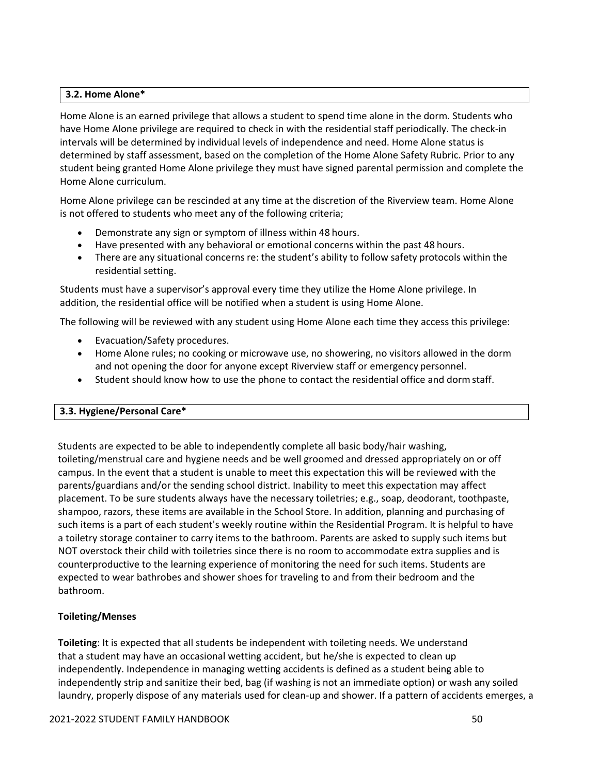## **3.2. Home Alone\***

Home Alone is an earned privilege that allows a student to spend time alone in the dorm. Students who have Home Alone privilege are required to check in with the residential staff periodically. The check‐in intervals will be determined by individual levels of independence and need. Home Alone status is determined by staff assessment, based on the completion of the Home Alone Safety Rubric. Prior to any student being granted Home Alone privilege they must have signed parental permission and complete the Home Alone curriculum.

Home Alone privilege can be rescinded at any time at the discretion of the Riverview team. Home Alone is not offered to students who meet any of the following criteria;

- Demonstrate any sign or symptom of illness within 48 hours.
- Have presented with any behavioral or emotional concerns within the past 48 hours.
- There are any situational concerns re: the student's ability to follow safety protocols within the residential setting.

Students must have a supervisor's approval every time they utilize the Home Alone privilege. In addition, the residential office will be notified when a student is using Home Alone.

The following will be reviewed with any student using Home Alone each time they access this privilege:

- Evacuation/Safety procedures.
- Home Alone rules; no cooking or microwave use, no showering, no visitors allowed in the dorm and not opening the door for anyone except Riverview staff or emergency personnel.
- Student should know how to use the phone to contact the residential office and dormstaff.

## **3.3. Hygiene/Personal Care\***

Students are expected to be able to independently complete all basic body/hair washing, toileting/menstrual care and hygiene needs and be well groomed and dressed appropriately on or off campus. In the event that a student is unable to meet this expectation this will be reviewed with the parents/guardians and/or the sending school district. Inability to meet this expectation may affect placement. To be sure students always have the necessary toiletries; e.g., soap, deodorant, toothpaste, shampoo, razors, these items are available in the School Store. In addition, planning and purchasing of such items is a part of each student's weekly routine within the Residential Program. It is helpful to have a toiletry storage container to carry items to the bathroom. Parents are asked to supply such items but NOT overstock their child with toiletries since there is no room to accommodate extra supplies and is counterproductive to the learning experience of monitoring the need for such items. Students are expected to wear bathrobes and shower shoes for traveling to and from their bedroom and the bathroom.

## **Toileting/Menses**

**Toileting**: It is expected that all students be independent with toileting needs. We understand that a student may have an occasional wetting accident, but he/she is expected to clean up independently. Independence in managing wetting accidents is defined as a student being able to independently strip and sanitize their bed, bag (if washing is not an immediate option) or wash any soiled laundry, properly dispose of any materials used for clean‐up and shower. If a pattern of accidents emerges, a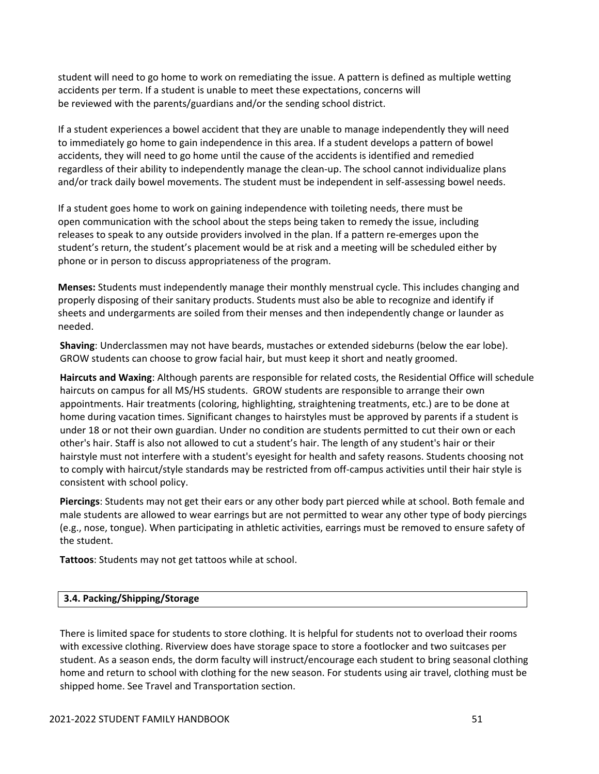student will need to go home to work on remediating the issue. A pattern is defined as multiple wetting accidents per term. If a student is unable to meet these expectations, concerns will be reviewed with the parents/guardians and/or the sending school district.

If a student experiences a bowel accident that they are unable to manage independently they will need to immediately go home to gain independence in this area. If a student develops a pattern of bowel accidents, they will need to go home until the cause of the accidents is identified and remedied regardless of their ability to independently manage the clean-up. The school cannot individualize plans and/or track daily bowel movements. The student must be independent in self-assessing bowel needs.

If a student goes home to work on gaining independence with toileting needs, there must be open communication with the school about the steps being taken to remedy the issue, including releases to speak to any outside providers involved in the plan. If a pattern re-emerges upon the student's return, the student's placement would be at risk and a meeting will be scheduled either by phone or in person to discuss appropriateness of the program.

**Menses:** Students must independently manage their monthly menstrual cycle. This includes changing and properly disposing of their sanitary products. Students must also be able to recognize and identify if sheets and undergarments are soiled from their menses and then independently change or launder as needed.

**Shaving**: Underclassmen may not have beards, mustaches or extended sideburns (below the ear lobe). GROW students can choose to grow facial hair, but must keep it short and neatly groomed.

**Haircuts and Waxing**: Although parents are responsible for related costs, the Residential Office will schedule haircuts on campus for all MS/HS students. GROW students are responsible to arrange their own appointments. Hair treatments (coloring, highlighting, straightening treatments, etc.) are to be done at home during vacation times. Significant changes to hairstyles must be approved by parents if a student is under 18 or not their own guardian. Under no condition are students permitted to cut their own or each other's hair. Staff is also not allowed to cut a student's hair. The length of any student's hair or their hairstyle must not interfere with a student's eyesight for health and safety reasons. Students choosing not to comply with haircut/style standards may be restricted from off‐campus activities until their hair style is consistent with school policy.

**Piercings**: Students may not get their ears or any other body part pierced while at school. Both female and male students are allowed to wear earrings but are not permitted to wear any other type of body piercings (e.g., nose, tongue). When participating in athletic activities, earrings must be removed to ensure safety of the student.

**Tattoos**: Students may not get tattoos while at school.

#### **3.4. Packing/Shipping/Storage**

There is limited space for students to store clothing. It is helpful for students not to overload their rooms with excessive clothing. Riverview does have storage space to store a footlocker and two suitcases per student. As a season ends, the dorm faculty will instruct/encourage each student to bring seasonal clothing home and return to school with clothing for the new season. For students using air travel, clothing must be shipped home. See Travel and Transportation section.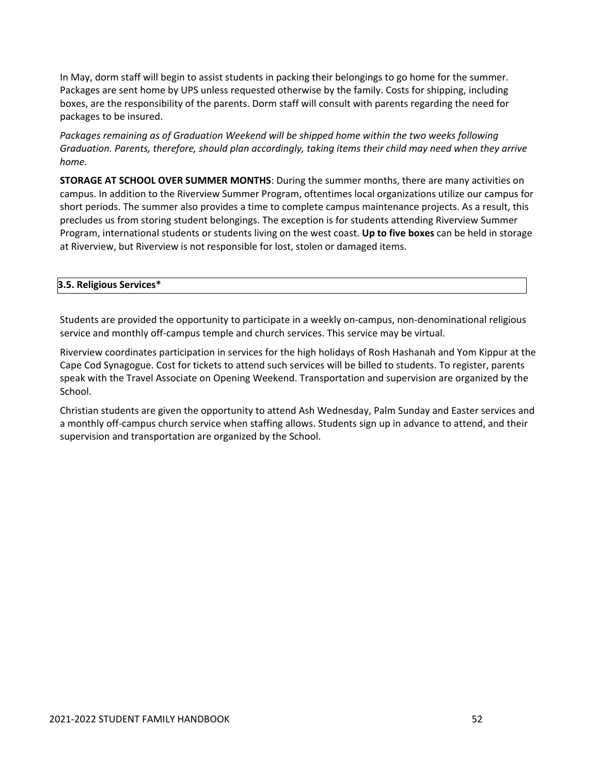In May, dorm staff will begin to assist students in packing their belongings to go home for the summer. Packages are sent home by UPS unless requested otherwise by the family. Costs for shipping, including boxes, are the responsibility of the parents. Dorm staff will consult with parents regarding the need for packages to be insured.

*Packages remaining as of Graduation Weekend will be shipped home within the two weeks following Graduation. Parents, therefore, should plan accordingly, taking items their child may need when they arrive home.*

**STORAGE AT SCHOOL OVER SUMMER MONTHS**: During the summer months, there are many activities on campus. In addition to the Riverview Summer Program, oftentimes local organizations utilize our campus for short periods. The summer also provides a time to complete campus maintenance projects. As a result, this precludes us from storing student belongings. The exception is for students attending Riverview Summer Program, international students or students living on the west coast. **Up to five boxes** can be held in storage at Riverview, but Riverview is not responsible for lost, stolen or damaged items.

## **3.5. Religious Services\***

Students are provided the opportunity to participate in a weekly on‐campus, non‐denominational religious service and monthly off-campus temple and church services. This service may be virtual.

Riverview coordinates participation in services for the high holidays of Rosh Hashanah and Yom Kippur at the Cape Cod Synagogue. Cost for tickets to attend such services will be billed to students. To register, parents speak with the Travel Associate on Opening Weekend. Transportation and supervision are organized by the School.

Christian students are given the opportunity to attend Ash Wednesday, Palm Sunday and Easter services and a monthly off-campus church service when staffing allows. Students sign up in advance to attend, and their supervision and transportation are organized by the School.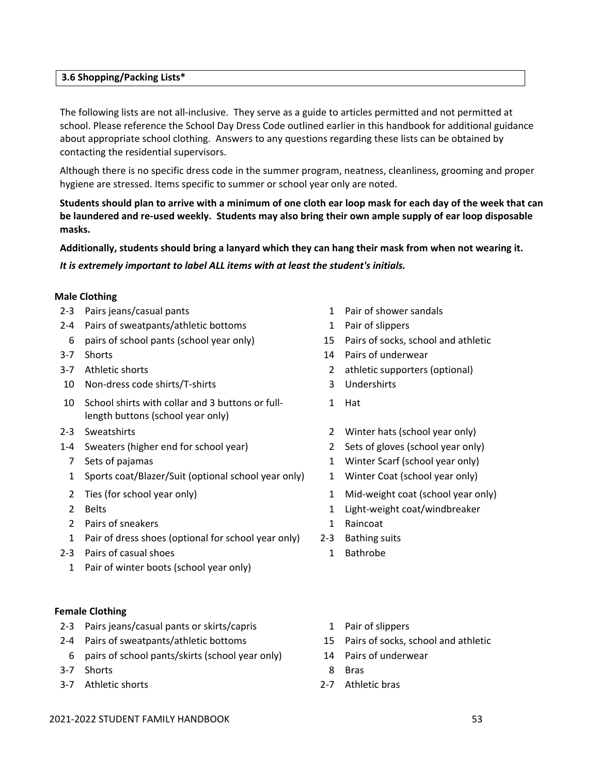## **3.6 Shopping/Packing Lists\***

The following lists are not all-inclusive. They serve as a guide to articles permitted and not permitted at school. Please reference the School Day Dress Code outlined earlier in this handbook for additional guidance about appropriate school clothing. Answers to any questions regarding these lists can be obtained by contacting the residential supervisors.

Although there is no specific dress code in the summer program, neatness, cleanliness, grooming and proper hygiene are stressed. Items specific to summer or school year only are noted.

Students should plan to arrive with a minimum of one cloth ear loop mask for each day of the week that can be laundered and re-used weekly. Students may also bring their own ample supply of ear loop disposable **masks.**

**Additionally, students should bring a lanyard which they can hang their mask from when not wearing it.**

*It is extremely important to label ALL items with at least the student's initials.*

# **Male Clothing**

- 2-3 Pairs jeans/casual pants 1 Pair of shower sandals
- 2-4 Pairs of sweatpants/athletic bottoms 1 Pair of slippers
- 6 pairs of school pants (school year only) 15 Pairs of socks, school and athletic
- 
- 
- 10 Non‐dress code shirts/T‐shirts 3 Undershirts
- 10 School shirts with collar and 3 buttons or fulllength buttons (school year only)
- 
- 1‐4 Sweaters (higher end for school year) 2 Sets of gloves (school year only)
	-
	- 1 Sports coat/Blazer/Suit (optional school year only) 1 Winter Coat (school year only)
	-
	-
	- 2 Pairs of sneakers 1 Raincoat
	- 1 Pair of dress shoes (optional for school year only) 2-3 Bathing suits
- 2‐3 Pairs of casual shoes 1 Bathrobe
	- 1 Pair of winter boots (school year only)

## **Female Clothing**

- 2-3 Pairs jeans/casual pants or skirts/capris 1 Pair of slippers
- 2‐4 Pairs of sweatpants/athletic bottoms 15 Pairs of socks, school and athletic
	- 6 pairs of school pants/skirts (school year only) 14 Pairs of underwear
- 3-7 Shorts 8 Bras
- 3‐7 Athletic shorts 2‐7 Athletic bras
- 
- 
- 
- 3‐7 Shorts 14 Pairs of underwear
- 3‐7 Athletic shorts 2 athletic supporters (optional)
	-
	- 1 Hat
- 2‐3 Sweatshirts 2 Winter hats (school year only)
	-
	- 7 Sets of pajamas 1 Winter Scarf (school year only)
		-
	- 2 Ties (for school year only) 1 Mid-weight coat (school year only)
	- 2 Belts 1 Light‐weight coat/windbreaker
		-
		-
		-
		-
		-
		-
		-
		-

## 2021‐2022 STUDENT FAMILY HANDBOOK 53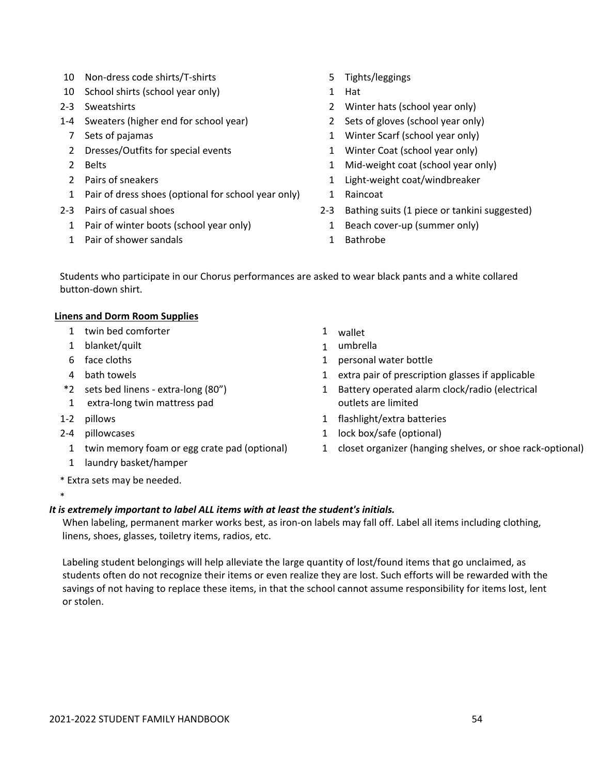- 10 Non-dress code shirts/T-shirts 5 Tights/leggings
- 10 School shirts (school year only) 1 Hat
- 
- 1‐4 Sweaters (higher end for school year) 2 Sets of gloves (school year only)
	-
	- 2 Dresses/Outfits for special events 1 Winter Coat (school year only)
	-
	-
	- 1 Pair of dress shoes (optional for school year only) 1 Raincoat
- - 1 Pair of winter boots (school year only) 1 Beach cover-up (summer only)
	- 1 Pair of shower sandals 1 Bathrobe
- 
- 
- 2-3 Sweatshirts 2 Winter hats (school year only)
	-
	- 7 Sets of pajamas 1 Winter Scarf (school year only)
		-
	- 2 Belts 1 Mid-weight coat (school year only)
	- 2 Pairs of sneakers 1 Light–weight coat/windbreaker
		-
- 2-3 Pairs of casual shoes 2-3 Bathing suits (1 piece or tankini suggested)
	-
	-

Students who participate in our Chorus performances are asked to wear black pants and a white collared button‐down shirt.

## **Linens and Dorm Room Supplies**

- 1 twin bed comforter 1 wallet
- 1 blanket/quilt 1 umbrella
- 
- 
- \*2 sets bed linens ‐ extra‐long (80")
- 1 extra‐long twin mattress pad
- 

\*

- 
- 
- 1 laundry basket/hamper
- \* Extra sets may be needed.
- 
- 
- 6 face cloths 1 personal water bottle
- 4 bath towels 1 extra pair of prescription glasses if applicable
	- 1 Battery operated alarm clock/radio (electrical outlets are limited
- 1-2 pillows 12 and 1 flashlight/extra batteries
- 2-4 pillowcases 2-4 pillowcases 2.1 lock box/safe (optional)
	- 1 twin memory foam or egg crate pad (optional) 1 closet organizer (hanging shelves, or shoe rack‐optional)

## *It is extremely important to label ALL items with at least the student's initials.*

When labeling, permanent marker works best, as iron-on labels may fall off. Label all items including clothing, linens, shoes, glasses, toiletry items, radios, etc.

Labeling student belongings will help alleviate the large quantity of lost/found items that go unclaimed, as students often do not recognize their items or even realize they are lost. Such efforts will be rewarded with the savings of not having to replace these items, in that the school cannot assume responsibility for items lost, lent or stolen.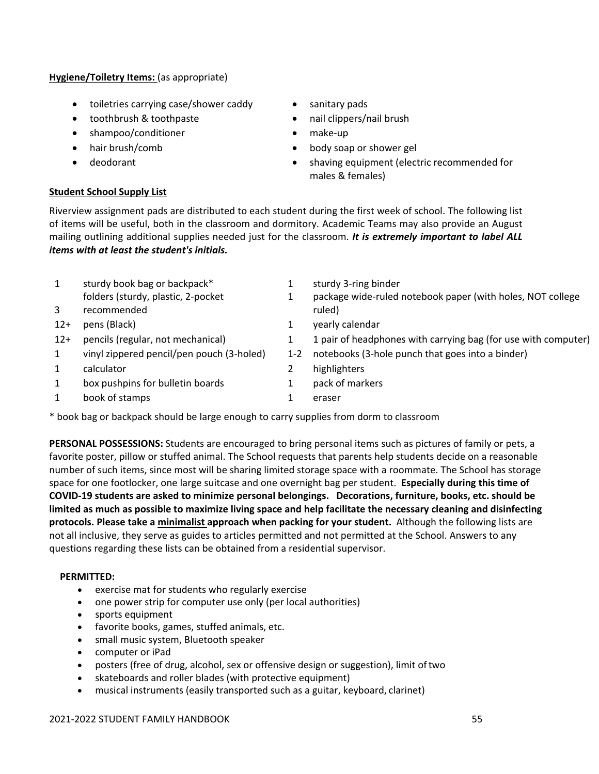# **Hygiene/Toiletry Items:** (as appropriate)

- toiletries carrying case/shower caddy sanitary pads
- toothbrush & toothpaste nail clippers/nail brush
- shampoo/conditioner make‐up
- 
- 

# **Student School Supply List**

- 
- 
- 
- hair brush/comb **body** soap or shower gel
- deodorant **shaving equipment (electric recommended for** shaving equipment (electric recommended for males & females)

Riverview assignment pads are distributed to each student during the first week of school. The following list of items will be useful, both in the classroom and dormitory. Academic Teams may also provide an August mailing outlining additional supplies needed just for the classroom. *It is extremely important to label ALL items with at least the student's initials.*

| 1              | sturdy book bag or backpack*              |         | sturdy 3-ring binder                                           |
|----------------|-------------------------------------------|---------|----------------------------------------------------------------|
|                | folders (sturdy, plastic, 2-pocket        |         | package wide-ruled notebook paper (with holes, NOT college     |
| $\overline{3}$ | recommended                               |         | ruled)                                                         |
| $12+$          | pens (Black)                              |         | yearly calendar                                                |
| $12+$          | pencils (regular, not mechanical)         |         | 1 pair of headphones with carrying bag (for use with computer) |
| 1              | vinyl zippered pencil/pen pouch (3-holed) | $1 - 2$ | notebooks (3-hole punch that goes into a binder)               |
| 1              | calculator                                |         | highlighters                                                   |
| 1              | box pushpins for bulletin boards          |         | pack of markers                                                |
|                | book of stamps                            |         | eraser                                                         |
|                |                                           |         |                                                                |

\* book bag or backpack should be large enough to carry supplies from dorm to classroom

**PERSONAL POSSESSIONS:** Students are encouraged to bring personal items such as pictures of family or pets, a favorite poster, pillow or stuffed animal. The School requests that parents help students decide on a reasonable number of such items, since most will be sharing limited storage space with a roommate. The School has storage space for one footlocker, one large suitcase and one overnight bag per student. **Especially during this time of** COVID-19 students are asked to minimize personal belongings. Decorations, furniture, books, etc. should be limited as much as possible to maximize living space and help facilitate the necessary cleaning and disinfecting **protocols. Please take a minimalist approach when packing for your student.** Although the following lists are not all inclusive, they serve as guides to articles permitted and not permitted at the School. Answers to any questions regarding these lists can be obtained from a residential supervisor.

## **PERMITTED:**

- exercise mat for students who regularly exercise
- one power strip for computer use only (per local authorities)
- sports equipment
- favorite books, games, stuffed animals, etc.
- small music system, Bluetooth speaker
- computer or iPad
- posters (free of drug, alcohol, sex or offensive design or suggestion), limit oftwo
- skateboards and roller blades (with protective equipment)
- musical instruments (easily transported such as a guitar, keyboard, clarinet)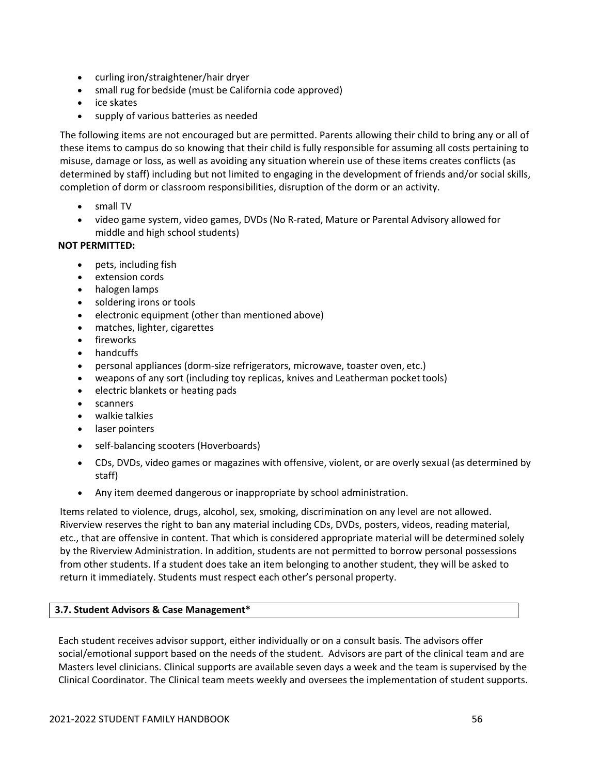- curling iron/straightener/hair dryer
- small rug for bedside (must be California code approved)
- ice skates
- supply of various batteries as needed

The following items are not encouraged but are permitted. Parents allowing their child to bring any or all of these items to campus do so knowing that their child is fully responsible for assuming all costs pertaining to misuse, damage or loss, as well as avoiding any situation wherein use of these items creates conflicts (as determined by staff) including but not limited to engaging in the development of friends and/or social skills, completion of dorm or classroom responsibilities, disruption of the dorm or an activity.

- small TV
- video game system, video games, DVDs (No R-rated, Mature or Parental Advisory allowed for middle and high school students)

## **NOT PERMITTED:**

- pets, including fish
- extension cords
- halogen lamps
- soldering irons or tools
- electronic equipment (other than mentioned above)
- matches, lighter, cigarettes
- fireworks
- handcuffs
- personal appliances (dorm‐size refrigerators, microwave, toaster oven, etc.)
- weapons of any sort (including toy replicas, knives and Leatherman pocket tools)
- electric blankets or heating pads
- scanners
- walkie talkies
- laser pointers
- self‐balancing scooters (Hoverboards)
- CDs, DVDs, video games or magazines with offensive, violent, or are overly sexual (as determined by staff)
- Any item deemed dangerous or inappropriate by school administration.

Items related to violence, drugs, alcohol, sex, smoking, discrimination on any level are not allowed. Riverview reserves the right to ban any material including CDs, DVDs, posters, videos, reading material, etc., that are offensive in content. That which is considered appropriate material will be determined solely by the Riverview Administration. In addition, students are not permitted to borrow personal possessions from other students. If a student does take an item belonging to another student, they will be asked to return it immediately. Students must respect each other's personal property.

# **3.7. Student Advisors & Case Management\***

Each student receives advisor support, either individually or on a consult basis. The advisors offer social/emotional support based on the needs of the student. Advisors are part of the clinical team and are Masters level clinicians. Clinical supports are available seven days a week and the team is supervised by the Clinical Coordinator. The Clinical team meets weekly and oversees the implementation of student supports.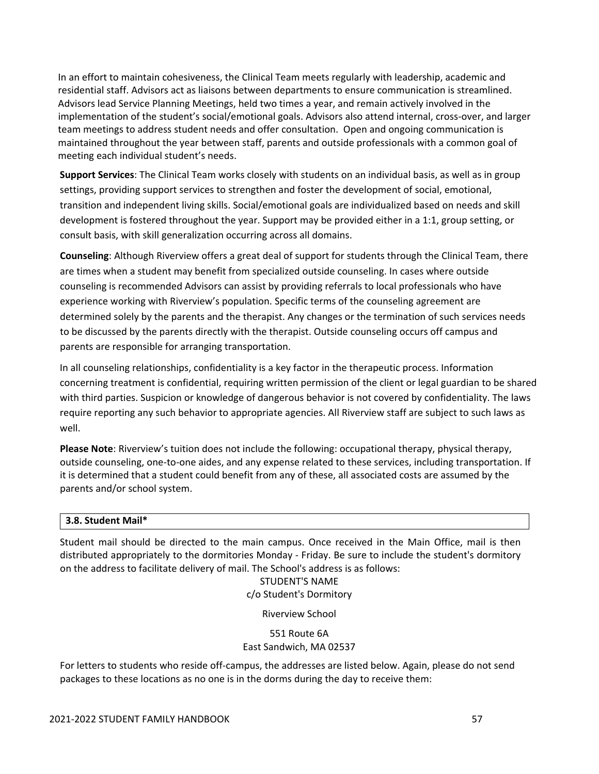In an effort to maintain cohesiveness, the Clinical Team meets regularly with leadership, academic and residential staff. Advisors act as liaisons between departments to ensure communication is streamlined. Advisors lead Service Planning Meetings, held two times a year, and remain actively involved in the implementation of the student's social/emotional goals. Advisors also attend internal, cross‐over, and larger team meetings to address student needs and offer consultation. Open and ongoing communication is maintained throughout the year between staff, parents and outside professionals with a common goal of meeting each individual student's needs.

**Support Services**: The Clinical Team works closely with students on an individual basis, as well as in group settings, providing support services to strengthen and foster the development of social, emotional, transition and independent living skills. Social/emotional goals are individualized based on needs and skill development is fostered throughout the year. Support may be provided either in a 1:1, group setting, or consult basis, with skill generalization occurring across all domains.

**Counseling**: Although Riverview offers a great deal of support for students through the Clinical Team, there are times when a student may benefit from specialized outside counseling. In cases where outside counseling is recommended Advisors can assist by providing referrals to local professionals who have experience working with Riverview's population. Specific terms of the counseling agreement are determined solely by the parents and the therapist. Any changes or the termination of such services needs to be discussed by the parents directly with the therapist. Outside counseling occurs off campus and parents are responsible for arranging transportation.

In all counseling relationships, confidentiality is a key factor in the therapeutic process. Information concerning treatment is confidential, requiring written permission of the client or legal guardian to be shared with third parties. Suspicion or knowledge of dangerous behavior is not covered by confidentiality. The laws require reporting any such behavior to appropriate agencies. All Riverview staff are subject to such laws as well.

**Please Note**: Riverview's tuition does not include the following: occupational therapy, physical therapy, outside counseling, one‐to‐one aides, and any expense related to these services, including transportation. If it is determined that a student could benefit from any of these, all associated costs are assumed by the parents and/or school system.

## **3.8. Student Mail\***

Student mail should be directed to the main campus. Once received in the Main Office, mail is then distributed appropriately to the dormitories Monday ‐ Friday. Be sure to include the student's dormitory on the address to facilitate delivery of mail. The School's address is as follows:

STUDENT'S NAME c/o Student's Dormitory

Riverview School

551 Route 6A East Sandwich, MA 02537

For letters to students who reside off-campus, the addresses are listed below. Again, please do not send packages to these locations as no one is in the dorms during the day to receive them: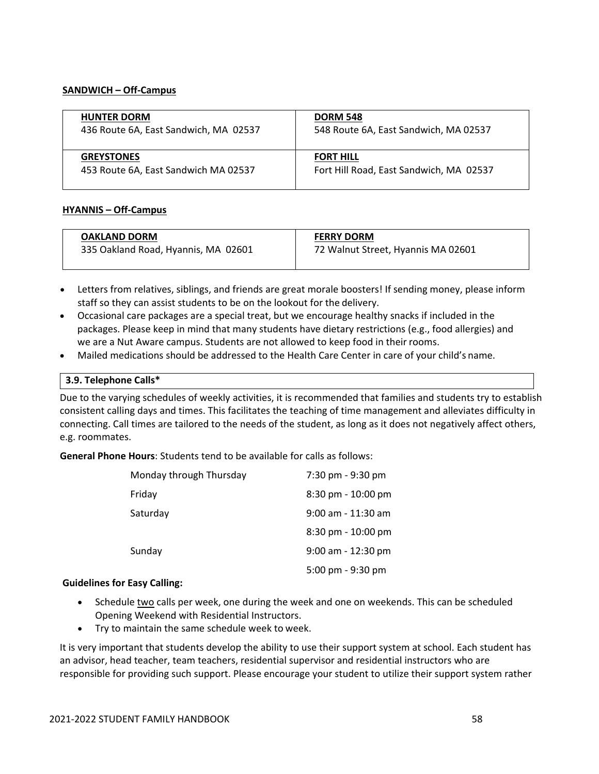### **SANDWICH – Off‐Campus**

| <b>HUNTER DORM</b>                    | <b>DORM 548</b>                         |
|---------------------------------------|-----------------------------------------|
| 436 Route 6A, East Sandwich, MA 02537 | 548 Route 6A, East Sandwich, MA 02537   |
| <b>GREYSTONES</b>                     | <b>FORT HILL</b>                        |
| 453 Route 6A, East Sandwich MA 02537  | Fort Hill Road, East Sandwich, MA 02537 |

## **HYANNIS – Off‐Campus**

| <b>OAKLAND DORM</b>                 | <b>FERRY DORM</b>                  |
|-------------------------------------|------------------------------------|
| 335 Oakland Road, Hyannis, MA 02601 | 72 Walnut Street, Hyannis MA 02601 |
|                                     |                                    |

- Letters from relatives, siblings, and friends are great morale boosters! If sending money, please inform staff so they can assist students to be on the lookout for the delivery.
- Occasional care packages are a special treat, but we encourage healthy snacks if included in the packages. Please keep in mind that many students have dietary restrictions (e.g., food allergies) and we are a Nut Aware campus. Students are not allowed to keep food in their rooms.
- Mailed medications should be addressed to the Health Care Center in care of your child's name.

### **3.9. Telephone Calls\***

Due to the varying schedules of weekly activities, it is recommended that families and students try to establish consistent calling days and times. This facilitates the teaching of time management and alleviates difficulty in connecting. Call times are tailored to the needs of the student, as long as it does not negatively affect others, e.g. roommates.

**General Phone Hours**: Students tend to be available for calls as follows:

| Monday through Thursday | 7:30 pm - 9:30 pm      |
|-------------------------|------------------------|
| Friday                  | 8:30 pm - 10:00 pm     |
| Saturday                | 9:00 am - 11:30 am     |
|                         | $8:30$ pm - $10:00$ pm |
| Sunday                  | $9:00$ am - 12:30 pm   |
|                         | 5:00 pm - 9:30 pm      |

#### **Guidelines for Easy Calling:**

- Schedule two calls per week, one during the week and one on weekends. This can be scheduled Opening Weekend with Residential Instructors.
- Try to maintain the same schedule week to week.

It is very important that students develop the ability to use their support system at school. Each student has an advisor, head teacher, team teachers, residential supervisor and residential instructors who are responsible for providing such support. Please encourage your student to utilize their support system rather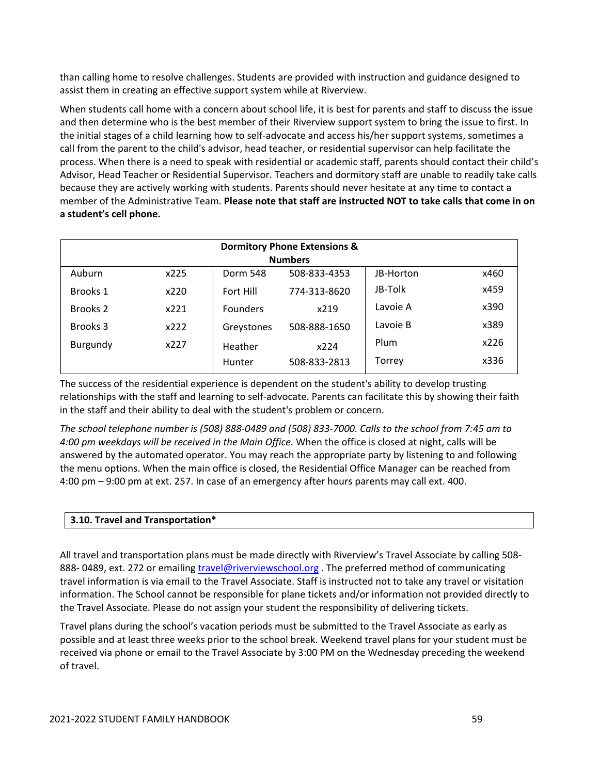than calling home to resolve challenges. Students are provided with instruction and guidance designed to assist them in creating an effective support system while at Riverview.

When students call home with a concern about school life, it is best for parents and staff to discuss the issue and then determine who is the best member of their Riverview support system to bring the issue to first. In the initial stages of a child learning how to self‐advocate and access his/her support systems, sometimes a call from the parent to the child's advisor, head teacher, or residential supervisor can help facilitate the process. When there is a need to speak with residential or academic staff, parents should contact their child's Advisor, Head Teacher or Residential Supervisor. Teachers and dormitory staff are unable to readily take calls because they are actively working with students. Parents should never hesitate at any time to contact a member of the Administrative Team. **Please note that staff are instructed NOT to take calls that come in on a student's cell phone.**

| <b>Dormitory Phone Extensions &amp;</b> |                 |                 |              |           |      |  |
|-----------------------------------------|-----------------|-----------------|--------------|-----------|------|--|
| <b>Numbers</b>                          |                 |                 |              |           |      |  |
| Auburn                                  | x225            | Dorm 548        | 508-833-4353 | JB-Horton | x460 |  |
| Brooks 1                                | x220            | Fort Hill       | 774-313-8620 | JB-Tolk   | x459 |  |
| Brooks 2                                | x221            | <b>Founders</b> | x219         | Lavoie A  | x390 |  |
| Brooks 3                                | x222            | Greystones      | 508-888-1650 | Lavoie B  | x389 |  |
| Burgundy                                | x227<br>Heather | x224            | Plum         | x226      |      |  |
|                                         |                 | Hunter          | 508-833-2813 | Torrey    | x336 |  |

The success of the residential experience is dependent on the student's ability to develop trusting relationships with the staff and learning to self‐advocate. Parents can facilitate this by showing their faith in the staff and their ability to deal with the student's problem or concern.

The school telephone number is (508) 888-0489 and (508) 833-7000. Calls to the school from 7:45 am to *4:00 pm weekdays will be received in the Main Office.* When the office is closed at night, calls will be answered by the automated operator. You may reach the appropriate party by listening to and following the menu options. When the main office is closed, the Residential Office Manager can be reached from 4:00 pm – 9:00 pm at ext. 257. In case of an emergency after hours parents may call ext. 400.

## **3.10. Travel and Transportation\***

All travel and transportation plans must be made directly with Riverview's Travel Associate by calling 508‐ 888-0489, ext. 272 or emailing travel@riverviewschool.org. The preferred method of communicating travel information is via email to the Travel Associate. Staff is instructed not to take any travel or visitation information. The School cannot be responsible for plane tickets and/or information not provided directly to the Travel Associate. Please do not assign your student the responsibility of delivering tickets.

Travel plans during the school's vacation periods must be submitted to the Travel Associate as early as possible and at least three weeks prior to the school break. Weekend travel plans for your student must be received via phone or email to the Travel Associate by 3:00 PM on the Wednesday preceding the weekend of travel.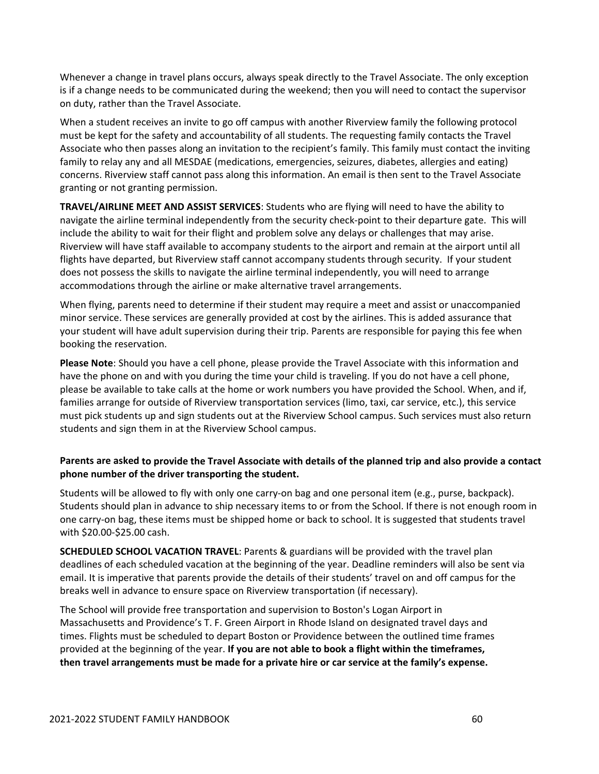Whenever a change in travel plans occurs, always speak directly to the Travel Associate. The only exception is if a change needs to be communicated during the weekend; then you will need to contact the supervisor on duty, rather than the Travel Associate.

When a student receives an invite to go off campus with another Riverview family the following protocol must be kept for the safety and accountability of all students. The requesting family contacts the Travel Associate who then passes along an invitation to the recipient's family. This family must contact the inviting family to relay any and all MESDAE (medications, emergencies, seizures, diabetes, allergies and eating) concerns. Riverview staff cannot pass along this information. An email is then sent to the Travel Associate granting or not granting permission.

**TRAVEL/AIRLINE MEET AND ASSIST SERVICES**: Students who are flying will need to have the ability to navigate the airline terminal independently from the security check‐point to their departure gate. This will include the ability to wait for their flight and problem solve any delays or challenges that may arise. Riverview will have staff available to accompany students to the airport and remain at the airport until all flights have departed, but Riverview staff cannot accompany students through security. If your student does not possess the skills to navigate the airline terminal independently, you will need to arrange accommodations through the airline or make alternative travel arrangements.

When flying, parents need to determine if their student may require a meet and assist or unaccompanied minor service. These services are generally provided at cost by the airlines. This is added assurance that your student will have adult supervision during their trip. Parents are responsible for paying this fee when booking the reservation.

**Please Note**: Should you have a cell phone, please provide the Travel Associate with this information and have the phone on and with you during the time your child is traveling. If you do not have a cell phone, please be available to take calls at the home or work numbers you have provided the School. When, and if, families arrange for outside of Riverview transportation services (limo, taxi, car service, etc.), this service must pick students up and sign students out at the Riverview School campus. Such services must also return students and sign them in at the Riverview School campus.

# Parents are asked to provide the Travel Associate with details of the planned trip and also provide a contact **phone number of the driver transporting the student.**

Students will be allowed to fly with only one carry-on bag and one personal item (e.g., purse, backpack). Students should plan in advance to ship necessary items to or from the School. If there is not enough room in one carry‐on bag, these items must be shipped home or back to school. It is suggested that students travel with \$20.00‐\$25.00 cash.

**SCHEDULED SCHOOL VACATION TRAVEL**: Parents & guardians will be provided with the travel plan deadlines of each scheduled vacation at the beginning of the year. Deadline reminders will also be sent via email. It is imperative that parents provide the details of their students' travel on and off campus for the breaks well in advance to ensure space on Riverview transportation (if necessary).

The School will provide free transportation and supervision to Boston's Logan Airport in Massachusetts and Providence's T. F. Green Airport in Rhode Island on designated travel days and times. Flights must be scheduled to depart Boston or Providence between the outlined time frames provided at the beginning of the year. **If you are not able to book a flight within the timeframes, then travel arrangements must be made for a private hire or car service at the family's expense.**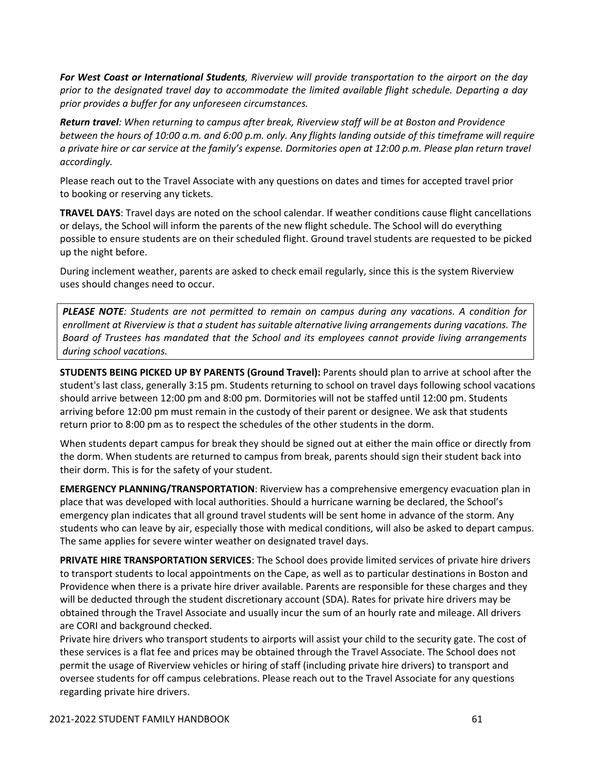*For West Coast or International Students, Riverview will provide transportation to the airport on the day prior to the designated travel day to accommodate the limited available flight schedule. Departing a day prior provides a buffer for any unforeseen circumstances.*

*Return travel: When returning to campus after break, Riverview staff will be at Boston and Providence* between the hours of 10:00 a.m. and 6:00 p.m. only. Any flights landing outside of this timeframe will require a private hire or car service at the family's expense. Dormitories open at 12:00 p.m. Please plan return travel *accordingly.*

Please reach out to the Travel Associate with any questions on dates and times for accepted travel prior to booking or reserving any tickets.

**TRAVEL DAYS**: Travel days are noted on the school calendar. If weather conditions cause flight cancellations or delays, the School will inform the parents of the new flight schedule. The School will do everything possible to ensure students are on their scheduled flight. Ground travel students are requested to be picked up the night before.

During inclement weather, parents are asked to check email regularly, since this is the system Riverview uses should changes need to occur.

*PLEASE NOTE: Students are not permitted to remain on campus during any vacations. A condition for enrollment at Riverview is that a student has suitable alternative living arrangements during vacations. The Board of Trustees has mandated that the School and its employees cannot provide living arrangements during school vacations.*

**STUDENTS BEING PICKED UP BY PARENTS (Ground Travel):** Parents should plan to arrive at school after the student's last class, generally 3:15 pm. Students returning to school on travel days following school vacations should arrive between 12:00 pm and 8:00 pm. Dormitories will not be staffed until 12:00 pm. Students arriving before 12:00 pm must remain in the custody of their parent or designee. We ask that students return prior to 8:00 pm as to respect the schedules of the other students in the dorm.

When students depart campus for break they should be signed out at either the main office or directly from the dorm. When students are returned to campus from break, parents should sign their student back into their dorm. This is for the safety of your student.

**EMERGENCY PLANNING/TRANSPORTATION**: Riverview has a comprehensive emergency evacuation plan in place that was developed with local authorities. Should a hurricane warning be declared, the School's emergency plan indicates that all ground travel students will be sent home in advance of the storm. Any students who can leave by air, especially those with medical conditions, will also be asked to depart campus. The same applies for severe winter weather on designated travel days.

**PRIVATE HIRE TRANSPORTATION SERVICES**: The School does provide limited services of private hire drivers to transport students to local appointments on the Cape, as well as to particular destinations in Boston and Providence when there is a private hire driver available. Parents are responsible for these charges and they will be deducted through the student discretionary account (SDA). Rates for private hire drivers may be obtained through the Travel Associate and usually incur the sum of an hourly rate and mileage. All drivers are CORI and background checked.

Private hire drivers who transport students to airports will assist your child to the security gate. The cost of these services is a flat fee and prices may be obtained through the Travel Associate. The School does not permit the usage of Riverview vehicles or hiring of staff (including private hire drivers) to transport and oversee students for off campus celebrations. Please reach out to the Travel Associate for any questions regarding private hire drivers.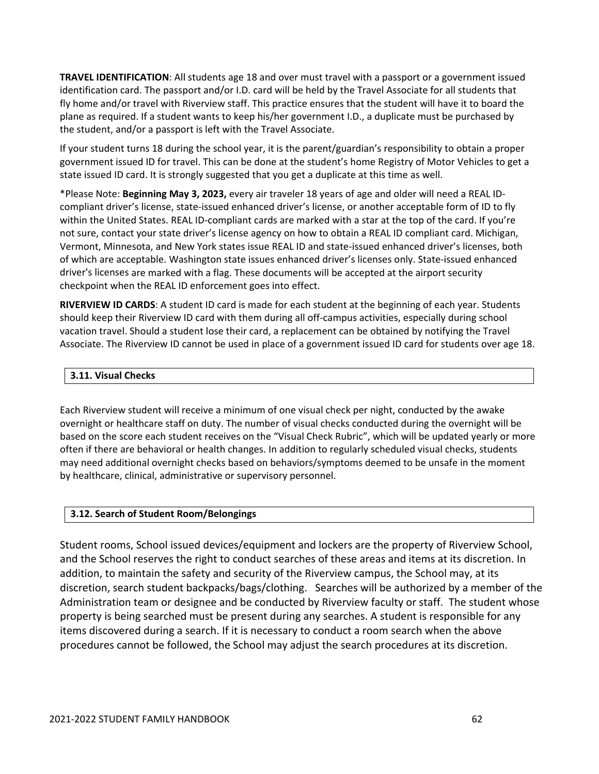**TRAVEL IDENTIFICATION**: All students age 18 and over must travel with a passport or a government issued identification card. The passport and/or I.D. card will be held by the Travel Associate for all students that fly home and/or travel with Riverview staff. This practice ensures that the student will have it to board the plane as required. If a student wants to keep his/her government I.D., a duplicate must be purchased by the student, and/or a passport is left with the Travel Associate.

If your student turns 18 during the school year, it is the parent/guardian's responsibility to obtain a proper government issued ID for travel. This can be done at the student's home Registry of Motor Vehicles to get a state issued ID card. It is strongly suggested that you get a duplicate at this time as well.

\*Please Note: **Beginning May 3, 2023,** every air traveler 18 years of age and older will need a REAL ID‐ compliant driver's license, state‐issued enhanced driver's license, or another acceptable form of ID to fly within the United States. REAL ID‐compliant cards are marked with a star at the top of the card. If you're not sure, contact your state driver's license agency on how to obtain a REAL ID compliant card. Michigan, Vermont, Minnesota, and New York states issue REAL ID and state‐issued enhanced driver's licenses, both of which are acceptable. Washington state issues enhanced driver's licenses only. State‐issued enhanced driver's licenses are marked with a flag. These documents will be accepted at the airport security checkpoint when the REAL ID enforcement goes into effect.

**RIVERVIEW ID CARDS**: A student ID card is made for each student at the beginning of each year. Students should keep their Riverview ID card with them during all off‐campus activities, especially during school vacation travel. Should a student lose their card, a replacement can be obtained by notifying the Travel Associate. The Riverview ID cannot be used in place of a government issued ID card for students over age 18.

## **3.11. Visual Checks**

Each Riverview student will receive a minimum of one visual check per night, conducted by the awake overnight or healthcare staff on duty. The number of visual checks conducted during the overnight will be based on the score each student receives on the "Visual Check Rubric", which will be updated yearly or more often if there are behavioral or health changes. In addition to regularly scheduled visual checks, students may need additional overnight checks based on behaviors/symptoms deemed to be unsafe in the moment by healthcare, clinical, administrative or supervisory personnel.

# **3.12. Search of Student Room/Belongings**

Student rooms, School issued devices/equipment and lockers are the property of Riverview School, and the School reserves the right to conduct searches of these areas and items at its discretion. In addition, to maintain the safety and security of the Riverview campus, the School may, at its discretion, search student backpacks/bags/clothing. Searches will be authorized by a member of the Administration team or designee and be conducted by Riverview faculty or staff. The student whose property is being searched must be present during any searches. A student is responsible for any items discovered during a search. If it is necessary to conduct a room search when the above procedures cannot be followed, the School may adjust the search procedures at its discretion.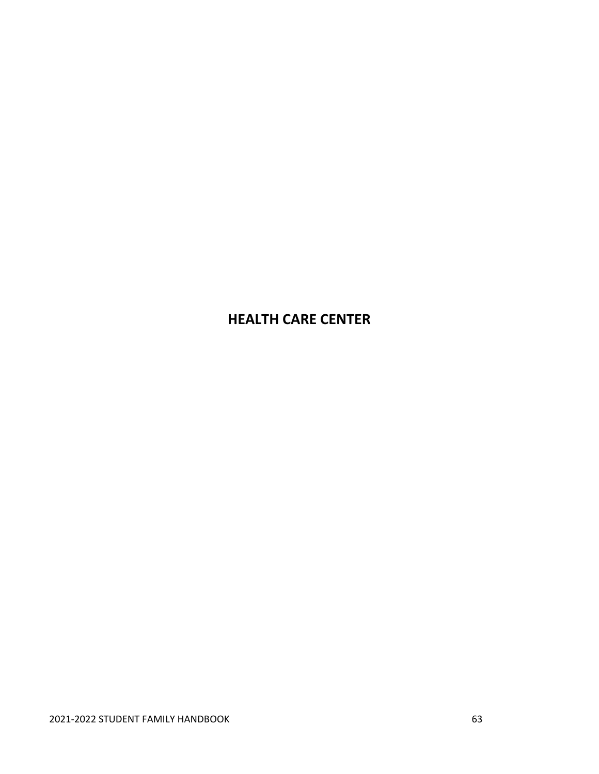# **HEALTH CARE CENTER**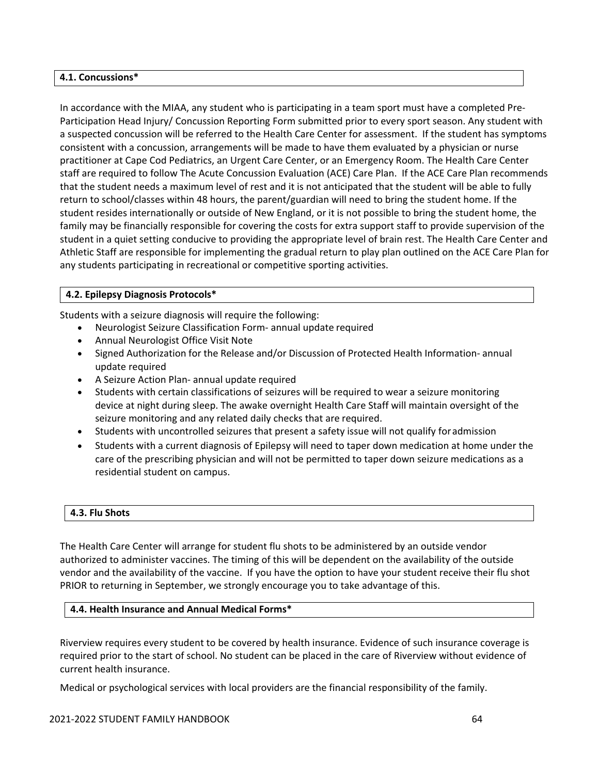### **4.1. Concussions\***

In accordance with the MIAA, any student who is participating in a team sport must have a completed Pre‐ Participation Head Injury/ Concussion Reporting Form submitted prior to every sport season. Any student with a suspected concussion will be referred to the Health Care Center for assessment. If the student has symptoms consistent with a concussion, arrangements will be made to have them evaluated by a physician or nurse practitioner at Cape Cod Pediatrics, an Urgent Care Center, or an Emergency Room. The Health Care Center staff are required to follow The Acute Concussion Evaluation (ACE) Care Plan. If the ACE Care Plan recommends that the student needs a maximum level of rest and it is not anticipated that the student will be able to fully return to school/classes within 48 hours, the parent/guardian will need to bring the student home. If the student resides internationally or outside of New England, or it is not possible to bring the student home, the family may be financially responsible for covering the costs for extra support staff to provide supervision of the student in a quiet setting conducive to providing the appropriate level of brain rest. The Health Care Center and Athletic Staff are responsible for implementing the gradual return to play plan outlined on the ACE Care Plan for any students participating in recreational or competitive sporting activities.

## **4.2. Epilepsy Diagnosis Protocols\***

Students with a seizure diagnosis will require the following:

- Neurologist Seizure Classification Form‐ annual update required
- Annual Neurologist Office Visit Note
- Signed Authorization for the Release and/or Discussion of Protected Health Information‐ annual update required
- A Seizure Action Plan‐ annual update required
- Students with certain classifications of seizures will be required to wear a seizure monitoring device at night during sleep. The awake overnight Health Care Staff will maintain oversight of the seizure monitoring and any related daily checks that are required.
- Students with uncontrolled seizures that present a safety issue will not qualify foradmission
- Students with a current diagnosis of Epilepsy will need to taper down medication at home under the care of the prescribing physician and will not be permitted to taper down seizure medications as a residential student on campus.

# **4.3. Flu Shots**

The Health Care Center will arrange for student flu shots to be administered by an outside vendor authorized to administer vaccines. The timing of this will be dependent on the availability of the outside vendor and the availability of the vaccine. If you have the option to have your student receive their flu shot PRIOR to returning in September, we strongly encourage you to take advantage of this.

## **4.4. Health Insurance and Annual Medical Forms\***

Riverview requires every student to be covered by health insurance. Evidence of such insurance coverage is required prior to the start of school. No student can be placed in the care of Riverview without evidence of current health insurance.

Medical or psychological services with local providers are the financial responsibility of the family.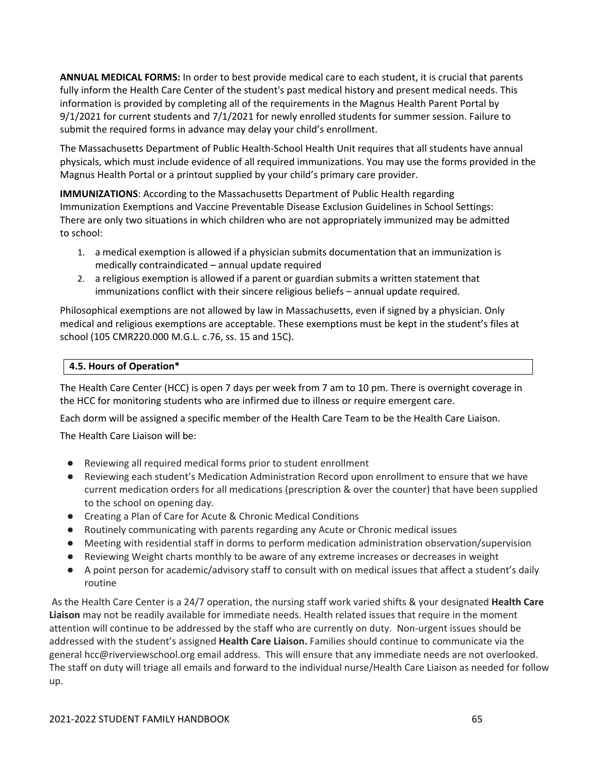**ANNUAL MEDICAL FORMS:** In order to best provide medical care to each student, it is crucial that parents fully inform the Health Care Center of the student's past medical history and present medical needs. This information is provided by completing all of the requirements in the Magnus Health Parent Portal by 9/1/2021 for current students and 7/1/2021 for newly enrolled students for summer session. Failure to submit the required forms in advance may delay your child's enrollment.

The Massachusetts Department of Public Health‐School Health Unit requires that all students have annual physicals, which must include evidence of all required immunizations. You may use the forms provided in the Magnus Health Portal or a printout supplied by your child's primary care provider.

**IMMUNIZATIONS**: According to the Massachusetts Department of Public Health regarding Immunization Exemptions and Vaccine Preventable Disease Exclusion Guidelines in School Settings: There are only two situations in which children who are not appropriately immunized may be admitted to school:

- 1. a medical exemption is allowed if a physician submits documentation that an immunization is medically contraindicated – annual update required
- 2. a religious exemption is allowed if a parent or guardian submits a written statement that immunizations conflict with their sincere religious beliefs – annual update required.

Philosophical exemptions are not allowed by law in Massachusetts, even if signed by a physician. Only medical and religious exemptions are acceptable. These exemptions must be kept in the student's files at school (105 CMR220.000 M.G.L. c.76, ss. 15 and 15C).

# **4.5. Hours of Operation\***

The Health Care Center (HCC) is open 7 days per week from 7 am to 10 pm. There is overnight coverage in the HCC for monitoring students who are infirmed due to illness or require emergent care.

Each dorm will be assigned a specific member of the Health Care Team to be the Health Care Liaison.

The Health Care Liaison will be:

- Reviewing all required medical forms prior to student enrollment
- Reviewing each student's Medication Administration Record upon enrollment to ensure that we have current medication orders for all medications (prescription & over the counter) that have been supplied to the school on opening day.
- Creating a Plan of Care for Acute & Chronic Medical Conditions
- Routinely communicating with parents regarding any Acute or Chronic medical issues
- Meeting with residential staff in dorms to perform medication administration observation/supervision
- Reviewing Weight charts monthly to be aware of any extreme increases or decreases in weight
- A point person for academic/advisory staff to consult with on medical issues that affect a student's daily routine

As the Health Care Center is a 24/7 operation, the nursing staff work varied shifts & your designated **Health Care Liaison** may not be readily available for immediate needs. Health related issues that require in the moment attention will continue to be addressed by the staff who are currently on duty. Non-urgent issues should be addressed with the student's assigned **Health Care Liaison.** Families should continue to communicate via the general hcc@riverviewschool.org email address. This will ensure that any immediate needs are not overlooked. The staff on duty will triage all emails and forward to the individual nurse/Health Care Liaison as needed for follow up.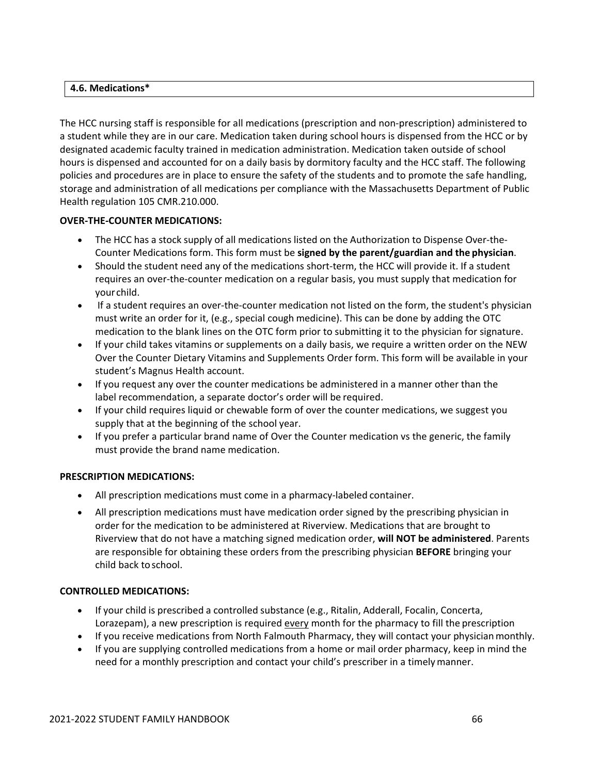## **4.6. Medications\***

The HCC nursing staff is responsible for all medications (prescription and non‐prescription) administered to a student while they are in our care. Medication taken during school hours is dispensed from the HCC or by designated academic faculty trained in medication administration. Medication taken outside of school hours is dispensed and accounted for on a daily basis by dormitory faculty and the HCC staff. The following policies and procedures are in place to ensure the safety of the students and to promote the safe handling, storage and administration of all medications per compliance with the Massachusetts Department of Public Health regulation 105 CMR.210.000.

# **OVER‐THE‐COUNTER MEDICATIONS:**

- The HCC has a stock supply of all medications listed on the Authorization to Dispense Over-the-Counter Medications form. This form must be **signed by the parent/guardian and the physician**.
- Should the student need any of the medications short-term, the HCC will provide it. If a student requires an over‐the‐counter medication on a regular basis, you must supply that medication for yourchild.
- If a student requires an over-the-counter medication not listed on the form, the student's physician must write an order for it, (e.g., special cough medicine). This can be done by adding the OTC medication to the blank lines on the OTC form prior to submitting it to the physician for signature.
- If your child takes vitamins or supplements on a daily basis, we require a written order on the NEW Over the Counter Dietary Vitamins and Supplements Order form. This form will be available in your student's Magnus Health account.
- If you request any over the counter medications be administered in a manner other than the label recommendation, a separate doctor's order will be required.
- If your child requires liquid or chewable form of over the counter medications, we suggest you supply that at the beginning of the school year.
- If you prefer a particular brand name of Over the Counter medication vs the generic, the family must provide the brand name medication.

## **PRESCRIPTION MEDICATIONS:**

- All prescription medications must come in a pharmacy-labeled container.
- All prescription medications must have medication order signed by the prescribing physician in order for the medication to be administered at Riverview. Medications that are brought to Riverview that do not have a matching signed medication order, **will NOT be administered**. Parents are responsible for obtaining these orders from the prescribing physician **BEFORE** bringing your child back toschool.

## **CONTROLLED MEDICATIONS:**

- If your child is prescribed a controlled substance (e.g., Ritalin, Adderall, Focalin, Concerta, Lorazepam), a new prescription is required every month for the pharmacy to fill the prescription
- If you receive medications from North Falmouth Pharmacy, they will contact your physicianmonthly.
- If you are supplying controlled medications from a home or mail order pharmacy, keep in mind the need for a monthly prescription and contact your child's prescriber in a timelymanner.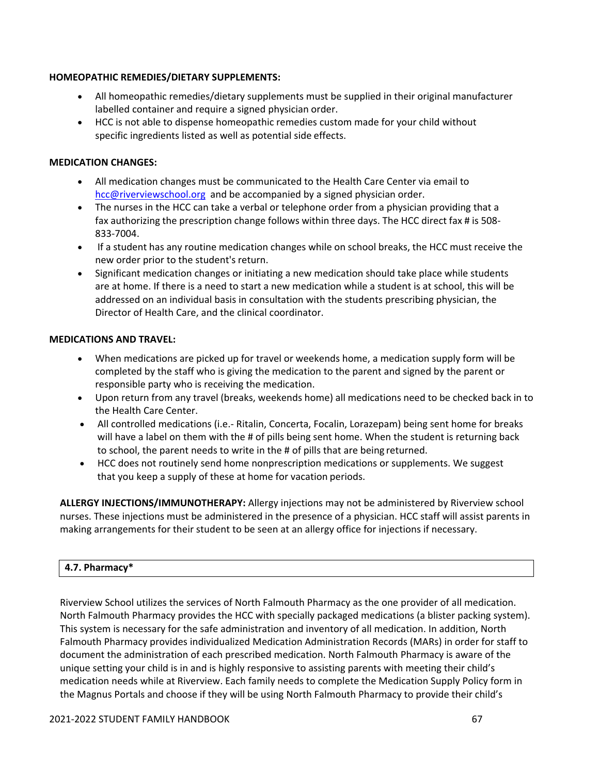## **HOMEOPATHIC REMEDIES/DIETARY SUPPLEMENTS:**

- All homeopathic remedies/dietary supplements must be supplied in their original manufacturer labelled container and require a signed physician order.
- HCC is not able to dispense homeopathic remedies custom made for your child without specific ingredients listed as well as potential side effects.

## **MEDICATION CHANGES:**

- All medication changes must be communicated to the Health Care Center via email to hcc@riverviewschool.org and be accompanied by a signed physician order.
- The nurses in the HCC can take a verbal or telephone order from a physician providing that a fax authorizing the prescription change follows within three days. The HCC direct fax # is 508-833‐7004.
- If a student has any routine medication changes while on school breaks, the HCC must receive the new order prior to the student's return.
- Significant medication changes or initiating a new medication should take place while students are at home. If there is a need to start a new medication while a student is at school, this will be addressed on an individual basis in consultation with the students prescribing physician, the Director of Health Care, and the clinical coordinator.

### **MEDICATIONS AND TRAVEL:**

- When medications are picked up for travel or weekends home, a medication supply form will be completed by the staff who is giving the medication to the parent and signed by the parent or responsible party who is receiving the medication.
- Upon return from any travel (breaks, weekends home) all medications need to be checked back in to the Health Care Center.
- All controlled medications (i.e.- Ritalin, Concerta, Focalin, Lorazepam) being sent home for breaks will have a label on them with the # of pills being sent home. When the student is returning back to school, the parent needs to write in the # of pills that are being returned.
- HCC does not routinely send home nonprescription medications or supplements. We suggest that you keep a supply of these at home for vacation periods.

**ALLERGY INJECTIONS/IMMUNOTHERAPY:** Allergy injections may not be administered by Riverview school nurses. These injections must be administered in the presence of a physician. HCC staff will assist parents in making arrangements for their student to be seen at an allergy office for injections if necessary.

## **4.7. Pharmacy\***

Riverview School utilizes the services of North Falmouth Pharmacy as the one provider of all medication. North Falmouth Pharmacy provides the HCC with specially packaged medications (a blister packing system). This system is necessary for the safe administration and inventory of all medication. In addition, North Falmouth Pharmacy provides individualized Medication Administration Records (MARs) in order for staff to document the administration of each prescribed medication. North Falmouth Pharmacy is aware of the unique setting your child is in and is highly responsive to assisting parents with meeting their child's medication needs while at Riverview. Each family needs to complete the Medication Supply Policy form in the Magnus Portals and choose if they will be using North Falmouth Pharmacy to provide their child's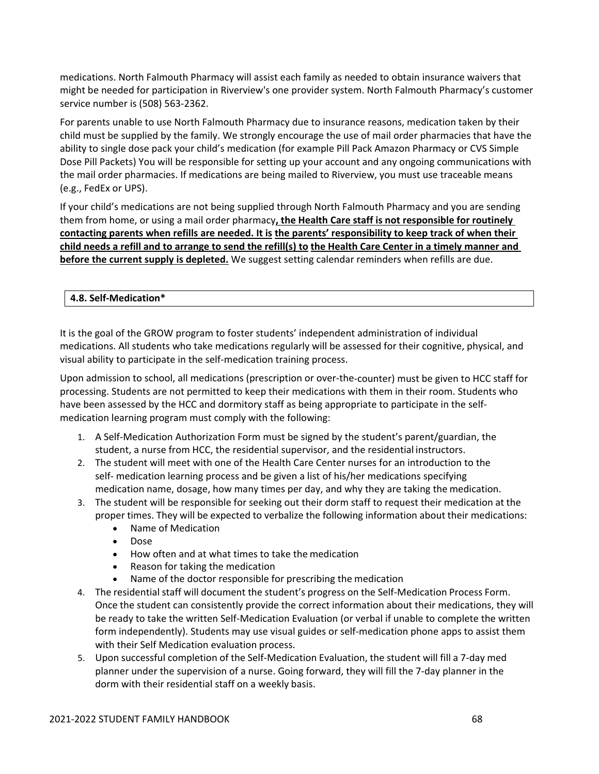medications. North Falmouth Pharmacy will assist each family as needed to obtain insurance waivers that might be needed for participation in Riverview's one provider system. North Falmouth Pharmacy's customer service number is (508) 563‐2362.

For parents unable to use North Falmouth Pharmacy due to insurance reasons, medication taken by their child must be supplied by the family. We strongly encourage the use of mail order pharmacies that have the ability to single dose pack your child's medication (for example Pill Pack Amazon Pharmacy or CVS Simple Dose Pill Packets) You will be responsible for setting up your account and any ongoing communications with the mail order pharmacies. If medications are being mailed to Riverview, you must use traceable means (e.g., FedEx or UPS).

If your child's medications are not being supplied through North Falmouth Pharmacy and you are sending them from home, or using a mail order pharmacy**, the Health Care staff is not responsible for routinely contacting parents when refills are needed. It is the parents' responsibility to keep track of when their** child needs a refill and to arrange to send the refill(s) to the Health Care Center in a timely manner and **before the current supply is depleted.** We suggest setting calendar reminders when refills are due.

# **4.8. Self‐Medication\***

It is the goal of the GROW program to foster students' independent administration of individual medications. All students who take medications regularly will be assessed for their cognitive, physical, and visual ability to participate in the self‐medication training process.

Upon admission to school, all medications (prescription or over‐the‐counter) must be given to HCC staff for processing. Students are not permitted to keep their medications with them in their room. Students who have been assessed by the HCC and dormitory staff as being appropriate to participate in the selfmedication learning program must comply with the following:

- 1. A Self‐Medication Authorization Form must be signed by the student's parent/guardian, the student, a nurse from HCC, the residential supervisor, and the residential instructors.
- 2. The student will meet with one of the Health Care Center nurses for an introduction to the self- medication learning process and be given a list of his/her medications specifying medication name, dosage, how many times per day, and why they are taking the medication.
- 3. The student will be responsible for seeking out their dorm staff to request their medication at the proper times. They will be expected to verbalize the following information about their medications:
	- Name of Medication
	- Dose
	- How often and at what times to take the medication
	- Reason for taking the medication
	- Name of the doctor responsible for prescribing the medication
- 4. The residential staff will document the student's progress on the Self‐Medication Process Form. Once the student can consistently provide the correct information about their medications, they will be ready to take the written Self-Medication Evaluation (or verbal if unable to complete the written form independently). Students may use visual guides or self-medication phone apps to assist them with their Self Medication evaluation process.
- 5. Upon successful completion of the Self‐Medication Evaluation, the student will fill a 7‐day med planner under the supervision of a nurse. Going forward, they will fill the 7‐day planner in the dorm with their residential staff on a weekly basis.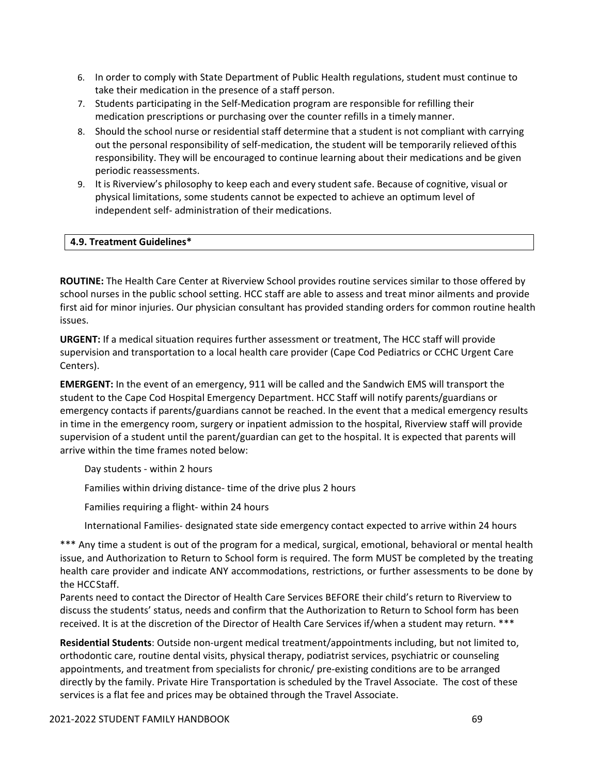- 6. In order to comply with State Department of Public Health regulations, student must continue to take their medication in the presence of a staff person.
- 7. Students participating in the Self-Medication program are responsible for refilling their medication prescriptions or purchasing over the counter refills in a timely manner.
- 8. Should the school nurse or residential staff determine that a student is not compliant with carrying out the personal responsibility of self-medication, the student will be temporarily relieved of this responsibility. They will be encouraged to continue learning about their medications and be given periodic reassessments.
- 9. It is Riverview's philosophy to keep each and every student safe. Because of cognitive, visual or physical limitations, some students cannot be expected to achieve an optimum level of independent self‐ administration of their medications.

## **4.9. Treatment Guidelines\***

**ROUTINE:** The Health Care Center at Riverview School provides routine services similar to those offered by school nurses in the public school setting. HCC staff are able to assess and treat minor ailments and provide first aid for minor injuries. Our physician consultant has provided standing orders for common routine health issues.

**URGENT:** If a medical situation requires further assessment or treatment, The HCC staff will provide supervision and transportation to a local health care provider (Cape Cod Pediatrics or CCHC Urgent Care Centers).

**EMERGENT:** In the event of an emergency, 911 will be called and the Sandwich EMS will transport the student to the Cape Cod Hospital Emergency Department. HCC Staff will notify parents/guardians or emergency contacts if parents/guardians cannot be reached. In the event that a medical emergency results in time in the emergency room, surgery or inpatient admission to the hospital, Riverview staff will provide supervision of a student until the parent/guardian can get to the hospital. It is expected that parents will arrive within the time frames noted below:

Day students ‐ within 2 hours

Families within driving distance‐ time of the drive plus 2 hours

Families requiring a flight‐ within 24 hours

International Families‐ designated state side emergency contact expected to arrive within 24 hours

\*\*\* Any time a student is out of the program for a medical, surgical, emotional, behavioral or mental health issue, and Authorization to Return to School form is required. The form MUST be completed by the treating health care provider and indicate ANY accommodations, restrictions, or further assessments to be done by the HCCStaff.

Parents need to contact the Director of Health Care Services BEFORE their child's return to Riverview to discuss the students' status, needs and confirm that the Authorization to Return to School form has been received. It is at the discretion of the Director of Health Care Services if/when a student may return. \*\*\*

**Residential Students**: Outside non‐urgent medical treatment/appointments including, but not limited to, orthodontic care, routine dental visits, physical therapy, podiatrist services, psychiatric or counseling appointments, and treatment from specialists for chronic/ pre‐existing conditions are to be arranged directly by the family. Private Hire Transportation is scheduled by the Travel Associate. The cost of these services is a flat fee and prices may be obtained through the Travel Associate.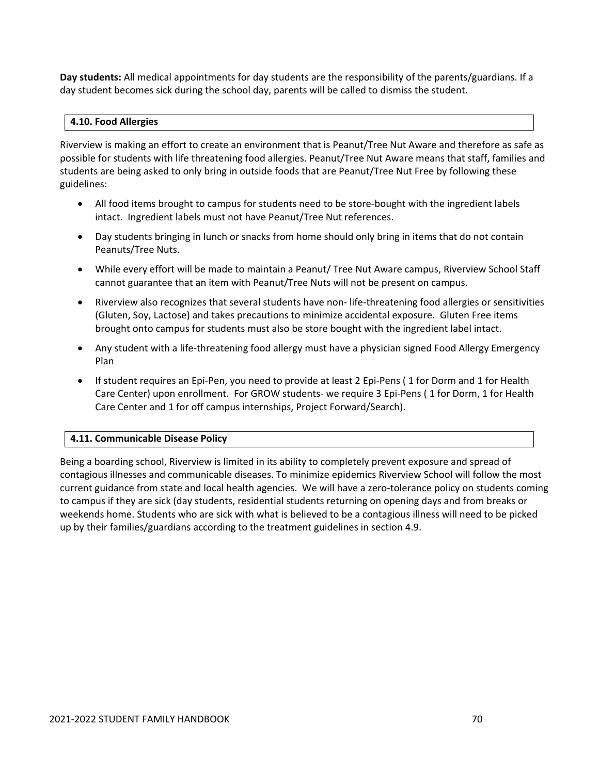**Day students:** All medical appointments for day students are the responsibility of the parents/guardians. If a day student becomes sick during the school day, parents will be called to dismiss the student.

## **4.10. Food Allergies**

Riverview is making an effort to create an environment that is Peanut/Tree Nut Aware and therefore as safe as possible for students with life threatening food allergies. Peanut/Tree Nut Aware means that staff, families and students are being asked to only bring in outside foods that are Peanut/Tree Nut Free by following these guidelines:

- All food items brought to campus for students need to be store-bought with the ingredient labels intact. Ingredient labels must not have Peanut/Tree Nut references.
- Day students bringing in lunch or snacks from home should only bring in items that do not contain Peanuts/Tree Nuts.
- While every effort will be made to maintain a Peanut/ Tree Nut Aware campus, Riverview School Staff cannot guarantee that an item with Peanut/Tree Nuts will not be present on campus.
- Riverview also recognizes that several students have non-life-threatening food allergies or sensitivities (Gluten, Soy, Lactose) and takes precautions to minimize accidental exposure. Gluten Free items brought onto campus for students must also be store bought with the ingredient label intact.
- Any student with a life-threatening food allergy must have a physician signed Food Allergy Emergency Plan
- If student requires an Epi-Pen, you need to provide at least 2 Epi-Pens (1 for Dorm and 1 for Health Care Center) upon enrollment. For GROW students‐ we require 3 Epi‐Pens ( 1 for Dorm, 1 for Health Care Center and 1 for off campus internships, Project Forward/Search).

## **4.11. Communicable Disease Policy**

Being a boarding school, Riverview is limited in its ability to completely prevent exposure and spread of contagious illnesses and communicable diseases. To minimize epidemics Riverview School will follow the most current guidance from state and local health agencies. We will have a zero-tolerance policy on students coming to campus if they are sick (day students, residential students returning on opening days and from breaks or weekends home. Students who are sick with what is believed to be a contagious illness will need to be picked up by their families/guardians according to the treatment guidelines in section 4.9.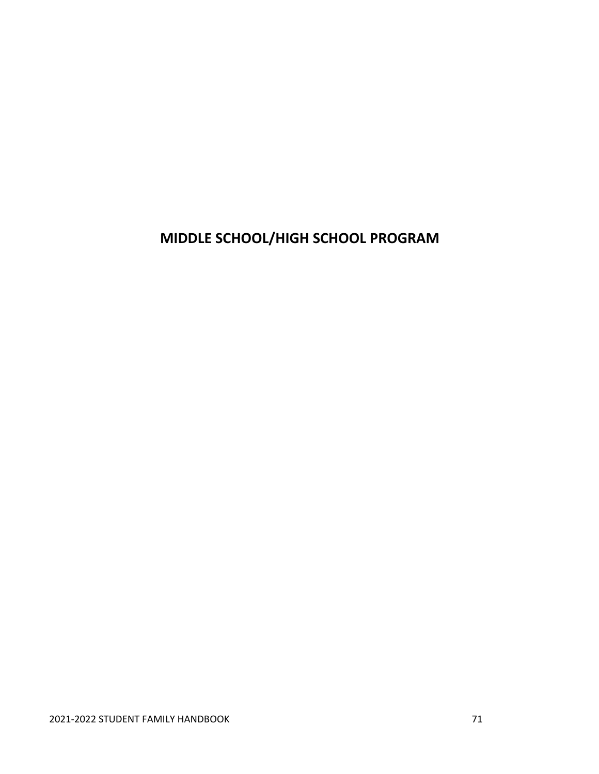**MIDDLE SCHOOL/HIGH SCHOOL PROGRAM**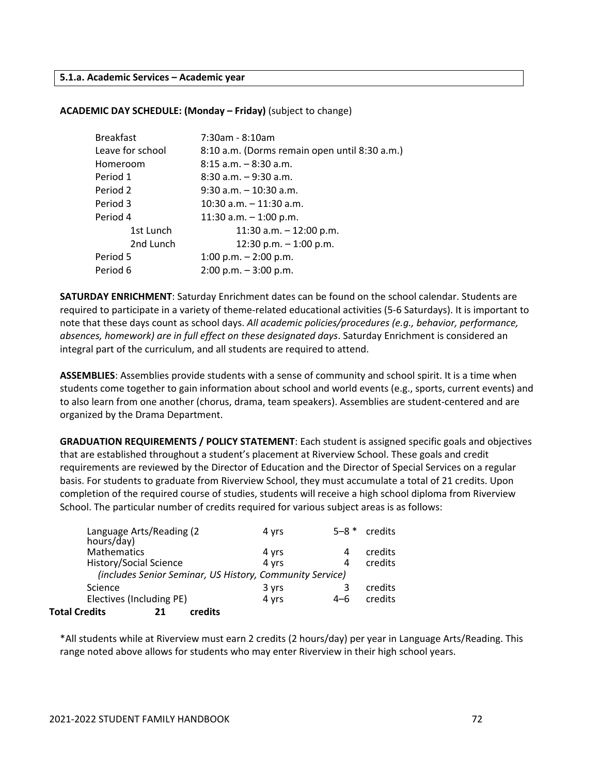#### **5.1.a. Academic Services – Academic year**

#### **ACADEMIC DAY SCHEDULE: (Monday – Friday)** (subject to change)

| <b>Breakfast</b> | 7:30am - 8:10am                               |  |  |
|------------------|-----------------------------------------------|--|--|
| Leave for school | 8:10 a.m. (Dorms remain open until 8:30 a.m.) |  |  |
| Homeroom         | $8:15$ a.m. $-8:30$ a.m.                      |  |  |
| Period 1         | $8:30$ a.m. $-9:30$ a.m.                      |  |  |
| Period 2         | $9:30$ a.m. $-10:30$ a.m.                     |  |  |
| Period 3         | 10:30 a.m. - 11:30 a.m.                       |  |  |
| Period 4         | 11:30 a.m. $-$ 1:00 p.m.                      |  |  |
| 1st Lunch        | 11:30 a.m. $-$ 12:00 p.m.                     |  |  |
| 2nd Lunch        | 12:30 p.m. $-$ 1:00 p.m.                      |  |  |
| Period 5         | 1:00 p.m. $-$ 2:00 p.m.                       |  |  |
| Period 6         | $2:00$ p.m. $-3:00$ p.m.                      |  |  |

**SATURDAY ENRICHMENT**: Saturday Enrichment dates can be found on the school calendar. Students are required to participate in a variety of theme‐related educational activities (5‐6 Saturdays). It is important to note that these days count as school days. *All academic policies/procedures (e.g., behavior, performance, absences, homework) are in full effect on these designated days*. Saturday Enrichment is considered an integral part of the curriculum, and all students are required to attend.

**ASSEMBLIES**: Assemblies provide students with a sense of community and school spirit. It is a time when students come together to gain information about school and world events (e.g., sports, current events) and to also learn from one another (chorus, drama, team speakers). Assemblies are student‐centered and are organized by the Drama Department.

**GRADUATION REQUIREMENTS / POLICY STATEMENT**: Each student is assigned specific goals and objectives that are established throughout a student's placement at Riverview School. These goals and credit requirements are reviewed by the Director of Education and the Director of Special Services on a regular basis. For students to graduate from Riverview School, they must accumulate a total of 21 credits. Upon completion of the required course of studies, students will receive a high school diploma from Riverview School. The particular number of credits required for various subject areas is as follows:

| hours/day)           | Language Arts/Reading (2 |         | 4 yrs                                                    | $5 - 8$ * | credits |
|----------------------|--------------------------|---------|----------------------------------------------------------|-----------|---------|
| Mathematics          |                          |         | 4 yrs                                                    |           | credits |
|                      | History/Social Science   |         | 4 yrs                                                    | 4         | credits |
|                      |                          |         | (includes Senior Seminar, US History, Community Service) |           |         |
| Science              |                          |         | 3 yrs                                                    |           | credits |
|                      | Electives (Including PE) |         | 4 yrs                                                    | $4 - 6$   | credits |
| <b>Total Credits</b> |                          | credits |                                                          |           |         |

\*All students while at Riverview must earn 2 credits (2 hours/day) per year in Language Arts/Reading. This range noted above allows for students who may enter Riverview in their high school years.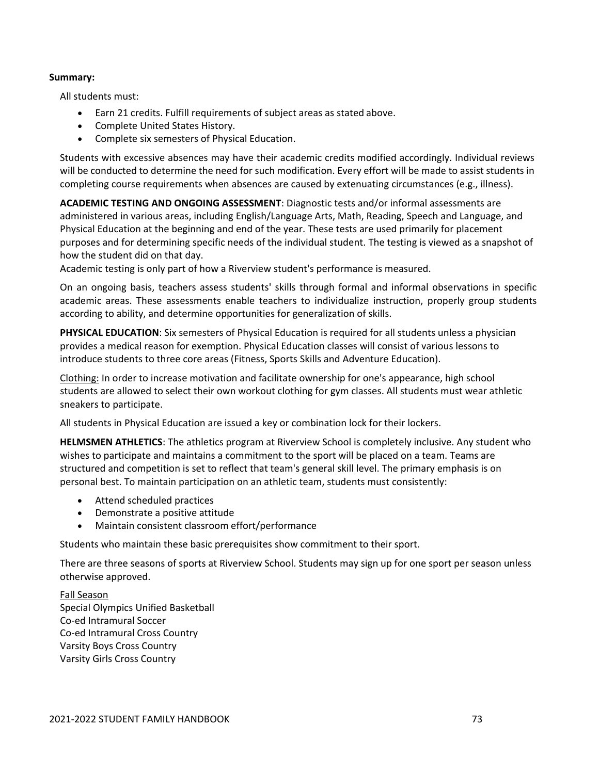### **Summary:**

All students must:

- Earn 21 credits. Fulfill requirements of subject areas as stated above.
- Complete United States History.
- Complete six semesters of Physical Education.

Students with excessive absences may have their academic credits modified accordingly. Individual reviews will be conducted to determine the need for such modification. Every effort will be made to assist students in completing course requirements when absences are caused by extenuating circumstances (e.g., illness).

**ACADEMIC TESTING AND ONGOING ASSESSMENT**: Diagnostic tests and/or informal assessments are administered in various areas, including English/Language Arts, Math, Reading, Speech and Language, and Physical Education at the beginning and end of the year. These tests are used primarily for placement purposes and for determining specific needs of the individual student. The testing is viewed as a snapshot of how the student did on that day.

Academic testing is only part of how a Riverview student's performance is measured.

On an ongoing basis, teachers assess students' skills through formal and informal observations in specific academic areas. These assessments enable teachers to individualize instruction, properly group students according to ability, and determine opportunities for generalization of skills.

**PHYSICAL EDUCATION**: Six semesters of Physical Education is required for all students unless a physician provides a medical reason for exemption. Physical Education classes will consist of various lessons to introduce students to three core areas (Fitness, Sports Skills and Adventure Education).

Clothing: In order to increase motivation and facilitate ownership for one's appearance, high school students are allowed to select their own workout clothing for gym classes. All students must wear athletic sneakers to participate.

All students in Physical Education are issued a key or combination lock for their lockers.

**HELMSMEN ATHLETICS**: The athletics program at Riverview School is completely inclusive. Any student who wishes to participate and maintains a commitment to the sport will be placed on a team. Teams are structured and competition is set to reflect that team's general skill level. The primary emphasis is on personal best. To maintain participation on an athletic team, students must consistently:

- Attend scheduled practices
- Demonstrate a positive attitude
- Maintain consistent classroom effort/performance

Students who maintain these basic prerequisites show commitment to their sport.

There are three seasons of sports at Riverview School. Students may sign up for one sport per season unless otherwise approved.

Fall Season Special Olympics Unified Basketball Co‐ed Intramural Soccer Co‐ed Intramural Cross Country Varsity Boys Cross Country Varsity Girls Cross Country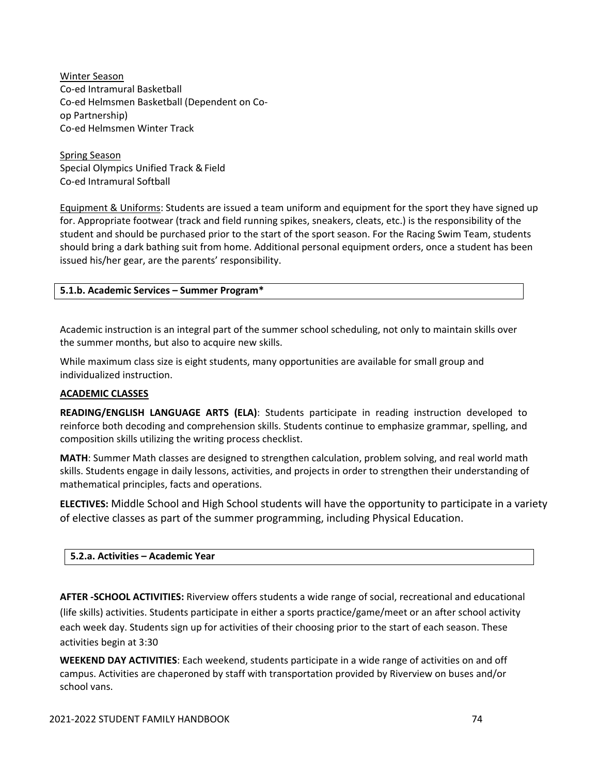Winter Season Co‐ed Intramural Basketball Co‐ed Helmsmen Basketball (Dependent on Co‐ op Partnership) Co‐ed Helmsmen Winter Track

Spring Season Special Olympics Unified Track & Field Co‐ed Intramural Softball

Equipment & Uniforms: Students are issued a team uniform and equipment for the sport they have signed up for. Appropriate footwear (track and field running spikes, sneakers, cleats, etc.) is the responsibility of the student and should be purchased prior to the start of the sport season. For the Racing Swim Team, students should bring a dark bathing suit from home. Additional personal equipment orders, once a student has been issued his/her gear, are the parents' responsibility.

# **5.1.b. Academic Services – Summer Program\***

Academic instruction is an integral part of the summer school scheduling, not only to maintain skills over the summer months, but also to acquire new skills.

While maximum class size is eight students, many opportunities are available for small group and individualized instruction.

### **ACADEMIC CLASSES**

**READING/ENGLISH LANGUAGE ARTS (ELA)**: Students participate in reading instruction developed to reinforce both decoding and comprehension skills. Students continue to emphasize grammar, spelling, and composition skills utilizing the writing process checklist.

**MATH**: Summer Math classes are designed to strengthen calculation, problem solving, and real world math skills. Students engage in daily lessons, activities, and projects in order to strengthen their understanding of mathematical principles, facts and operations.

**ELECTIVES:** Middle School and High School students will have the opportunity to participate in a variety of elective classes as part of the summer programming, including Physical Education.

### **5.2.a. Activities – Academic Year**

**AFTER ‐SCHOOL ACTIVITIES:** Riverview offers students a wide range of social, recreational and educational (life skills) activities. Students participate in either a sports practice/game/meet or an after school activity each week day. Students sign up for activities of their choosing prior to the start of each season. These activities begin at 3:30

**WEEKEND DAY ACTIVITIES**: Each weekend, students participate in a wide range of activities on and off campus. Activities are chaperoned by staff with transportation provided by Riverview on buses and/or school vans.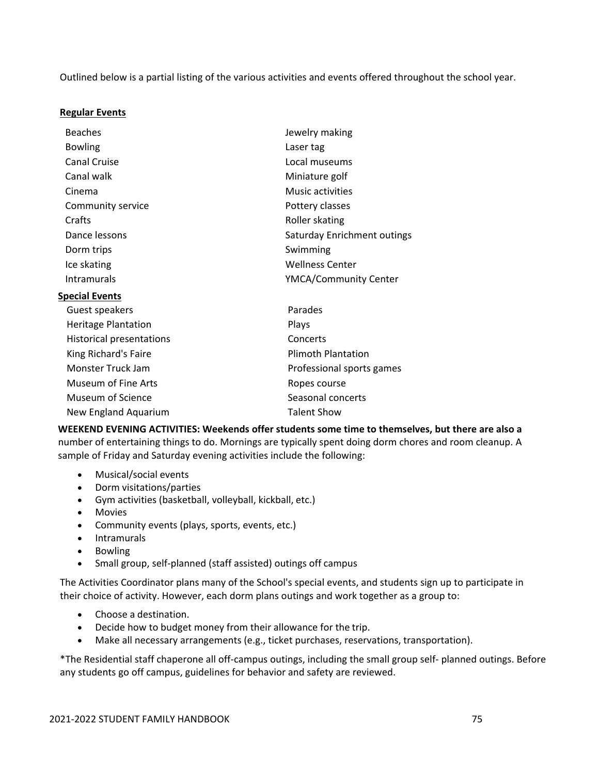Outlined below is a partial listing of the various activities and events offered throughout the school year.

### **Regular Events**

| <b>Beaches</b>                  | Jewelry making              |  |
|---------------------------------|-----------------------------|--|
| <b>Bowling</b>                  | Laser tag                   |  |
| <b>Canal Cruise</b>             | Local museums               |  |
| Canal walk                      | Miniature golf              |  |
| Cinema                          | Music activities            |  |
| Community service               | Pottery classes             |  |
| Crafts                          | Roller skating              |  |
| Dance lessons                   | Saturday Enrichment outings |  |
| Dorm trips                      | Swimming                    |  |
| Ice skating                     | <b>Wellness Center</b>      |  |
| <b>Intramurals</b>              | YMCA/Community Center       |  |
| <b>Special Events</b>           |                             |  |
| Guest speakers                  | Parades                     |  |
| <b>Heritage Plantation</b>      | Plays                       |  |
| <b>Historical presentations</b> | Concerts                    |  |
| King Richard's Faire            | <b>Plimoth Plantation</b>   |  |
| Monster Truck Jam               | Professional sports games   |  |
| <b>Museum of Fine Arts</b>      | Ropes course                |  |
| Museum of Science               | Seasonal concerts           |  |
| New England Aquarium            | <b>Talent Show</b>          |  |

**WEEKEND EVENING ACTIVITIES: Weekends offer students some time to themselves, but there are also a** number of entertaining things to do. Mornings are typically spent doing dorm chores and room cleanup. A sample of Friday and Saturday evening activities include the following:

- Musical/social events
- Dorm visitations/parties
- Gym activities (basketball, volleyball, kickball, etc.)
- Movies
- Community events (plays, sports, events, etc.)
- Intramurals
- Bowling
- Small group, self-planned (staff assisted) outings off campus

The Activities Coordinator plans many of the School's special events, and students sign up to participate in their choice of activity. However, each dorm plans outings and work together as a group to:

- Choose a destination.
- Decide how to budget money from their allowance for the trip.
- Make all necessary arrangements (e.g., ticket purchases, reservations, transportation).

\*The Residential staff chaperone all off‐campus outings, including the small group self‐ planned outings. Before any students go off campus, guidelines for behavior and safety are reviewed.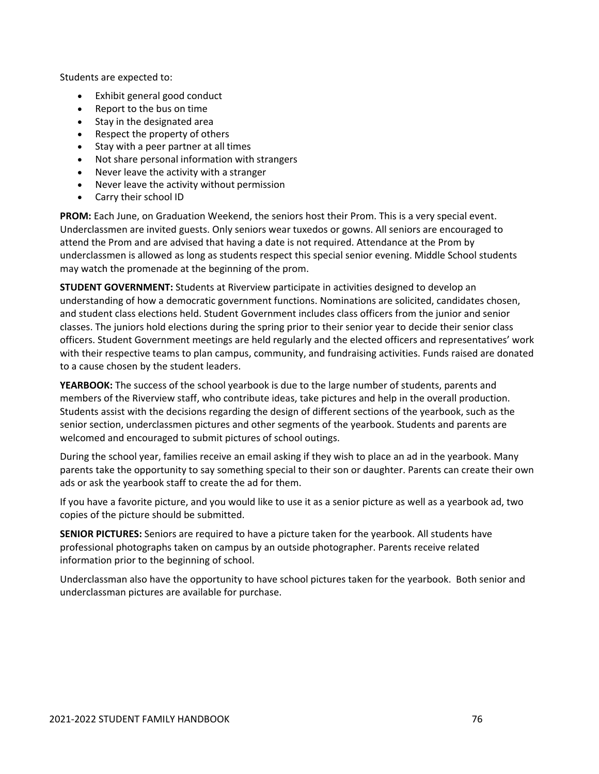Students are expected to:

- Exhibit general good conduct
- Report to the bus on time
- Stay in the designated area
- Respect the property of others
- Stay with a peer partner at all times
- Not share personal information with strangers
- Never leave the activity with a stranger
- Never leave the activity without permission
- Carry their school ID

**PROM:** Each June, on Graduation Weekend, the seniors host their Prom. This is a very special event. Underclassmen are invited guests. Only seniors wear tuxedos or gowns. All seniors are encouraged to attend the Prom and are advised that having a date is not required. Attendance at the Prom by underclassmen is allowed as long as students respect this special senior evening. Middle School students may watch the promenade at the beginning of the prom.

**STUDENT GOVERNMENT:** Students at Riverview participate in activities designed to develop an understanding of how a democratic government functions. Nominations are solicited, candidates chosen, and student class elections held. Student Government includes class officers from the junior and senior classes. The juniors hold elections during the spring prior to their senior year to decide their senior class officers. Student Government meetings are held regularly and the elected officers and representatives' work with their respective teams to plan campus, community, and fundraising activities. Funds raised are donated to a cause chosen by the student leaders.

**YEARBOOK:** The success of the school yearbook is due to the large number of students, parents and members of the Riverview staff, who contribute ideas, take pictures and help in the overall production. Students assist with the decisions regarding the design of different sections of the yearbook, such as the senior section, underclassmen pictures and other segments of the yearbook. Students and parents are welcomed and encouraged to submit pictures of school outings.

During the school year, families receive an email asking if they wish to place an ad in the yearbook. Many parents take the opportunity to say something special to their son or daughter. Parents can create their own ads or ask the yearbook staff to create the ad for them.

If you have a favorite picture, and you would like to use it as a senior picture as well as a yearbook ad, two copies of the picture should be submitted.

**SENIOR PICTURES:** Seniors are required to have a picture taken for the yearbook. All students have professional photographs taken on campus by an outside photographer. Parents receive related information prior to the beginning of school.

Underclassman also have the opportunity to have school pictures taken for the yearbook. Both senior and underclassman pictures are available for purchase.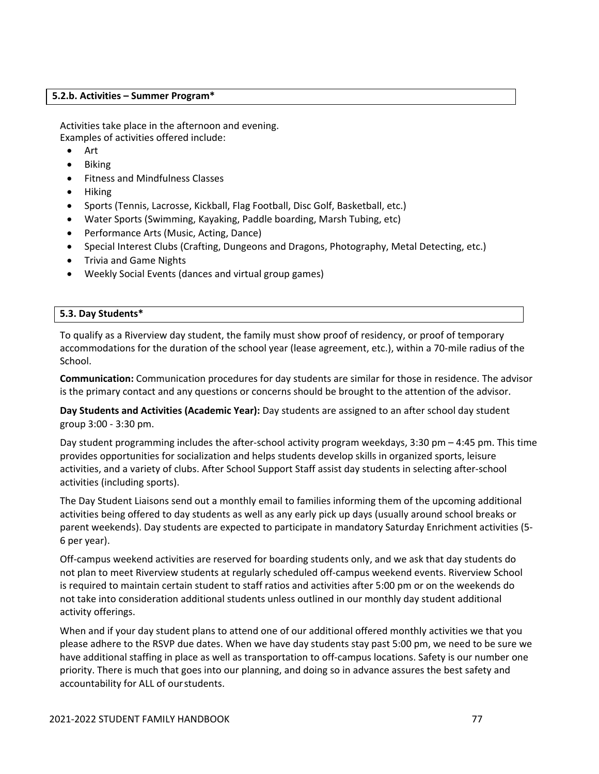### **5.2.b. Activities – Summer Program\***

Activities take place in the afternoon and evening. Examples of activities offered include:

- Art
- Biking
- Fitness and Mindfulness Classes
- Hiking
- Sports (Tennis, Lacrosse, Kickball, Flag Football, Disc Golf, Basketball, etc.)
- Water Sports (Swimming, Kayaking, Paddle boarding, Marsh Tubing, etc)
- Performance Arts (Music, Acting, Dance)
- Special Interest Clubs (Crafting, Dungeons and Dragons, Photography, Metal Detecting, etc.)
- Trivia and Game Nights
- Weekly Social Events (dances and virtual group games)

### **5.3. Day Students\***

To qualify as a Riverview day student, the family must show proof of residency, or proof of temporary accommodations for the duration of the school year (lease agreement, etc.), within a 70‐mile radius of the School.

**Communication:** Communication procedures for day students are similar for those in residence. The advisor is the primary contact and any questions or concerns should be brought to the attention of the advisor.

**Day Students and Activities (Academic Year):** Day students are assigned to an after school day student group 3:00 ‐ 3:30 pm.

Day student programming includes the after-school activity program weekdays, 3:30 pm  $-$  4:45 pm. This time provides opportunities for socialization and helps students develop skills in organized sports, leisure activities, and a variety of clubs. After School Support Staff assist day students in selecting after‐school activities (including sports).

The Day Student Liaisons send out a monthly email to families informing them of the upcoming additional activities being offered to day students as well as any early pick up days (usually around school breaks or parent weekends). Day students are expected to participate in mandatory Saturday Enrichment activities (5‐ 6 per year).

Off‐campus weekend activities are reserved for boarding students only, and we ask that day students do not plan to meet Riverview students at regularly scheduled off‐campus weekend events. Riverview School is required to maintain certain student to staff ratios and activities after 5:00 pm or on the weekends do not take into consideration additional students unless outlined in our monthly day student additional activity offerings.

When and if your day student plans to attend one of our additional offered monthly activities we that you please adhere to the RSVP due dates. When we have day students stay past 5:00 pm, we need to be sure we have additional staffing in place as well as transportation to off-campus locations. Safety is our number one priority. There is much that goes into our planning, and doing so in advance assures the best safety and accountability for ALL of ourstudents.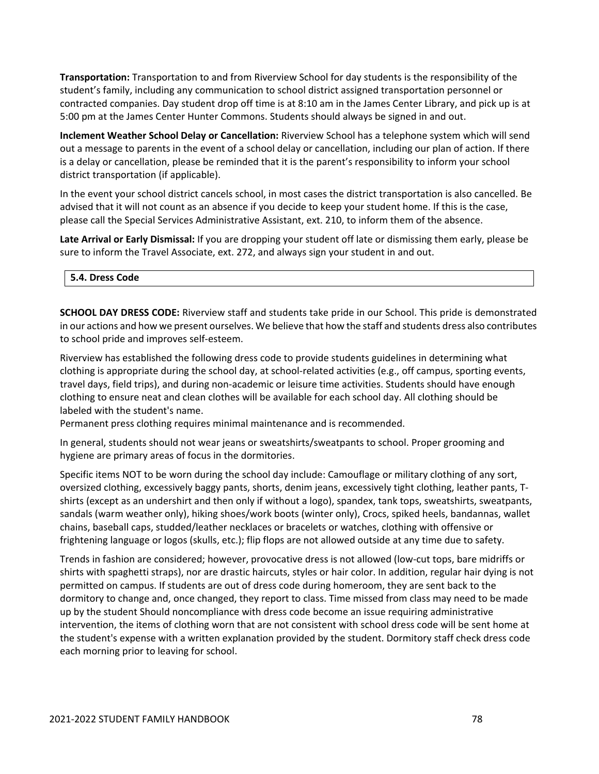**Transportation:** Transportation to and from Riverview School for day students is the responsibility of the student's family, including any communication to school district assigned transportation personnel or contracted companies. Day student drop off time is at 8:10 am in the James Center Library, and pick up is at 5:00 pm at the James Center Hunter Commons. Students should always be signed in and out.

**Inclement Weather School Delay or Cancellation:** Riverview School has a telephone system which will send out a message to parents in the event of a school delay or cancellation, including our plan of action. If there is a delay or cancellation, please be reminded that it is the parent's responsibility to inform your school district transportation (if applicable).

In the event your school district cancels school, in most cases the district transportation is also cancelled. Be advised that it will not count as an absence if you decide to keep your student home. If this is the case, please call the Special Services Administrative Assistant, ext. 210, to inform them of the absence.

**Late Arrival or Early Dismissal:** If you are dropping your student off late or dismissing them early, please be sure to inform the Travel Associate, ext. 272, and always sign your student in and out.

### **5.4. Dress Code**

**SCHOOL DAY DRESS CODE:** Riverview staff and students take pride in our School. This pride is demonstrated in our actions and how we present ourselves. We believe that how the staff and students dress also contributes to school pride and improves self‐esteem.

Riverview has established the following dress code to provide students guidelines in determining what clothing is appropriate during the school day, at school‐related activities (e.g., off campus, sporting events, travel days, field trips), and during non‐academic or leisure time activities. Students should have enough clothing to ensure neat and clean clothes will be available for each school day. All clothing should be labeled with the student's name.

Permanent press clothing requires minimal maintenance and is recommended.

In general, students should not wear jeans or sweatshirts/sweatpants to school. Proper grooming and hygiene are primary areas of focus in the dormitories.

Specific items NOT to be worn during the school day include: Camouflage or military clothing of any sort, oversized clothing, excessively baggy pants, shorts, denim jeans, excessively tight clothing, leather pants, T‐ shirts (except as an undershirt and then only if without a logo), spandex, tank tops, sweatshirts, sweatpants, sandals (warm weather only), hiking shoes/work boots (winter only), Crocs, spiked heels, bandannas, wallet chains, baseball caps, studded/leather necklaces or bracelets or watches, clothing with offensive or frightening language or logos (skulls, etc.); flip flops are not allowed outside at any time due to safety.

Trends in fashion are considered; however, provocative dress is not allowed (low‐cut tops, bare midriffs or shirts with spaghetti straps), nor are drastic haircuts, styles or hair color. In addition, regular hair dying is not permitted on campus. If students are out of dress code during homeroom, they are sent back to the dormitory to change and, once changed, they report to class. Time missed from class may need to be made up by the student Should noncompliance with dress code become an issue requiring administrative intervention, the items of clothing worn that are not consistent with school dress code will be sent home at the student's expense with a written explanation provided by the student. Dormitory staff check dress code each morning prior to leaving for school.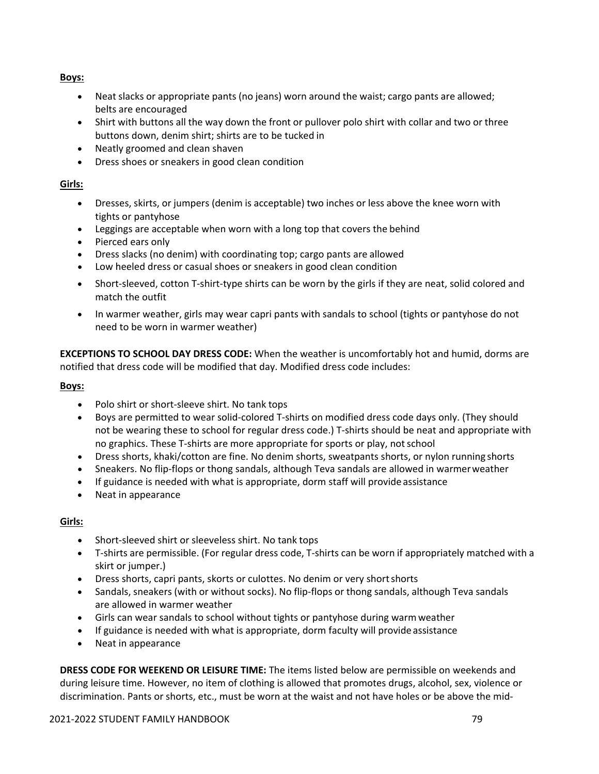**Boys:**

- Neat slacks or appropriate pants (no jeans) worn around the waist; cargo pants are allowed; belts are encouraged
- Shirt with buttons all the way down the front or pullover polo shirt with collar and two or three buttons down, denim shirt; shirts are to be tucked in
- Neatly groomed and clean shaven
- Dress shoes or sneakers in good clean condition

# **Girls:**

- Dresses, skirts, or jumpers (denim is acceptable) two inches or less above the knee worn with tights or pantyhose
- Leggings are acceptable when worn with a long top that covers the behind
- Pierced ears only
- Dress slacks (no denim) with coordinating top; cargo pants are allowed
- Low heeled dress or casual shoes or sneakers in good clean condition
- Short-sleeved, cotton T-shirt-type shirts can be worn by the girls if they are neat, solid colored and match the outfit
- In warmer weather, girls may wear capri pants with sandals to school (tights or pantyhose do not need to be worn in warmer weather)

**EXCEPTIONS TO SCHOOL DAY DRESS CODE:** When the weather is uncomfortably hot and humid, dorms are notified that dress code will be modified that day. Modified dress code includes:

# **Boys:**

- Polo shirt or short‐sleeve shirt. No tank tops
- Boys are permitted to wear solid-colored T-shirts on modified dress code days only. (They should not be wearing these to school for regular dress code.) T-shirts should be neat and appropriate with no graphics. These T‐shirts are more appropriate for sports or play, notschool
- Dress shorts, khaki/cotton are fine. No denim shorts, sweatpants shorts, or nylon running shorts
- Sneakers. No flip‐flops or thong sandals, although Teva sandals are allowed in warmerweather
- If guidance is needed with what is appropriate, dorm staff will provide assistance
- Neat in appearance

# **Girls:**

- Short‐sleeved shirt or sleeveless shirt. No tank tops
- T‐shirts are permissible. (For regular dress code, T‐shirts can be worn if appropriately matched with a skirt or jumper.)
- Dress shorts, capri pants, skorts or culottes. No denim or very short shorts
- Sandals, sneakers (with or without socks). No flip‐flops or thong sandals, although Teva sandals are allowed in warmer weather
- Girls can wear sandals to school without tights or pantyhose during warmweather
- If guidance is needed with what is appropriate, dorm faculty will provide assistance
- Neat in appearance

**DRESS CODE FOR WEEKEND OR LEISURE TIME:** The items listed below are permissible on weekends and during leisure time. However, no item of clothing is allowed that promotes drugs, alcohol, sex, violence or discrimination. Pants or shorts, etc., must be worn at the waist and not have holes or be above the mid‐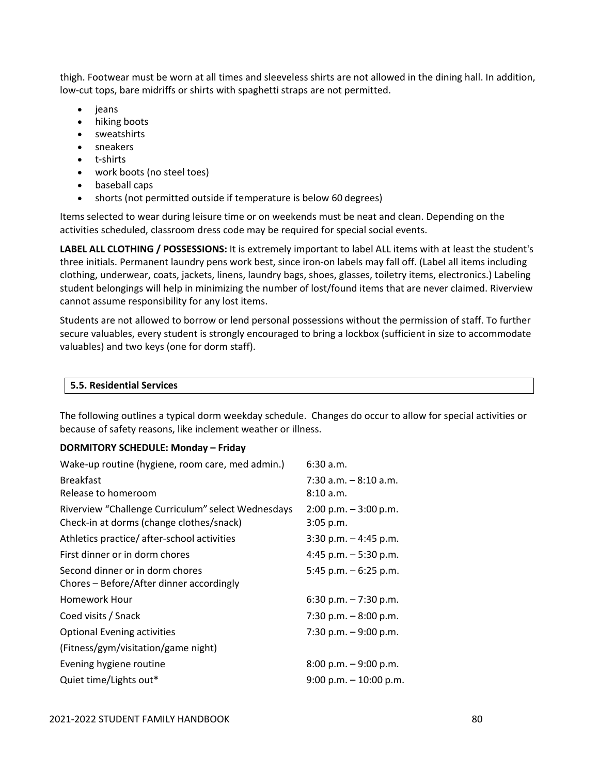thigh. Footwear must be worn at all times and sleeveless shirts are not allowed in the dining hall. In addition, low-cut tops, bare midriffs or shirts with spaghetti straps are not permitted.

- jeans
- hiking boots
- sweatshirts
- sneakers
- t‐shirts
- work boots (no steel toes)
- baseball caps
- shorts (not permitted outside if temperature is below 60 degrees)

Items selected to wear during leisure time or on weekends must be neat and clean. Depending on the activities scheduled, classroom dress code may be required for special social events.

**LABEL ALL CLOTHING / POSSESSIONS:** It is extremely important to label ALL items with at least the student's three initials. Permanent laundry pens work best, since iron‐on labels may fall off. (Label all items including clothing, underwear, coats, jackets, linens, laundry bags, shoes, glasses, toiletry items, electronics.) Labeling student belongings will help in minimizing the number of lost/found items that are never claimed. Riverview cannot assume responsibility for any lost items.

Students are not allowed to borrow or lend personal possessions without the permission of staff. To further secure valuables, every student is strongly encouraged to bring a lockbox (sufficient in size to accommodate valuables) and two keys (one for dorm staff).

The following outlines a typical dorm weekday schedule. Changes do occur to allow for special activities or because of safety reasons, like inclement weather or illness.

### **DORMITORY SCHEDULE: Monday – Friday**

| Wake-up routine (hygiene, room care, med admin.)   | 6:30a.m.                  |
|----------------------------------------------------|---------------------------|
| <b>Breakfast</b>                                   | $7:30$ a.m. $-8:10$ a.m.  |
| Release to homeroom                                | 8:10 a.m.                 |
| Riverview "Challenge Curriculum" select Wednesdays | $2:00$ p.m. $-3:00$ p.m.  |
| Check-in at dorms (change clothes/snack)           | $3:05$ p.m.               |
| Athletics practice/after-school activities         | $3:30$ p.m. $-4:45$ p.m.  |
| First dinner or in dorm chores                     | 4:45 p.m. $-5:30$ p.m.    |
| Second dinner or in dorm chores                    | 5:45 p.m. $-6:25$ p.m.    |
| Chores - Before/After dinner accordingly           |                           |
| <b>Homework Hour</b>                               | 6:30 p.m. $-7:30$ p.m.    |
| Coed visits / Snack                                | 7:30 p.m. $-8:00$ p.m.    |
| <b>Optional Evening activities</b>                 | 7:30 p.m. $-9:00$ p.m.    |
| (Fitness/gym/visitation/game night)                |                           |
| Evening hygiene routine                            | $8:00$ p.m. $-9:00$ p.m.  |
| Quiet time/Lights out*                             | $9:00$ p.m. $-10:00$ p.m. |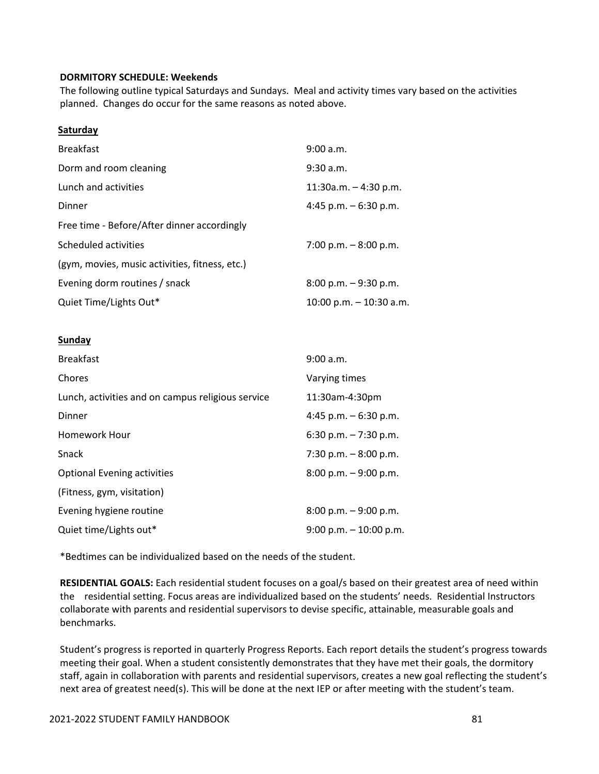### **DORMITORY SCHEDULE: Weekends**

The following outline typical Saturdays and Sundays. Meal and activity times vary based on the activities planned. Changes do occur for the same reasons as noted above.

### **Saturday**

| <b>Breakfast</b>                               | 9:00 a.m.                 |
|------------------------------------------------|---------------------------|
| Dorm and room cleaning                         | 9:30 a.m.                 |
| Lunch and activities                           | $11:30a.m. - 4:30 p.m.$   |
| Dinner                                         | 4:45 p.m. $-6:30$ p.m.    |
| Free time - Before/After dinner accordingly    |                           |
| Scheduled activities                           | 7:00 p.m. $-8:00$ p.m.    |
| (gym, movies, music activities, fitness, etc.) |                           |
| Evening dorm routines / snack                  | $8:00$ p.m. $-9:30$ p.m.  |
| Quiet Time/Lights Out*                         | 10:00 p.m. $-$ 10:30 a.m. |

### **Sunday**

| <b>Breakfast</b>                                  | 9:00 a.m.                 |
|---------------------------------------------------|---------------------------|
| Chores                                            | Varying times             |
| Lunch, activities and on campus religious service | 11:30am-4:30pm            |
| Dinner                                            | 4:45 p.m. $-6:30$ p.m.    |
| Homework Hour                                     | $6:30$ p.m. $-7:30$ p.m.  |
| <b>Snack</b>                                      | 7:30 p.m. $-8:00$ p.m.    |
| <b>Optional Evening activities</b>                | $8:00$ p.m. $-9:00$ p.m.  |
| (Fitness, gym, visitation)                        |                           |
| Evening hygiene routine                           | $8:00$ p.m. $-9:00$ p.m.  |
| Quiet time/Lights out*                            | $9:00$ p.m. $-10:00$ p.m. |

\*Bedtimes can be individualized based on the needs of the student.

**RESIDENTIAL GOALS:** Each residential student focuses on a goal/s based on their greatest area of need within the residential setting. Focus areas are individualized based on the students' needs. Residential Instructors collaborate with parents and residential supervisors to devise specific, attainable, measurable goals and benchmarks.

Student's progress is reported in quarterly Progress Reports. Each report details the student's progress towards meeting their goal. When a student consistently demonstrates that they have met their goals, the dormitory staff, again in collaboration with parents and residential supervisors, creates a new goal reflecting the student's next area of greatest need(s). This will be done at the next IEP or after meeting with the student's team.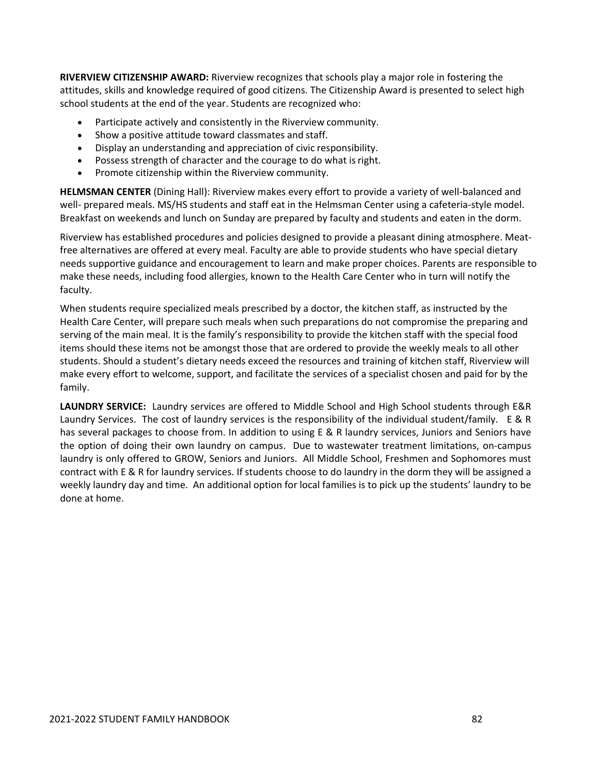**RIVERVIEW CITIZENSHIP AWARD:** Riverview recognizes that schools play a major role in fostering the attitudes, skills and knowledge required of good citizens. The Citizenship Award is presented to select high school students at the end of the year. Students are recognized who:

- Participate actively and consistently in the Riverview community.
- Show a positive attitude toward classmates and staff.
- Display an understanding and appreciation of civic responsibility.
- Possess strength of character and the courage to do what is right.
- Promote citizenship within the Riverview community.

**HELMSMAN CENTER** (Dining Hall): Riverview makes every effort to provide a variety of well‐balanced and well- prepared meals. MS/HS students and staff eat in the Helmsman Center using a cafeteria-style model. Breakfast on weekends and lunch on Sunday are prepared by faculty and students and eaten in the dorm.

Riverview has established procedures and policies designed to provide a pleasant dining atmosphere. Meat‐ free alternatives are offered at every meal. Faculty are able to provide students who have special dietary needs supportive guidance and encouragement to learn and make proper choices. Parents are responsible to make these needs, including food allergies, known to the Health Care Center who in turn will notify the faculty.

When students require specialized meals prescribed by a doctor, the kitchen staff, as instructed by the Health Care Center, will prepare such meals when such preparations do not compromise the preparing and serving of the main meal. It is the family's responsibility to provide the kitchen staff with the special food items should these items not be amongst those that are ordered to provide the weekly meals to all other students. Should a student's dietary needs exceed the resources and training of kitchen staff, Riverview will make every effort to welcome, support, and facilitate the services of a specialist chosen and paid for by the family.

**LAUNDRY SERVICE:** Laundry services are offered to Middle School and High School students through E&R Laundry Services. The cost of laundry services is the responsibility of the individual student/family. E & R has several packages to choose from. In addition to using E & R laundry services, Juniors and Seniors have the option of doing their own laundry on campus. Due to wastewater treatment limitations, on‐campus laundry is only offered to GROW, Seniors and Juniors. All Middle School, Freshmen and Sophomores must contract with E & R for laundry services. If students choose to do laundry in the dorm they will be assigned a weekly laundry day and time. An additional option for local families is to pick up the students' laundry to be done at home.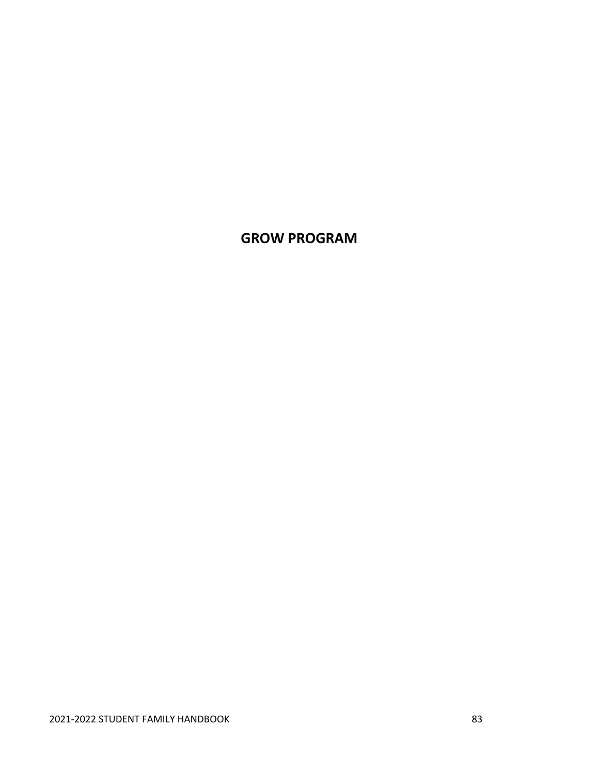# **GROW PROGRAM**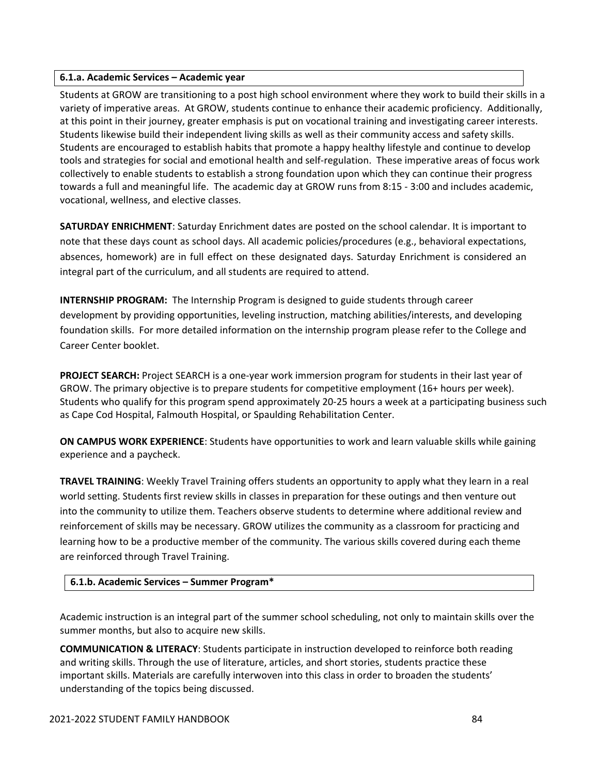### **6.1.a. Academic Services – Academic year**

Students at GROW are transitioning to a post high school environment where they work to build their skills in a variety of imperative areas. At GROW, students continue to enhance their academic proficiency. Additionally, at this point in their journey, greater emphasis is put on vocational training and investigating career interests. Students likewise build their independent living skills as well as their community access and safety skills. Students are encouraged to establish habits that promote a happy healthy lifestyle and continue to develop tools and strategies for social and emotional health and self‐regulation. These imperative areas of focus work collectively to enable students to establish a strong foundation upon which they can continue their progress towards a full and meaningful life. The academic day at GROW runs from 8:15 ‐ 3:00 and includes academic, vocational, wellness, and elective classes.

**SATURDAY ENRICHMENT**: Saturday Enrichment dates are posted on the school calendar. It is important to note that these days count as school days. All academic policies/procedures (e.g., behavioral expectations, absences, homework) are in full effect on these designated days. Saturday Enrichment is considered an integral part of the curriculum, and all students are required to attend.

**INTERNSHIP PROGRAM:** The Internship Program is designed to guide students through career development by providing opportunities, leveling instruction, matching abilities/interests, and developing foundation skills. For more detailed information on the internship program please refer to the College and Career Center booklet.

**PROJECT SEARCH:** Project SEARCH is a one‐year work immersion program for students in their last year of GROW. The primary objective is to prepare students for competitive employment (16+ hours per week). Students who qualify for this program spend approximately 20‐25 hours a week at a participating business such as Cape Cod Hospital, Falmouth Hospital, or Spaulding Rehabilitation Center.

**ON CAMPUS WORK EXPERIENCE**: Students have opportunities to work and learn valuable skills while gaining experience and a paycheck.

**TRAVEL TRAINING**: Weekly Travel Training offers students an opportunity to apply what they learn in a real world setting. Students first review skills in classes in preparation for these outings and then venture out into the community to utilize them. Teachers observe students to determine where additional review and reinforcement of skills may be necessary. GROW utilizes the community as a classroom for practicing and learning how to be a productive member of the community. The various skills covered during each theme are reinforced through Travel Training.

# **6.1.b. Academic Services – Summer Program\***

Academic instruction is an integral part of the summer school scheduling, not only to maintain skills over the summer months, but also to acquire new skills.

**COMMUNICATION & LITERACY**: Students participate in instruction developed to reinforce both reading and writing skills. Through the use of literature, articles, and short stories, students practice these important skills. Materials are carefully interwoven into this class in order to broaden the students' understanding of the topics being discussed.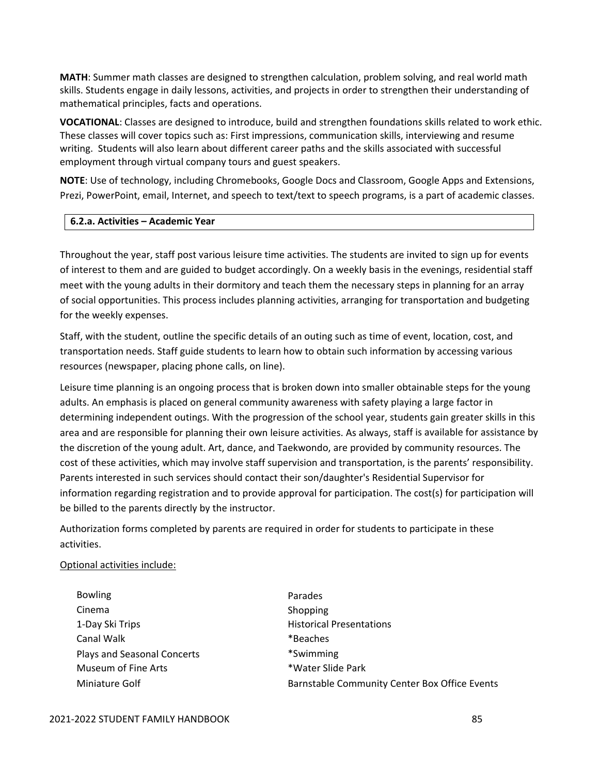**MATH**: Summer math classes are designed to strengthen calculation, problem solving, and real world math skills. Students engage in daily lessons, activities, and projects in order to strengthen their understanding of mathematical principles, facts and operations.

**VOCATIONAL**: Classes are designed to introduce, build and strengthen foundations skills related to work ethic. These classes will cover topics such as: First impressions, communication skills, interviewing and resume writing. Students will also learn about different career paths and the skills associated with successful employment through virtual company tours and guest speakers.

**NOTE**: Use of technology, including Chromebooks, Google Docs and Classroom, Google Apps and Extensions, Prezi, PowerPoint, email, Internet, and speech to text/text to speech programs, is a part of academic classes.

### **6.2.a. Activities – Academic Year**

Throughout the year, staff post various leisure time activities. The students are invited to sign up for events of interest to them and are guided to budget accordingly. On a weekly basis in the evenings, residential staff meet with the young adults in their dormitory and teach them the necessary steps in planning for an array of social opportunities. This process includes planning activities, arranging for transportation and budgeting for the weekly expenses.

Staff, with the student, outline the specific details of an outing such as time of event, location, cost, and transportation needs. Staff guide students to learn how to obtain such information by accessing various resources (newspaper, placing phone calls, on line).

Leisure time planning is an ongoing process that is broken down into smaller obtainable steps for the young adults. An emphasis is placed on general community awareness with safety playing a large factor in determining independent outings. With the progression of the school year, students gain greater skills in this area and are responsible for planning their own leisure activities. As always, staff is available for assistance by the discretion of the young adult. Art, dance, and Taekwondo, are provided by community resources. The cost of these activities, which may involve staff supervision and transportation, is the parents' responsibility. Parents interested in such services should contact their son/daughter's Residential Supervisor for information regarding registration and to provide approval for participation. The cost(s) for participation will be billed to the parents directly by the instructor.

Authorization forms completed by parents are required in order for students to participate in these activities.

# Optional activities include:

- Bowling **Parades** Cinema **Contact Contact Cinema** Shopping 1-Day Ski Trips Historical Presentations Canal Walk **Example 2018 Example 2018 Example 2018 Example 2019 Example 2019 EXAMPLE 2019 EXAMPLE 2019 EXAMPLE 2019 EXAMPLE 2019 EXAMPLE 2019 EXAMPLE 2019 EXAMPLE 2019 EXAMPLE 2019 EXAMPLE 2019** Plays and Seasonal Concerts \*Swimming Museum of Fine Arts \*Water Slide Park
- Miniature Golf **Barnstable Community Center Box Office Events**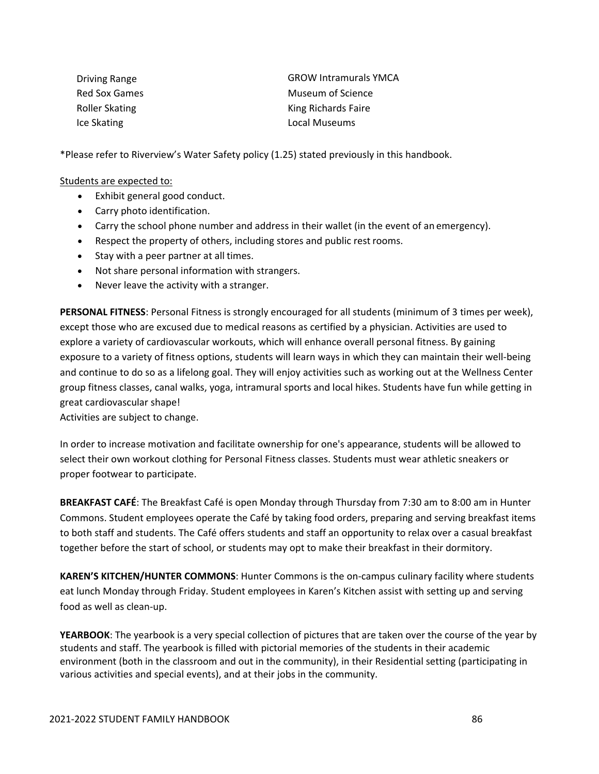| Driving Range         | <b>GROW Intramurals YMCA</b> |
|-----------------------|------------------------------|
| Red Sox Games         | Museum of Science            |
| <b>Roller Skating</b> | King Richards Faire          |
| Ice Skating           | Local Museums                |

\*Please refer to Riverview's Water Safety policy (1.25) stated previously in this handbook.

### Students are expected to:

- Exhibit general good conduct.
- Carry photo identification.
- Carry the school phone number and address in their wallet (in the event of an emergency).
- Respect the property of others, including stores and public rest rooms.
- Stay with a peer partner at all times.
- Not share personal information with strangers.
- Never leave the activity with a stranger.

**PERSONAL FITNESS**: Personal Fitness is strongly encouraged for all students (minimum of 3 times per week), except those who are excused due to medical reasons as certified by a physician. Activities are used to explore a variety of cardiovascular workouts, which will enhance overall personal fitness. By gaining exposure to a variety of fitness options, students will learn ways in which they can maintain their well‐being and continue to do so as a lifelong goal. They will enjoy activities such as working out at the Wellness Center group fitness classes, canal walks, yoga, intramural sports and local hikes. Students have fun while getting in great cardiovascular shape!

Activities are subject to change.

In order to increase motivation and facilitate ownership for one's appearance, students will be allowed to select their own workout clothing for Personal Fitness classes. Students must wear athletic sneakers or proper footwear to participate.

**BREAKFAST CAFÉ**: The Breakfast Café is open Monday through Thursday from 7:30 am to 8:00 am in Hunter Commons. Student employees operate the Café by taking food orders, preparing and serving breakfast items to both staff and students. The Café offers students and staff an opportunity to relax over a casual breakfast together before the start of school, or students may opt to make their breakfast in their dormitory.

**KAREN'S KITCHEN/HUNTER COMMONS**: Hunter Commons is the on‐campus culinary facility where students eat lunch Monday through Friday. Student employees in Karen's Kitchen assist with setting up and serving food as well as clean‐up.

**YEARBOOK**: The yearbook is a very special collection of pictures that are taken over the course of the year by students and staff. The yearbook is filled with pictorial memories of the students in their academic environment (both in the classroom and out in the community), in their Residential setting (participating in various activities and special events), and at their jobs in the community.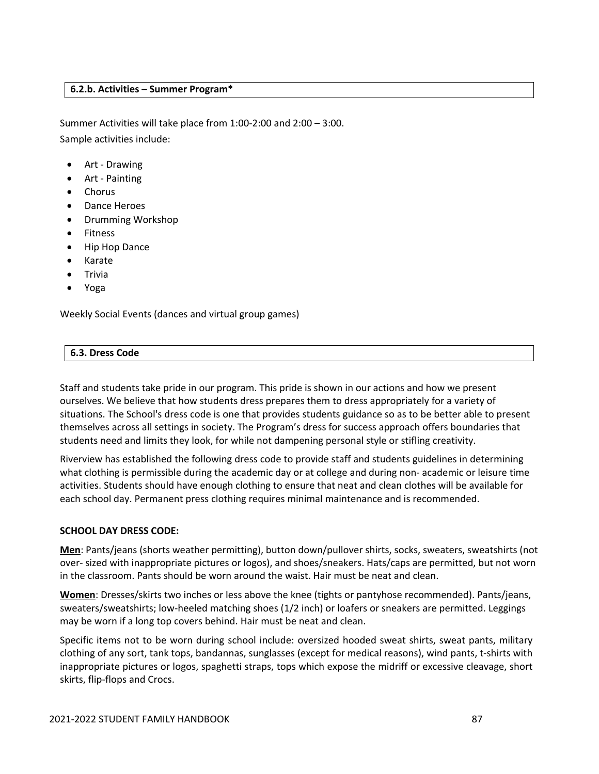### **6.2.b. Activities – Summer Program\***

Summer Activities will take place from 1:00‐2:00 and 2:00 – 3:00. Sample activities include:

- Art ‐ Drawing
- Art ‐ Painting
- Chorus
- Dance Heroes
- Drumming Workshop
- Fitness
- Hip Hop Dance
- Karate
- Trivia
- Yoga

Weekly Social Events (dances and virtual group games)

### **6.3. Dress Code**

Staff and students take pride in our program. This pride is shown in our actions and how we present ourselves. We believe that how students dress prepares them to dress appropriately for a variety of situations. The School's dress code is one that provides students guidance so as to be better able to present themselves across all settings in society. The Program's dress for success approach offers boundaries that students need and limits they look, for while not dampening personal style or stifling creativity.

Riverview has established the following dress code to provide staff and students guidelines in determining what clothing is permissible during the academic day or at college and during non-academic or leisure time activities. Students should have enough clothing to ensure that neat and clean clothes will be available for each school day. Permanent press clothing requires minimal maintenance and is recommended.

# **SCHOOL DAY DRESS CODE:**

**Men**: Pants/jeans (shorts weather permitting), button down/pullover shirts, socks, sweaters, sweatshirts (not over- sized with inappropriate pictures or logos), and shoes/sneakers. Hats/caps are permitted, but not worn in the classroom. Pants should be worn around the waist. Hair must be neat and clean.

**Women**: Dresses/skirts two inches or less above the knee (tights or pantyhose recommended). Pants/jeans, sweaters/sweatshirts; low-heeled matching shoes (1/2 inch) or loafers or sneakers are permitted. Leggings may be worn if a long top covers behind. Hair must be neat and clean.

Specific items not to be worn during school include: oversized hooded sweat shirts, sweat pants, military clothing of any sort, tank tops, bandannas, sunglasses (except for medical reasons), wind pants, t‐shirts with inappropriate pictures or logos, spaghetti straps, tops which expose the midriff or excessive cleavage, short skirts, flip‐flops and Crocs.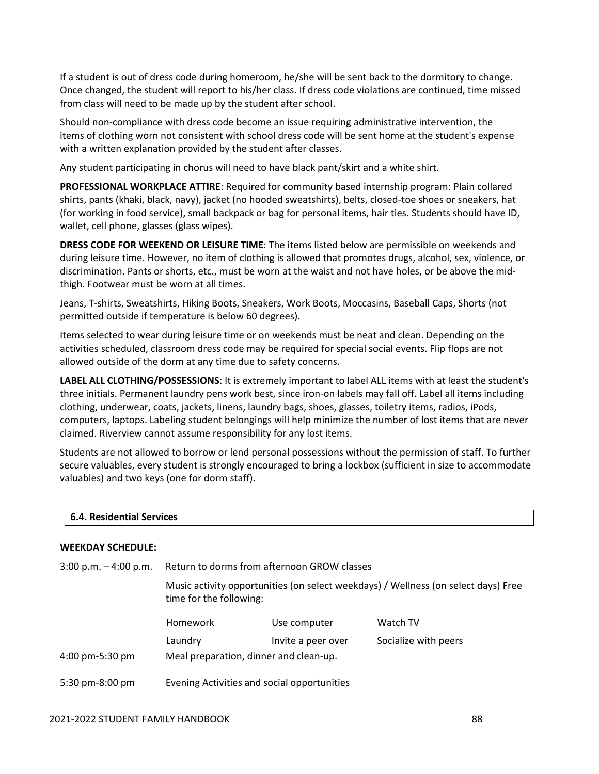If a student is out of dress code during homeroom, he/she will be sent back to the dormitory to change. Once changed, the student will report to his/her class. If dress code violations are continued, time missed from class will need to be made up by the student after school.

Should non‐compliance with dress code become an issue requiring administrative intervention, the items of clothing worn not consistent with school dress code will be sent home at the student's expense with a written explanation provided by the student after classes.

Any student participating in chorus will need to have black pant/skirt and a white shirt.

**PROFESSIONAL WORKPLACE ATTIRE**: Required for community based internship program: Plain collared shirts, pants (khaki, black, navy), jacket (no hooded sweatshirts), belts, closed‐toe shoes or sneakers, hat (for working in food service), small backpack or bag for personal items, hair ties. Students should have ID, wallet, cell phone, glasses (glass wipes).

**DRESS CODE FOR WEEKEND OR LEISURE TIME**: The items listed below are permissible on weekends and during leisure time. However, no item of clothing is allowed that promotes drugs, alcohol, sex, violence, or discrimination. Pants or shorts, etc., must be worn at the waist and not have holes, or be above the mid‐ thigh. Footwear must be worn at all times.

Jeans, T‐shirts, Sweatshirts, Hiking Boots, Sneakers, Work Boots, Moccasins, Baseball Caps, Shorts (not permitted outside if temperature is below 60 degrees).

Items selected to wear during leisure time or on weekends must be neat and clean. Depending on the activities scheduled, classroom dress code may be required for special social events. Flip flops are not allowed outside of the dorm at any time due to safety concerns.

**LABEL ALL CLOTHING/POSSESSIONS**: It is extremely important to label ALL items with at least the student's three initials. Permanent laundry pens work best, since iron‐on labels may fall off. Label all items including clothing, underwear, coats, jackets, linens, laundry bags, shoes, glasses, toiletry items, radios, iPods, computers, laptops. Labeling student belongings will help minimize the number of lost items that are never claimed. Riverview cannot assume responsibility for any lost items.

Students are not allowed to borrow or lend personal possessions without the permission of staff. To further secure valuables, every student is strongly encouraged to bring a lockbox (sufficient in size to accommodate valuables) and two keys (one for dorm staff).

### **6.4. Residential Services**

### **WEEKDAY SCHEDULE:**

| $3:00$ p.m. $-4:00$ p.m. | Return to dorms from afternoon GROW classes                                                                   |                    |                      |
|--------------------------|---------------------------------------------------------------------------------------------------------------|--------------------|----------------------|
|                          | Music activity opportunities (on select weekdays) / Wellness (on select days) Free<br>time for the following: |                    |                      |
|                          | <b>Homework</b>                                                                                               | Use computer       | Watch TV             |
|                          | Laundry                                                                                                       | Invite a peer over | Socialize with peers |
| 4:00 pm-5:30 pm          | Meal preparation, dinner and clean-up.                                                                        |                    |                      |
| 5:30 pm-8:00 pm          | Evening Activities and social opportunities                                                                   |                    |                      |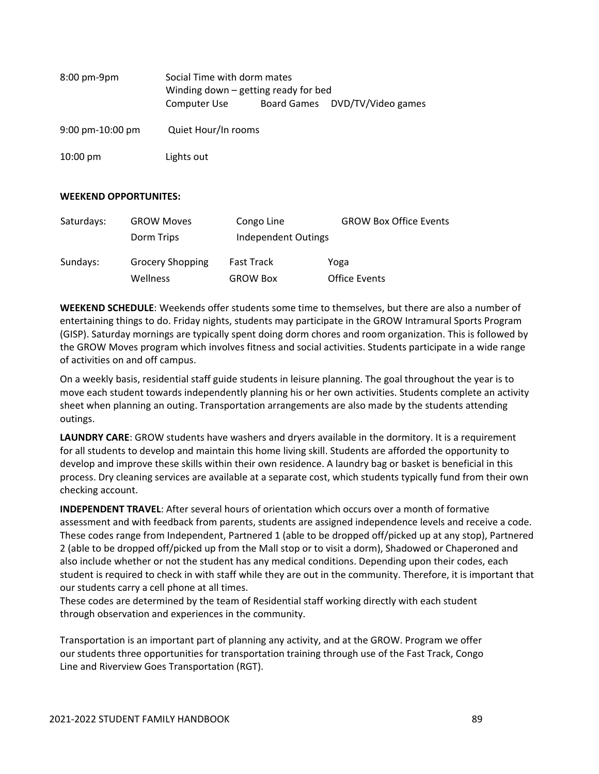| $8:00 \text{ pm-9pm}$                | Social Time with dorm mates<br>Winding down $-$ getting ready for bed |  |                                |
|--------------------------------------|-----------------------------------------------------------------------|--|--------------------------------|
|                                      | Computer Use                                                          |  | Board Games DVD/TV/Video games |
| $9:00 \text{ pm} - 10:00 \text{ pm}$ | Quiet Hour/In rooms                                                   |  |                                |
| $10:00 \text{ pm}$                   | Lights out                                                            |  |                                |

### **WEEKEND OPPORTUNITES:**

| Saturdays: | <b>GROW Moves</b>       | Congo Line          | <b>GROW Box Office Events</b> |
|------------|-------------------------|---------------------|-------------------------------|
|            | Dorm Trips              | Independent Outings |                               |
| Sundays:   | <b>Grocery Shopping</b> | <b>Fast Track</b>   | Yoga                          |
|            | Wellness                | <b>GROW Box</b>     | <b>Office Events</b>          |

**WEEKEND SCHEDULE**: Weekends offer students some time to themselves, but there are also a number of entertaining things to do. Friday nights, students may participate in the GROW Intramural Sports Program (GISP). Saturday mornings are typically spent doing dorm chores and room organization. This is followed by the GROW Moves program which involves fitness and social activities. Students participate in a wide range of activities on and off campus.

On a weekly basis, residential staff guide students in leisure planning. The goal throughout the year is to move each student towards independently planning his or her own activities. Students complete an activity sheet when planning an outing. Transportation arrangements are also made by the students attending outings.

**LAUNDRY CARE**: GROW students have washers and dryers available in the dormitory. It is a requirement for all students to develop and maintain this home living skill. Students are afforded the opportunity to develop and improve these skills within their own residence. A laundry bag or basket is beneficial in this process. Dry cleaning services are available at a separate cost, which students typically fund from their own checking account.

**INDEPENDENT TRAVEL**: After several hours of orientation which occurs over a month of formative assessment and with feedback from parents, students are assigned independence levels and receive a code. These codes range from Independent, Partnered 1 (able to be dropped off/picked up at any stop), Partnered 2 (able to be dropped off/picked up from the Mall stop or to visit a dorm), Shadowed or Chaperoned and also include whether or not the student has any medical conditions. Depending upon their codes, each student is required to check in with staff while they are out in the community. Therefore, it is important that our students carry a cell phone at all times.

These codes are determined by the team of Residential staff working directly with each student through observation and experiences in the community.

Transportation is an important part of planning any activity, and at the GROW. Program we offer our students three opportunities for transportation training through use of the Fast Track, Congo Line and Riverview Goes Transportation (RGT).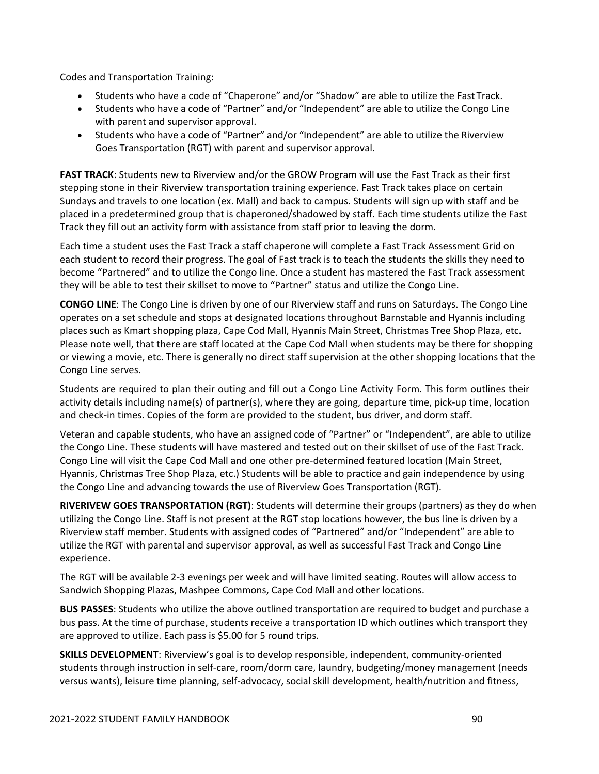Codes and Transportation Training:

- Students who have a code of "Chaperone" and/or "Shadow" are able to utilize the Fast Track.
- Students who have a code of "Partner" and/or "Independent" are able to utilize the Congo Line with parent and supervisor approval.
- Students who have a code of "Partner" and/or "Independent" are able to utilize the Riverview Goes Transportation (RGT) with parent and supervisor approval.

**FAST TRACK**: Students new to Riverview and/or the GROW Program will use the Fast Track as their first stepping stone in their Riverview transportation training experience. Fast Track takes place on certain Sundays and travels to one location (ex. Mall) and back to campus. Students will sign up with staff and be placed in a predetermined group that is chaperoned/shadowed by staff. Each time students utilize the Fast Track they fill out an activity form with assistance from staff prior to leaving the dorm.

Each time a student uses the Fast Track a staff chaperone will complete a Fast Track Assessment Grid on each student to record their progress. The goal of Fast track is to teach the students the skills they need to become "Partnered" and to utilize the Congo line. Once a student has mastered the Fast Track assessment they will be able to test their skillset to move to "Partner" status and utilize the Congo Line.

**CONGO LINE**: The Congo Line is driven by one of our Riverview staff and runs on Saturdays. The Congo Line operates on a set schedule and stops at designated locations throughout Barnstable and Hyannis including places such as Kmart shopping plaza, Cape Cod Mall, Hyannis Main Street, Christmas Tree Shop Plaza, etc. Please note well, that there are staff located at the Cape Cod Mall when students may be there for shopping or viewing a movie, etc. There is generally no direct staff supervision at the other shopping locations that the Congo Line serves.

Students are required to plan their outing and fill out a Congo Line Activity Form. This form outlines their activity details including name(s) of partner(s), where they are going, departure time, pick‐up time, location and check‐in times. Copies of the form are provided to the student, bus driver, and dorm staff.

Veteran and capable students, who have an assigned code of "Partner" or "Independent", are able to utilize the Congo Line. These students will have mastered and tested out on their skillset of use of the Fast Track. Congo Line will visit the Cape Cod Mall and one other pre‐determined featured location (Main Street, Hyannis, Christmas Tree Shop Plaza, etc.) Students will be able to practice and gain independence by using the Congo Line and advancing towards the use of Riverview Goes Transportation (RGT).

**RIVERIVEW GOES TRANSPORTATION (RGT)**: Students will determine their groups (partners) as they do when utilizing the Congo Line. Staff is not present at the RGT stop locations however, the bus line is driven by a Riverview staff member. Students with assigned codes of "Partnered" and/or "Independent" are able to utilize the RGT with parental and supervisor approval, as well as successful Fast Track and Congo Line experience.

The RGT will be available 2‐3 evenings per week and will have limited seating. Routes will allow access to Sandwich Shopping Plazas, Mashpee Commons, Cape Cod Mall and other locations.

**BUS PASSES**: Students who utilize the above outlined transportation are required to budget and purchase a bus pass. At the time of purchase, students receive a transportation ID which outlines which transport they are approved to utilize. Each pass is \$5.00 for 5 round trips.

**SKILLS DEVELOPMENT**: Riverview's goal is to develop responsible, independent, community‐oriented students through instruction in self‐care, room/dorm care, laundry, budgeting/money management (needs versus wants), leisure time planning, self‐advocacy, social skill development, health/nutrition and fitness,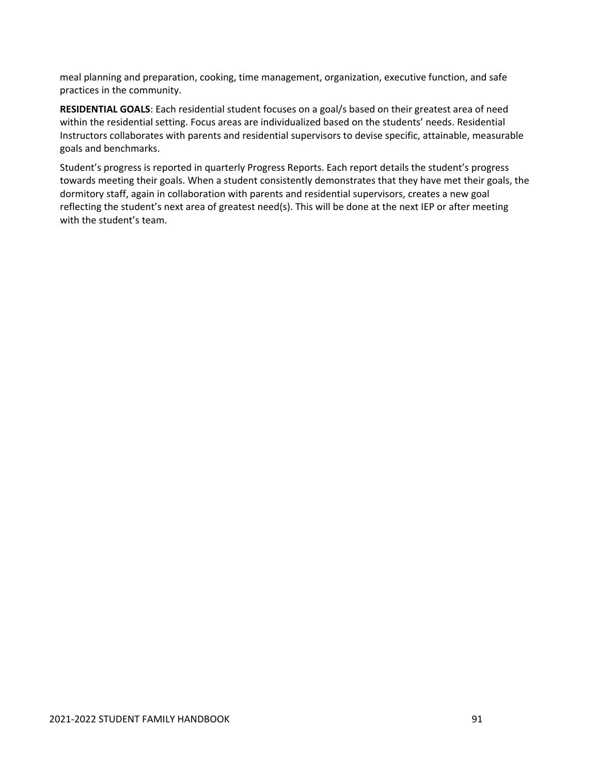meal planning and preparation, cooking, time management, organization, executive function, and safe practices in the community.

**RESIDENTIAL GOALS**: Each residential student focuses on a goal/s based on their greatest area of need within the residential setting. Focus areas are individualized based on the students' needs. Residential Instructors collaborates with parents and residential supervisors to devise specific, attainable, measurable goals and benchmarks.

Student's progress is reported in quarterly Progress Reports. Each report details the student's progress towards meeting their goals. When a student consistently demonstrates that they have met their goals, the dormitory staff, again in collaboration with parents and residential supervisors, creates a new goal reflecting the student's next area of greatest need(s). This will be done at the next IEP or after meeting with the student's team.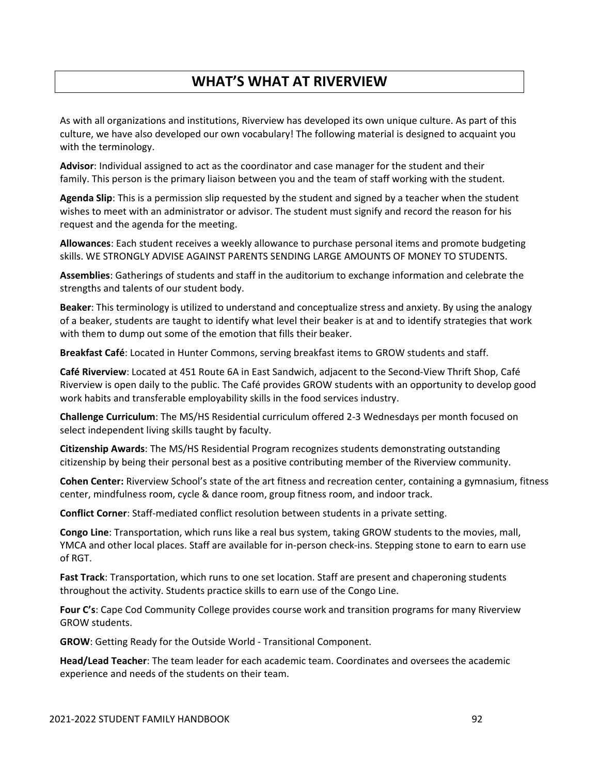# **WHAT'S WHAT AT RIVERVIEW**

As with all organizations and institutions, Riverview has developed its own unique culture. As part of this culture, we have also developed our own vocabulary! The following material is designed to acquaint you with the terminology.

**Advisor**: Individual assigned to act as the coordinator and case manager for the student and their family. This person is the primary liaison between you and the team of staff working with the student.

**Agenda Slip**: This is a permission slip requested by the student and signed by a teacher when the student wishes to meet with an administrator or advisor. The student must signify and record the reason for his request and the agenda for the meeting.

**Allowances**: Each student receives a weekly allowance to purchase personal items and promote budgeting skills. WE STRONGLY ADVISE AGAINST PARENTS SENDING LARGE AMOUNTS OF MONEY TO STUDENTS.

**Assemblies**: Gatherings of students and staff in the auditorium to exchange information and celebrate the strengths and talents of our student body.

**Beaker**: This terminology is utilized to understand and conceptualize stress and anxiety. By using the analogy of a beaker, students are taught to identify what level their beaker is at and to identify strategies that work with them to dump out some of the emotion that fills their beaker.

**Breakfast Café**: Located in Hunter Commons, serving breakfast items to GROW students and staff.

**Café Riverview**: Located at 451 Route 6A in East Sandwich, adjacent to the Second‐View Thrift Shop, Café Riverview is open daily to the public. The Café provides GROW students with an opportunity to develop good work habits and transferable employability skills in the food services industry.

**Challenge Curriculum**: The MS/HS Residential curriculum offered 2‐3 Wednesdays per month focused on select independent living skills taught by faculty.

**Citizenship Awards**: The MS/HS Residential Program recognizes students demonstrating outstanding citizenship by being their personal best as a positive contributing member of the Riverview community.

**Cohen Center:** Riverview School's state of the art fitness and recreation center, containing a gymnasium, fitness center, mindfulness room, cycle & dance room, group fitness room, and indoor track.

**Conflict Corner**: Staff‐mediated conflict resolution between students in a private setting.

**Congo Line**: Transportation, which runs like a real bus system, taking GROW students to the movies, mall, YMCA and other local places. Staff are available for in‐person check‐ins. Stepping stone to earn to earn use of RGT.

**Fast Track**: Transportation, which runs to one set location. Staff are present and chaperoning students throughout the activity. Students practice skills to earn use of the Congo Line.

**Four C's**: Cape Cod Community College provides course work and transition programs for many Riverview GROW students.

**GROW**: Getting Ready for the Outside World ‐ Transitional Component.

**Head/Lead Teacher**: The team leader for each academic team. Coordinates and oversees the academic experience and needs of the students on their team.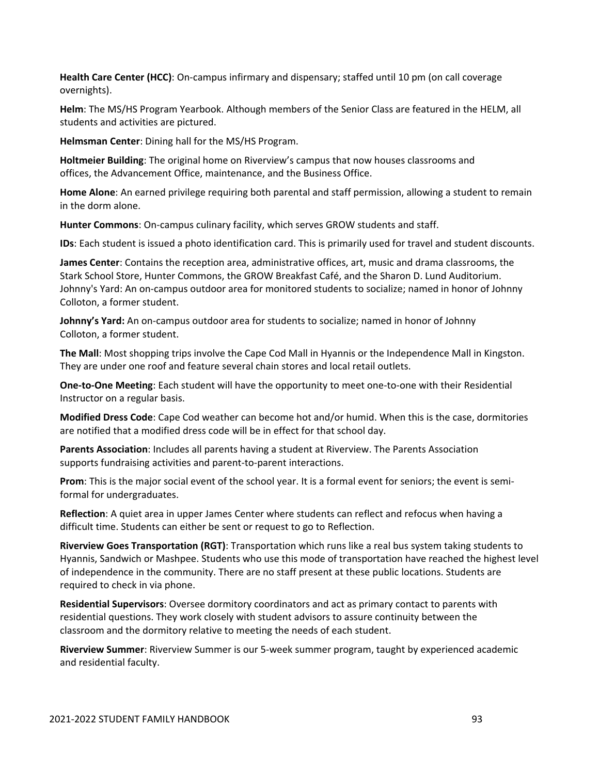**Health Care Center (HCC)**: On‐campus infirmary and dispensary; staffed until 10 pm (on call coverage overnights).

**Helm**: The MS/HS Program Yearbook. Although members of the Senior Class are featured in the HELM, all students and activities are pictured.

**Helmsman Center**: Dining hall for the MS/HS Program.

**Holtmeier Building**: The original home on Riverview's campus that now houses classrooms and offices, the Advancement Office, maintenance, and the Business Office.

**Home Alone**: An earned privilege requiring both parental and staff permission, allowing a student to remain in the dorm alone.

**Hunter Commons**: On‐campus culinary facility, which serves GROW students and staff.

**IDs**: Each student is issued a photo identification card. This is primarily used for travel and student discounts.

**James Center**: Contains the reception area, administrative offices, art, music and drama classrooms, the Stark School Store, Hunter Commons, the GROW Breakfast Café, and the Sharon D. Lund Auditorium. Johnny's Yard: An on‐campus outdoor area for monitored students to socialize; named in honor of Johnny Colloton, a former student.

**Johnny's Yard:** An on‐campus outdoor area for students to socialize; named in honor of Johnny Colloton, a former student.

**The Mall**: Most shopping trips involve the Cape Cod Mall in Hyannis or the Independence Mall in Kingston. They are under one roof and feature several chain stores and local retail outlets.

**One‐to‐One Meeting**: Each student will have the opportunity to meet one‐to‐one with their Residential Instructor on a regular basis.

**Modified Dress Code**: Cape Cod weather can become hot and/or humid. When this is the case, dormitories are notified that a modified dress code will be in effect for that school day.

**Parents Association**: Includes all parents having a student at Riverview. The Parents Association supports fundraising activities and parent‐to‐parent interactions.

**Prom**: This is the major social event of the school year. It is a formal event for seniors; the event is semi‐ formal for undergraduates.

**Reflection**: A quiet area in upper James Center where students can reflect and refocus when having a difficult time. Students can either be sent or request to go to Reflection.

**Riverview Goes Transportation (RGT)**: Transportation which runs like a real bus system taking students to Hyannis, Sandwich or Mashpee. Students who use this mode of transportation have reached the highest level of independence in the community. There are no staff present at these public locations. Students are required to check in via phone.

**Residential Supervisors**: Oversee dormitory coordinators and act as primary contact to parents with residential questions. They work closely with student advisors to assure continuity between the classroom and the dormitory relative to meeting the needs of each student.

**Riverview Summer**: Riverview Summer is our 5‐week summer program, taught by experienced academic and residential faculty.